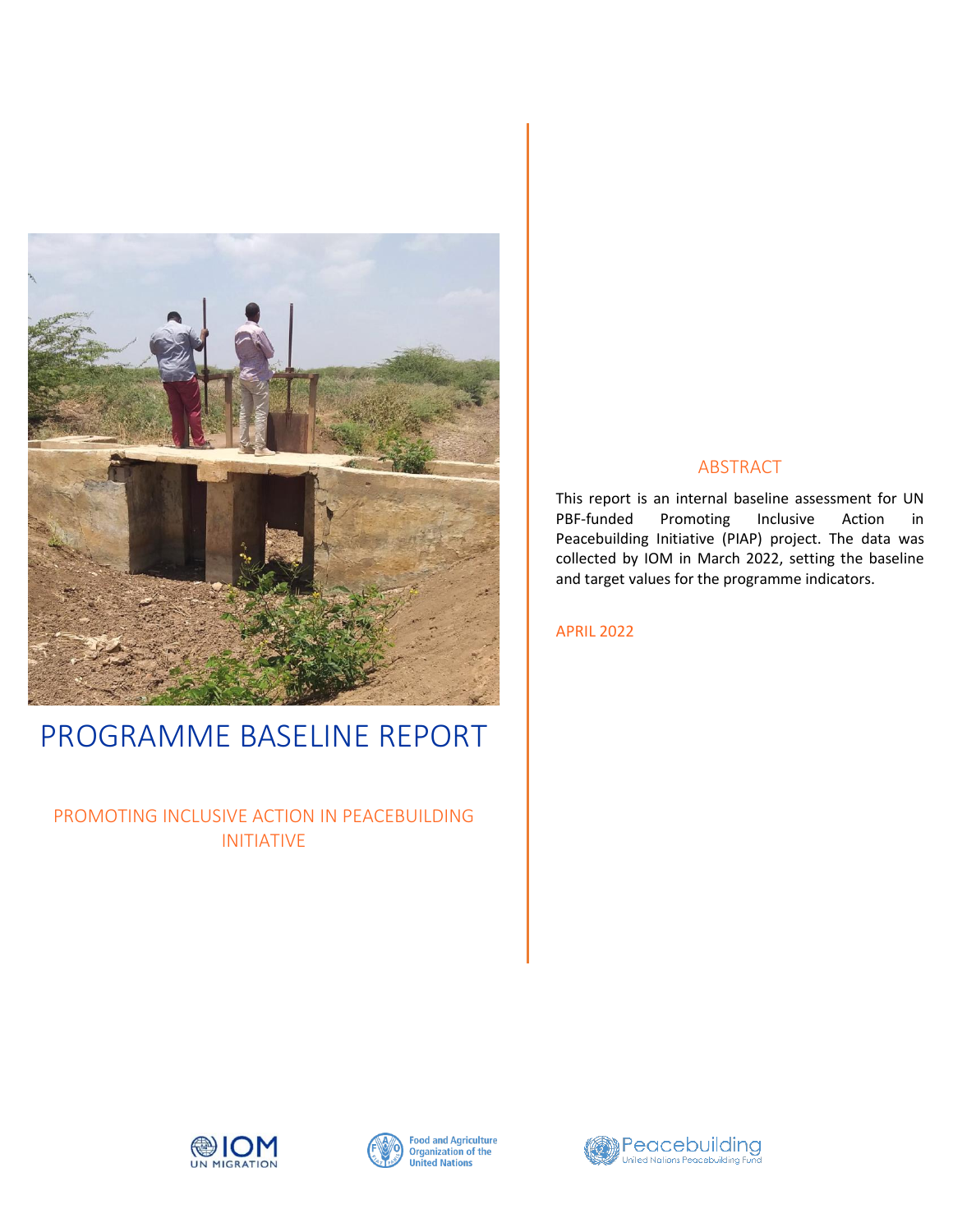

# PROGRAMME BASELINE REPORT

# PROMOTING INCLUSIVE ACTION IN PEACEBUILDING INITIATIVE

# ABSTRACT

This report is an internal baseline assessment for UN PBF-funded Promoting Inclusive Action in Peacebuilding Initiative (PIAP) project. The data was collected by IOM in March 2022, setting the baseline and target values for the programme indicators.

APRIL 2022





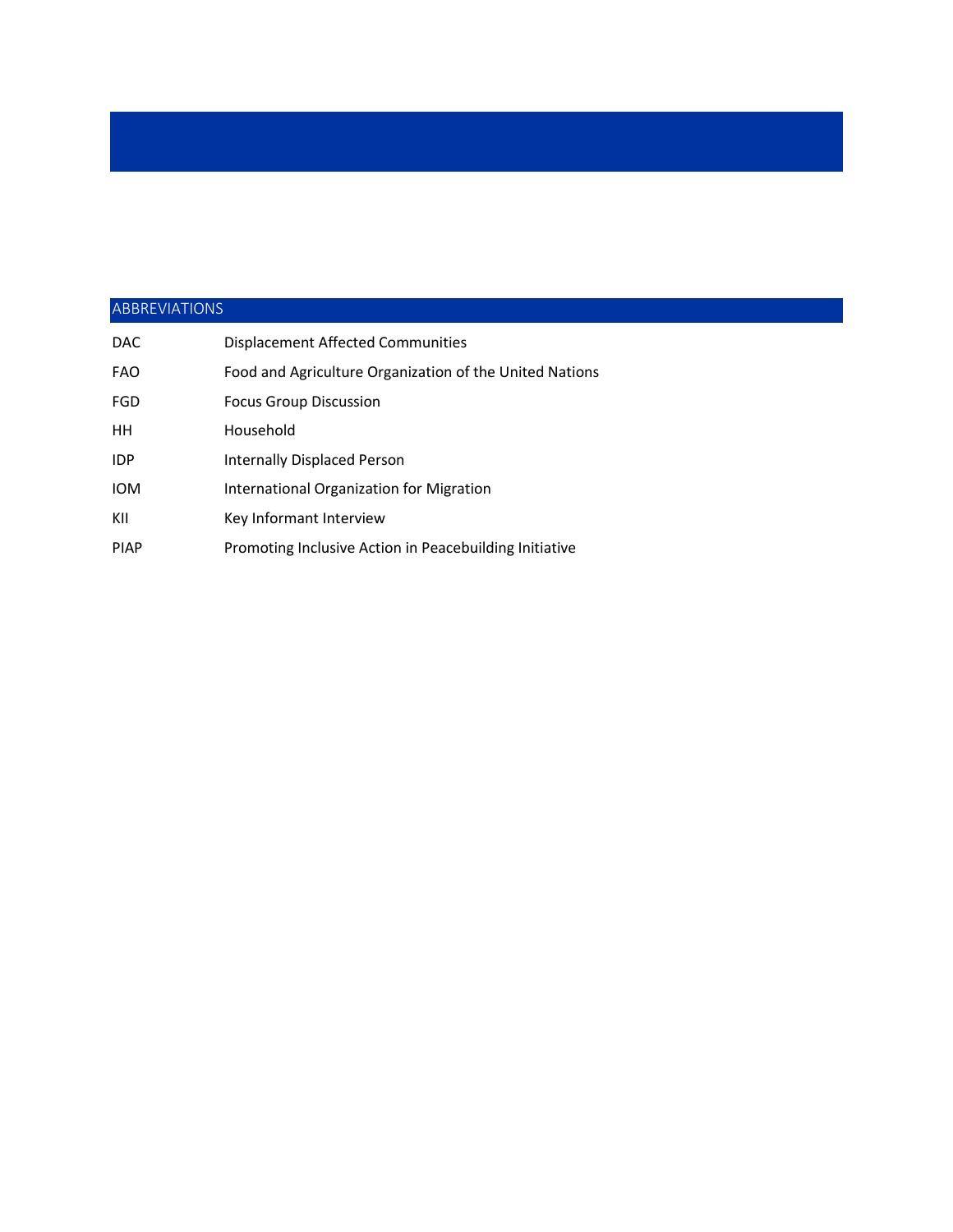# ABBREVIATIONS

| <b>DAC</b>  | <b>Displacement Affected Communities</b>                |
|-------------|---------------------------------------------------------|
| <b>FAO</b>  | Food and Agriculture Organization of the United Nations |
| <b>FGD</b>  | <b>Focus Group Discussion</b>                           |
| HН          | Household                                               |
| <b>IDP</b>  | Internally Displaced Person                             |
| <b>IOM</b>  | International Organization for Migration                |
| KII         | Key Informant Interview                                 |
| <b>PIAP</b> | Promoting Inclusive Action in Peacebuilding Initiative  |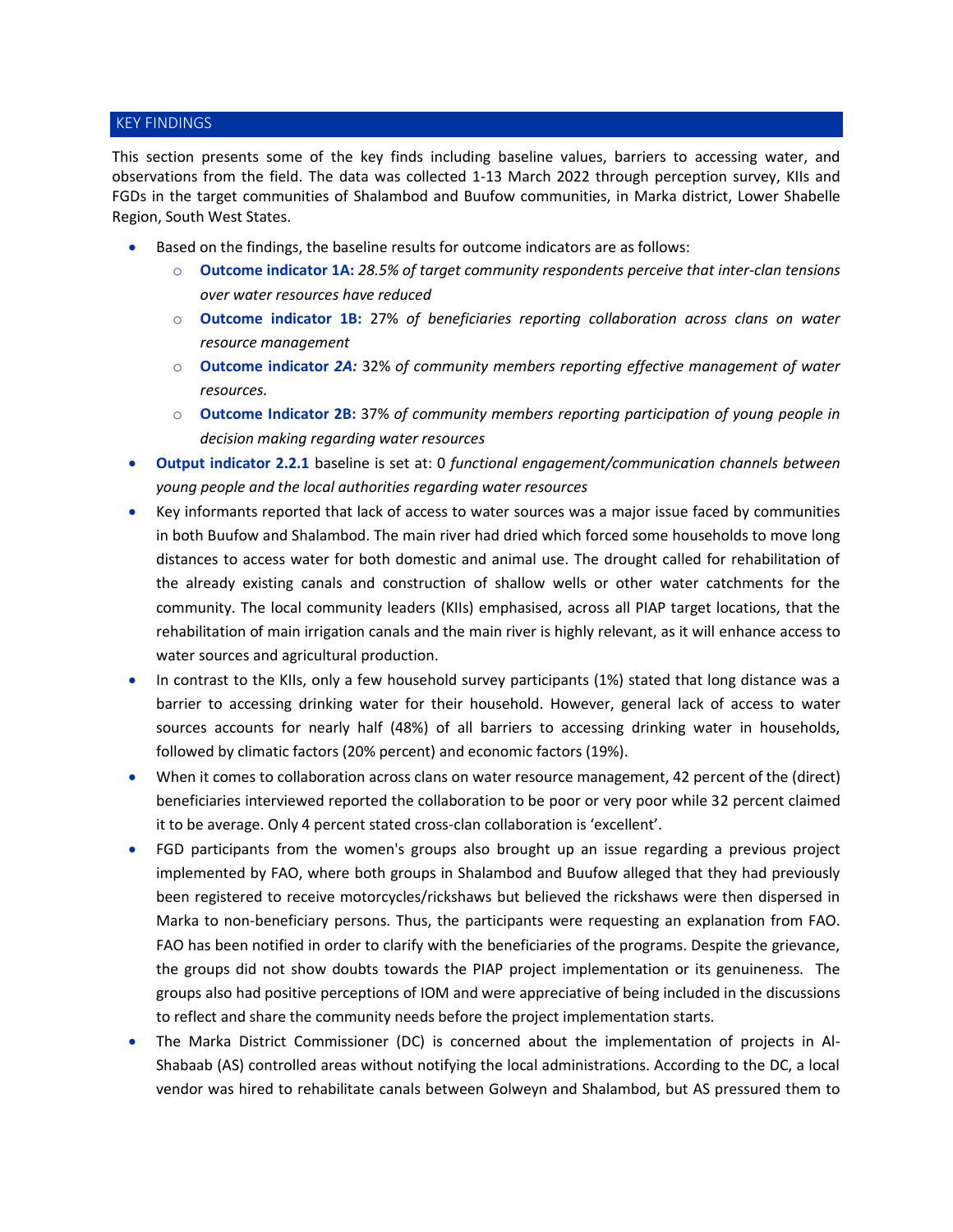### KEY FINDINGS

This section presents some of the key finds including baseline values, barriers to accessing water, and observations from the field. The data was collected 1-13 March 2022 through perception survey, KIIs and FGDs in the target communities of Shalambod and Buufow communities, in Marka district, Lower Shabelle Region, South West States.

- Based on the findings, the baseline results for outcome indicators are as follows:
	- o **Outcome indicator 1A:** *28.5% of target community respondents perceive that inter-clan tensions over water resources have reduced*
	- o **Outcome indicator 1B:** 27% *of beneficiaries reporting collaboration across clans on water resource management*
	- o **Outcome indicator** *2A:* 32% *of community members reporting effective management of water resources.*
	- o **Outcome Indicator 2B:** 37% *of community members reporting participation of young people in decision making regarding water resources*
- **Output indicator 2.2.1** baseline is set at: 0 *functional engagement/communication channels between young people and the local authorities regarding water resources*
- Key informants reported that lack of access to water sources was a major issue faced by communities in both Buufow and Shalambod. The main river had dried which forced some households to move long distances to access water for both domestic and animal use. The drought called for rehabilitation of the already existing canals and construction of shallow wells or other water catchments for the community. The local community leaders (KIIs) emphasised, across all PIAP target locations, that the rehabilitation of main irrigation canals and the main river is highly relevant, as it will enhance access to water sources and agricultural production.
- In contrast to the KIIs, only a few household survey participants (1%) stated that long distance was a barrier to accessing drinking water for their household. However, general lack of access to water sources accounts for nearly half (48%) of all barriers to accessing drinking water in households, followed by climatic factors (20% percent) and economic factors (19%).
- When it comes to collaboration across clans on water resource management, 42 percent of the (direct) beneficiaries interviewed reported the collaboration to be poor or very poor while 32 percent claimed it to be average. Only 4 percent stated cross-clan collaboration is 'excellent'.
- FGD participants from the women's groups also brought up an issue regarding a previous project implemented by FAO, where both groups in Shalambod and Buufow alleged that they had previously been registered to receive motorcycles/rickshaws but believed the rickshaws were then dispersed in Marka to non-beneficiary persons. Thus, the participants were requesting an explanation from FAO. FAO has been notified in order to clarify with the beneficiaries of the programs. Despite the grievance, the groups did not show doubts towards the PIAP project implementation or its genuineness. The groups also had positive perceptions of IOM and were appreciative of being included in the discussions to reflect and share the community needs before the project implementation starts.
- The Marka District Commissioner (DC) is concerned about the implementation of projects in Al-Shabaab (AS) controlled areas without notifying the local administrations. According to the DC, a local vendor was hired to rehabilitate canals between Golweyn and Shalambod, but AS pressured them to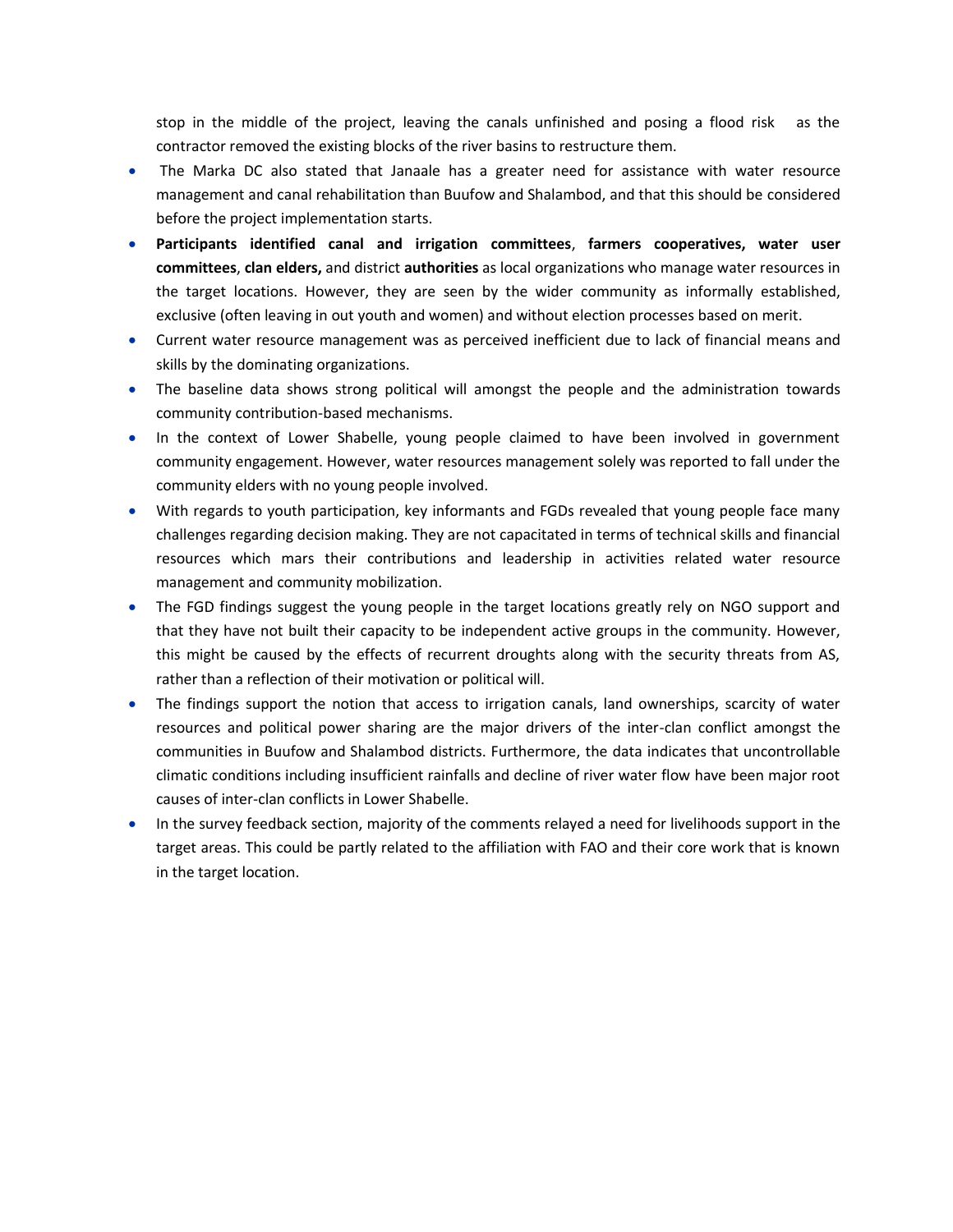stop in the middle of the project, leaving the canals unfinished and posing a flood risk as the contractor removed the existing blocks of the river basins to restructure them.

- The Marka DC also stated that Janaale has a greater need for assistance with water resource management and canal rehabilitation than Buufow and Shalambod, and that this should be considered before the project implementation starts.
- **Participants identified canal and irrigation committees**, **farmers cooperatives, water user committees**, **clan elders,** and district **authorities** as local organizations who manage water resources in the target locations. However, they are seen by the wider community as informally established, exclusive (often leaving in out youth and women) and without election processes based on merit.
- Current water resource management was as perceived inefficient due to lack of financial means and skills by the dominating organizations.
- The baseline data shows strong political will amongst the people and the administration towards community contribution-based mechanisms.
- In the context of Lower Shabelle, young people claimed to have been involved in government community engagement. However, water resources management solely was reported to fall under the community elders with no young people involved.
- With regards to youth participation, key informants and FGDs revealed that young people face many challenges regarding decision making. They are not capacitated in terms of technical skills and financial resources which mars their contributions and leadership in activities related water resource management and community mobilization.
- The FGD findings suggest the young people in the target locations greatly rely on NGO support and that they have not built their capacity to be independent active groups in the community. However, this might be caused by the effects of recurrent droughts along with the security threats from AS, rather than a reflection of their motivation or political will.
- The findings support the notion that access to irrigation canals, land ownerships, scarcity of water resources and political power sharing are the major drivers of the inter-clan conflict amongst the communities in Buufow and Shalambod districts. Furthermore, the data indicates that uncontrollable climatic conditions including insufficient rainfalls and decline of river water flow have been major root causes of inter-clan conflicts in Lower Shabelle.
- In the survey feedback section, majority of the comments relayed a need for livelihoods support in the target areas. This could be partly related to the affiliation with FAO and their core work that is known in the target location.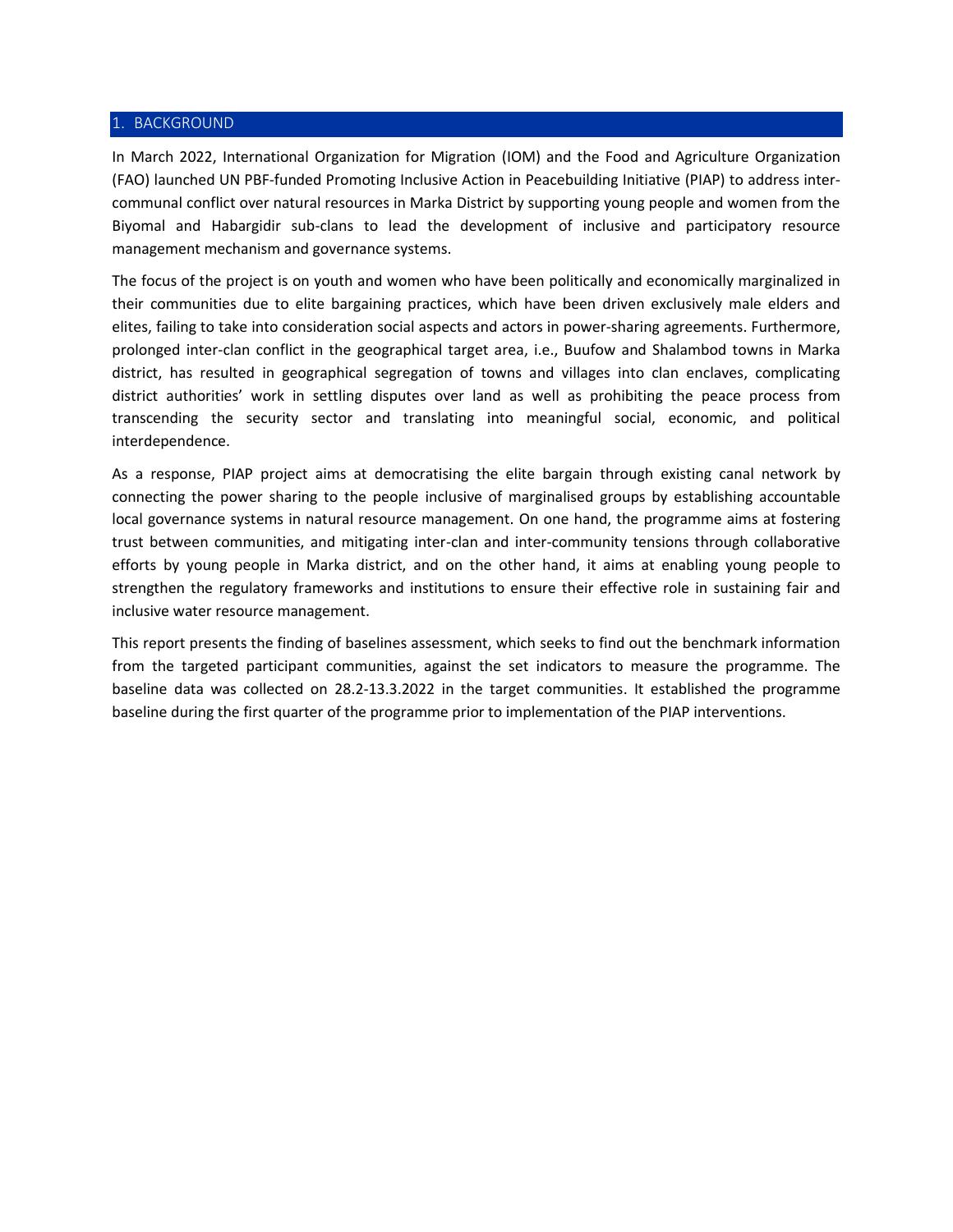#### 1. BACKGROUND

In March 2022, International Organization for Migration (IOM) and the Food and Agriculture Organization (FAO) launched UN PBF-funded Promoting Inclusive Action in Peacebuilding Initiative (PIAP) to address intercommunal conflict over natural resources in Marka District by supporting young people and women from the Biyomal and Habargidir sub-clans to lead the development of inclusive and participatory resource management mechanism and governance systems.

The focus of the project is on youth and women who have been politically and economically marginalized in their communities due to elite bargaining practices, which have been driven exclusively male elders and elites, failing to take into consideration social aspects and actors in power-sharing agreements. Furthermore, prolonged inter-clan conflict in the geographical target area, i.e., Buufow and Shalambod towns in Marka district, has resulted in geographical segregation of towns and villages into clan enclaves, complicating district authorities' work in settling disputes over land as well as prohibiting the peace process from transcending the security sector and translating into meaningful social, economic, and political interdependence.

As a response, PIAP project aims at democratising the elite bargain through existing canal network by connecting the power sharing to the people inclusive of marginalised groups by establishing accountable local governance systems in natural resource management. On one hand, the programme aims at fostering trust between communities, and mitigating inter-clan and inter-community tensions through collaborative efforts by young people in Marka district, and on the other hand, it aims at enabling young people to strengthen the regulatory frameworks and institutions to ensure their effective role in sustaining fair and inclusive water resource management.

This report presents the finding of baselines assessment, which seeks to find out the benchmark information from the targeted participant communities, against the set indicators to measure the programme. The baseline data was collected on 28.2-13.3.2022 in the target communities. It established the programme baseline during the first quarter of the programme prior to implementation of the PIAP interventions.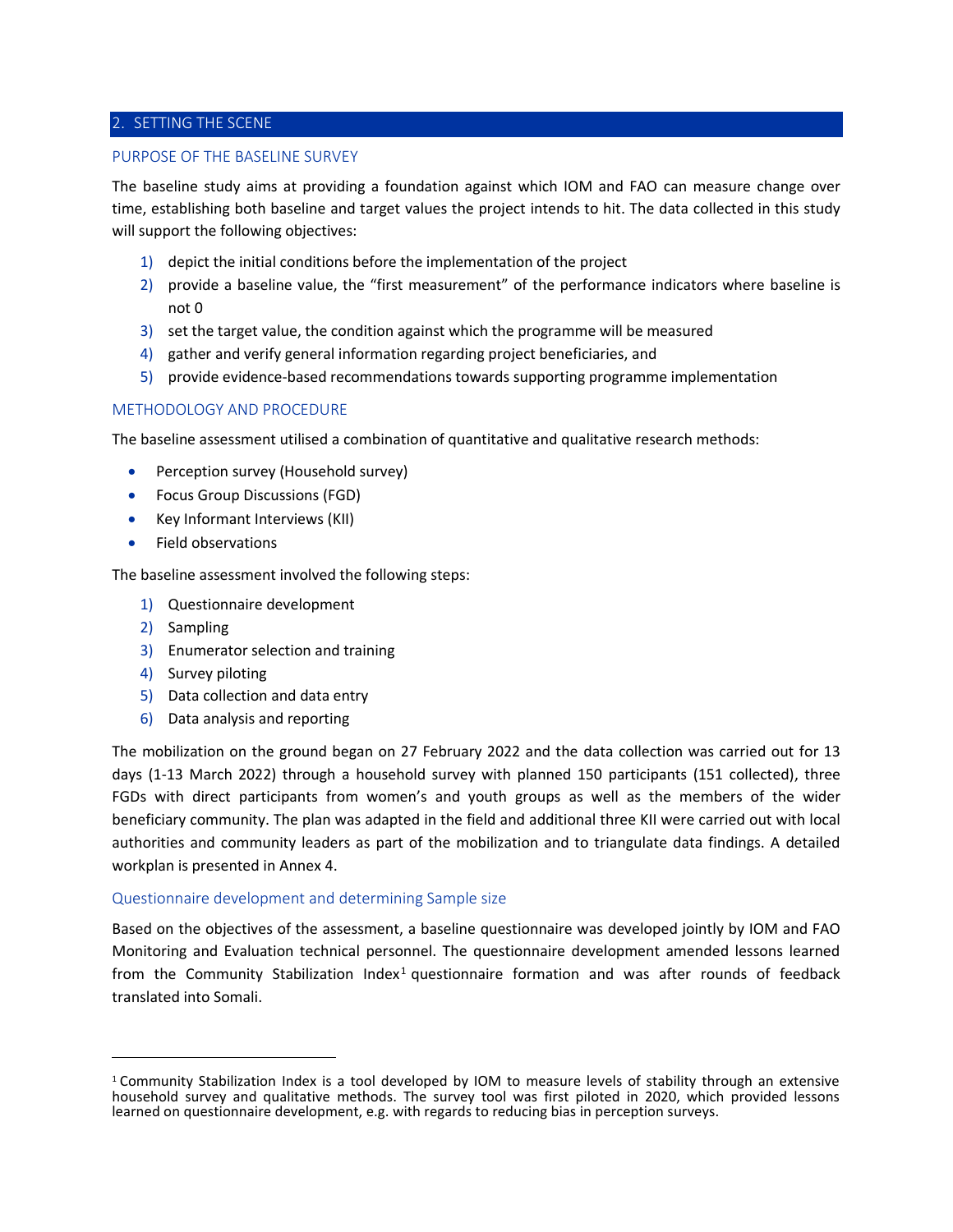# 2. SETTING THE SCENE

### PURPOSE OF THE BASELINE SURVEY

The baseline study aims at providing a foundation against which IOM and FAO can measure change over time, establishing both baseline and target values the project intends to hit. The data collected in this study will support the following objectives:

- 1) depict the initial conditions before the implementation of the project
- 2) provide a baseline value, the "first measurement" of the performance indicators where baseline is not 0
- 3) set the target value, the condition against which the programme will be measured
- 4) gather and verify general information regarding project beneficiaries, and
- 5) provide evidence-based recommendations towards supporting programme implementation

# METHODOLOGY AND PROCEDURE

The baseline assessment utilised a combination of quantitative and qualitative research methods:

- Perception survey (Household survey)
- Focus Group Discussions (FGD)
- Key Informant Interviews (KII)
- Field observations

The baseline assessment involved the following steps:

- 1) Questionnaire development
- 2) Sampling
- 3) Enumerator selection and training
- 4) Survey piloting
- 5) Data collection and data entry
- 6) Data analysis and reporting

The mobilization on the ground began on 27 February 2022 and the data collection was carried out for 13 days (1-13 March 2022) through a household survey with planned 150 participants (151 collected), three FGDs with direct participants from women's and youth groups as well as the members of the wider beneficiary community. The plan was adapted in the field and additional three KII were carried out with local authorities and community leaders as part of the mobilization and to triangulate data findings. A detailed workplan is presented in Annex 4.

### Questionnaire development and determining Sample size

Based on the objectives of the assessment, a baseline questionnaire was developed jointly by IOM and FAO Monitoring and Evaluation technical personnel. The questionnaire development amended lessons learned from the Community Stabilization Index<sup>1</sup> questionnaire formation and was after rounds of feedback translated into Somali.

<sup>1</sup> Community Stabilization Index is a tool developed by IOM to measure levels of stability through an extensive household survey and qualitative methods. The survey tool was first piloted in 2020, which provided lessons learned on questionnaire development, e.g. with regards to reducing bias in perception surveys.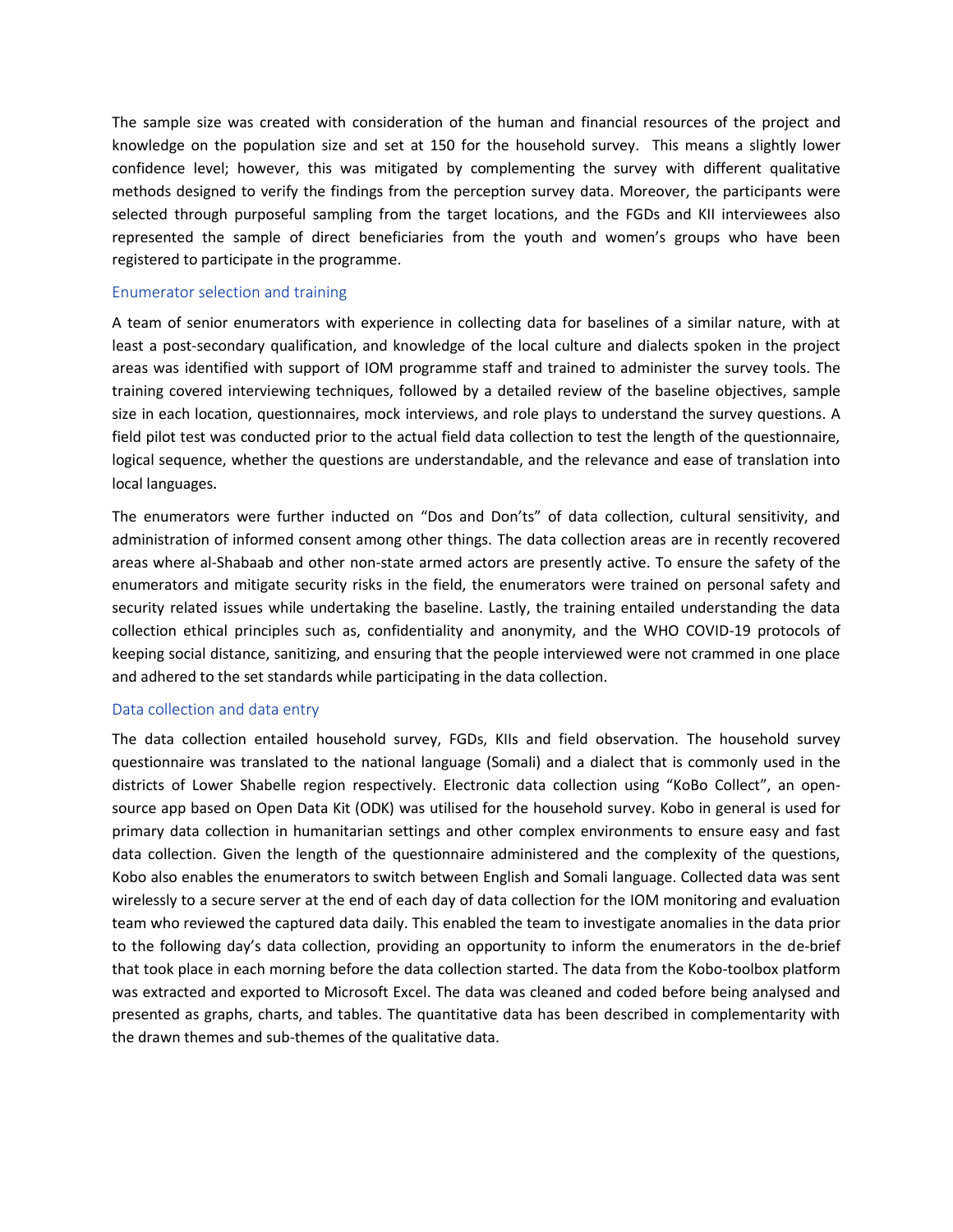The sample size was created with consideration of the human and financial resources of the project and knowledge on the population size and set at 150 for the household survey. This means a slightly lower confidence level; however, this was mitigated by complementing the survey with different qualitative methods designed to verify the findings from the perception survey data. Moreover, the participants were selected through purposeful sampling from the target locations, and the FGDs and KII interviewees also represented the sample of direct beneficiaries from the youth and women's groups who have been registered to participate in the programme.

### Enumerator selection and training

A team of senior enumerators with experience in collecting data for baselines of a similar nature, with at least a post-secondary qualification, and knowledge of the local culture and dialects spoken in the project areas was identified with support of IOM programme staff and trained to administer the survey tools. The training covered interviewing techniques, followed by a detailed review of the baseline objectives, sample size in each location, questionnaires, mock interviews, and role plays to understand the survey questions. A field pilot test was conducted prior to the actual field data collection to test the length of the questionnaire, logical sequence, whether the questions are understandable, and the relevance and ease of translation into local languages.

The enumerators were further inducted on "Dos and Don'ts" of data collection, cultural sensitivity, and administration of informed consent among other things. The data collection areas are in recently recovered areas where al-Shabaab and other non-state armed actors are presently active. To ensure the safety of the enumerators and mitigate security risks in the field, the enumerators were trained on personal safety and security related issues while undertaking the baseline. Lastly, the training entailed understanding the data collection ethical principles such as, confidentiality and anonymity, and the WHO COVID-19 protocols of keeping social distance, sanitizing, and ensuring that the people interviewed were not crammed in one place and adhered to the set standards while participating in the data collection.

### Data collection and data entry

The data collection entailed household survey, FGDs, KIIs and field observation. The household survey questionnaire was translated to the national language (Somali) and a dialect that is commonly used in the districts of Lower Shabelle region respectively. Electronic data collection using "KoBo Collect", an opensource app based on Open Data Kit (ODK) was utilised for the household survey. Kobo in general is used for primary data collection in humanitarian settings and other complex environments to ensure easy and fast data collection. Given the length of the questionnaire administered and the complexity of the questions, Kobo also enables the enumerators to switch between English and Somali language. Collected data was sent wirelessly to a secure server at the end of each day of data collection for the IOM monitoring and evaluation team who reviewed the captured data daily. This enabled the team to investigate anomalies in the data prior to the following day's data collection, providing an opportunity to inform the enumerators in the de-brief that took place in each morning before the data collection started. The data from the Kobo-toolbox platform was extracted and exported to Microsoft Excel. The data was cleaned and coded before being analysed and presented as graphs, charts, and tables. The quantitative data has been described in complementarity with the drawn themes and sub-themes of the qualitative data.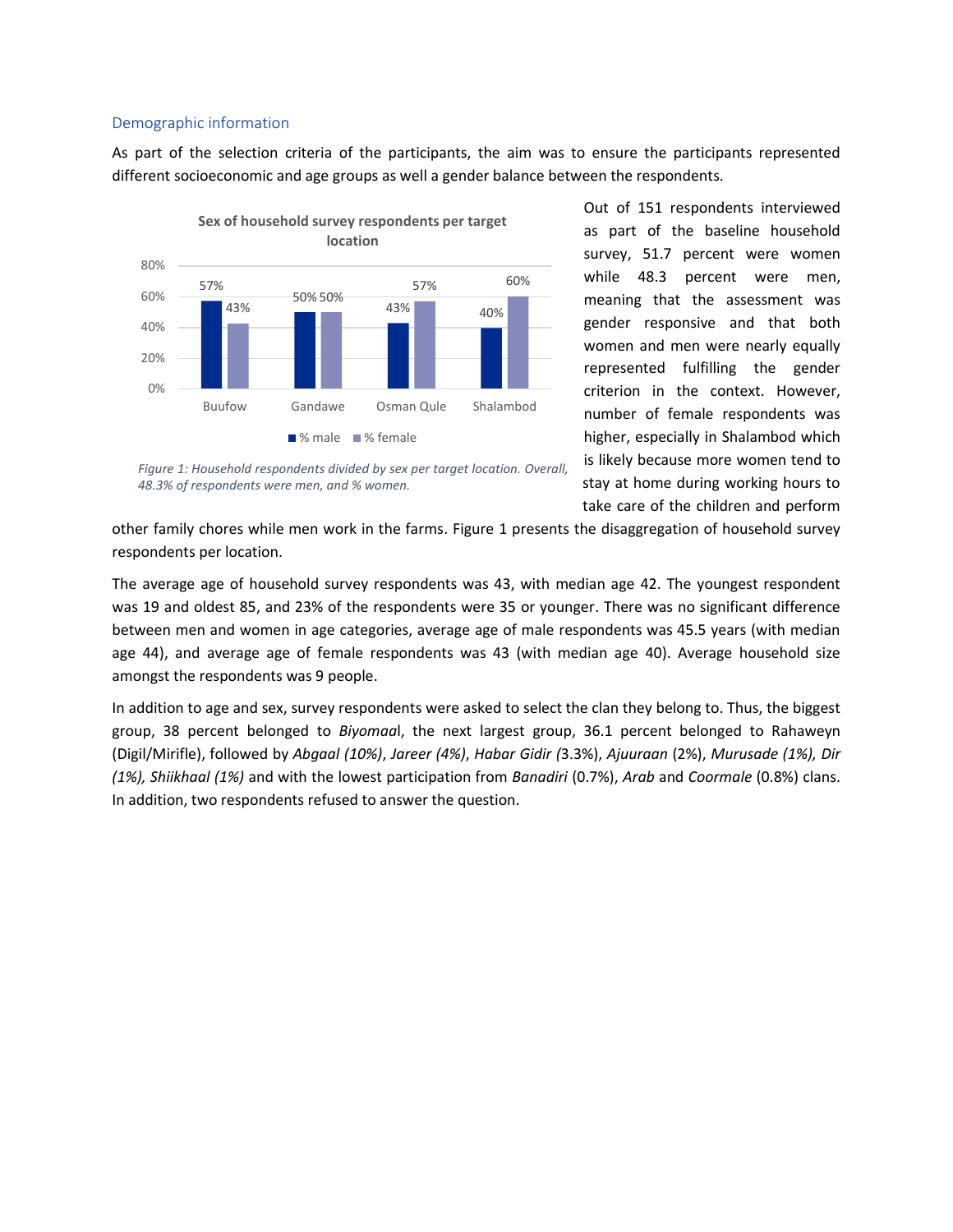### Demographic information

As part of the selection criteria of the participants, the aim was to ensure the participants represented different socioeconomic and age groups as well a gender balance between the respondents.



Out of 151 respondents interviewed as part of the baseline household survey, 51.7 percent were women while 48.3 percent were men, meaning that the assessment was gender responsive and that both women and men were nearly equally represented fulfilling the gender criterion in the context. However, number of female respondents was higher, especially in Shalambod which is likely because more women tend to stay at home during working hours to take care of the children and perform

*Figure 1: Household respondents divided by sex per target location. Overall, 48.3% of respondents were men, and % women.*

other family chores while men work in the farms. Figure 1 presents the disaggregation of household survey respondents per location.

The average age of household survey respondents was 43, with median age 42. The youngest respondent was 19 and oldest 85, and 23% of the respondents were 35 or younger. There was no significant difference between men and women in age categories, average age of male respondents was 45.5 years (with median age 44), and average age of female respondents was 43 (with median age 40). Average household size amongst the respondents was 9 people.

In addition to age and sex, survey respondents were asked to select the clan they belong to. Thus, the biggest group, 38 percent belonged to *Biyomaa*l, the next largest group, 36.1 percent belonged to Rahaweyn (Digil/Mirifle), followed by *Abgaal (10%)*, *Jareer (4%)*, *Habar Gidir (*3.3%), *Ajuuraan* (2%), *Murusade (1%), Dir (1%), Shiikhaal (1%)* and with the lowest participation from *Banadiri* (0.7%), *Arab* and *Coormale* (0.8%) clans. In addition, two respondents refused to answer the question.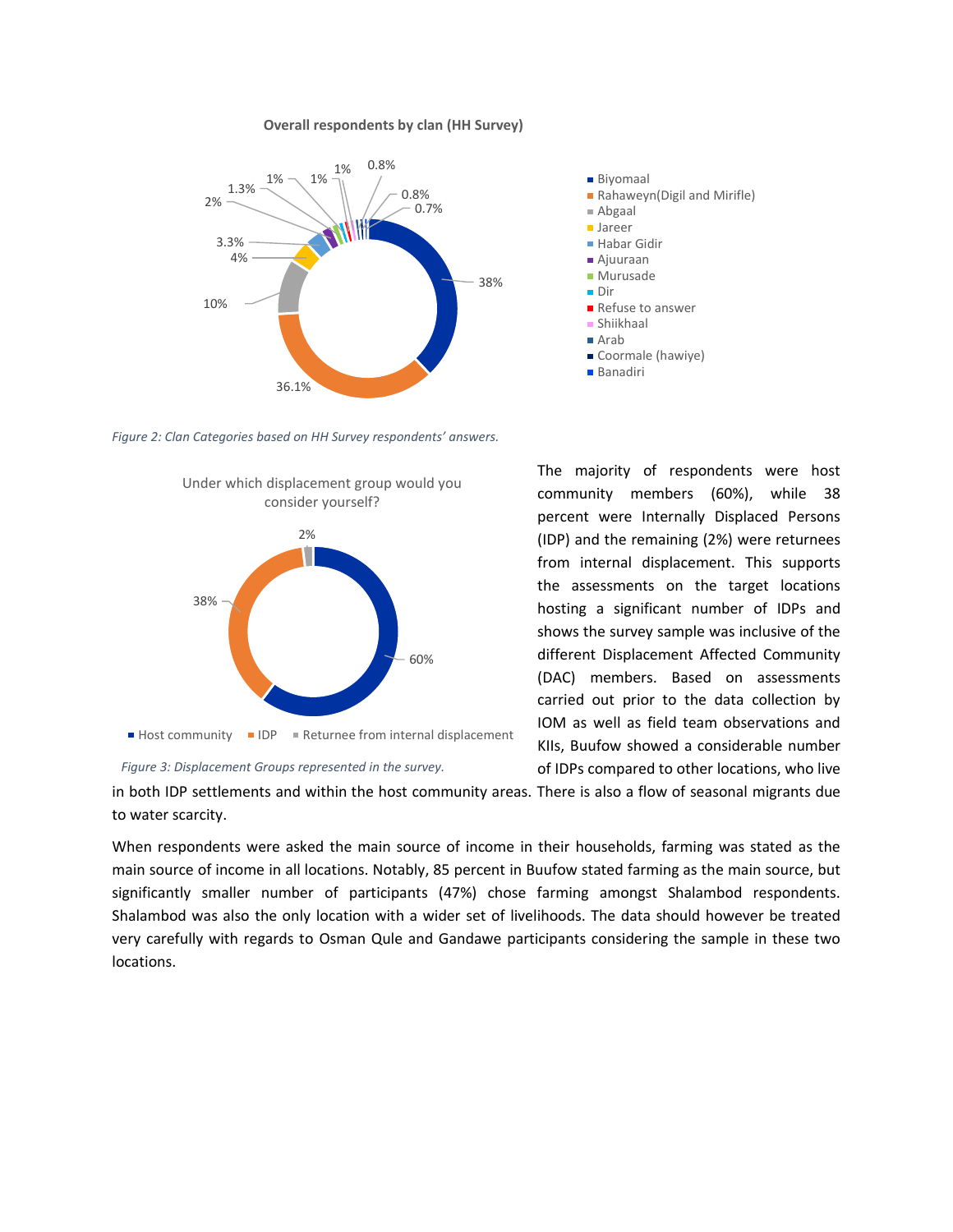#### **Overall respondents by clan (HH Survey)**



Rahaweyn(Digil and Mirifle) Abgaal Jareer ■ Habar Gidir Ajuuraan **Murusade** Dir Refuse to answer Shiikhaal ■ Arah

- Coormale (hawiye)
- Banadiri

Biyomaal

*Figure 2: Clan Categories based on HH Survey respondents' answers.*



*Figure 3: Displacement Groups represented in the survey.*

The majority of respondents were host community members (60%), while 38 percent were Internally Displaced Persons (IDP) and the remaining (2%) were returnees from internal displacement. This supports the assessments on the target locations hosting a significant number of IDPs and shows the survey sample was inclusive of the different Displacement Affected Community (DAC) members. Based on assessments carried out prior to the data collection by IOM as well as field team observations and KIIs, Buufow showed a considerable number of IDPs compared to other locations, who live

in both IDP settlements and within the host community areas. There is also a flow of seasonal migrants due to water scarcity.

When respondents were asked the main source of income in their households, farming was stated as the main source of income in all locations. Notably, 85 percent in Buufow stated farming as the main source, but significantly smaller number of participants (47%) chose farming amongst Shalambod respondents. Shalambod was also the only location with a wider set of livelihoods. The data should however be treated very carefully with regards to Osman Qule and Gandawe participants considering the sample in these two locations.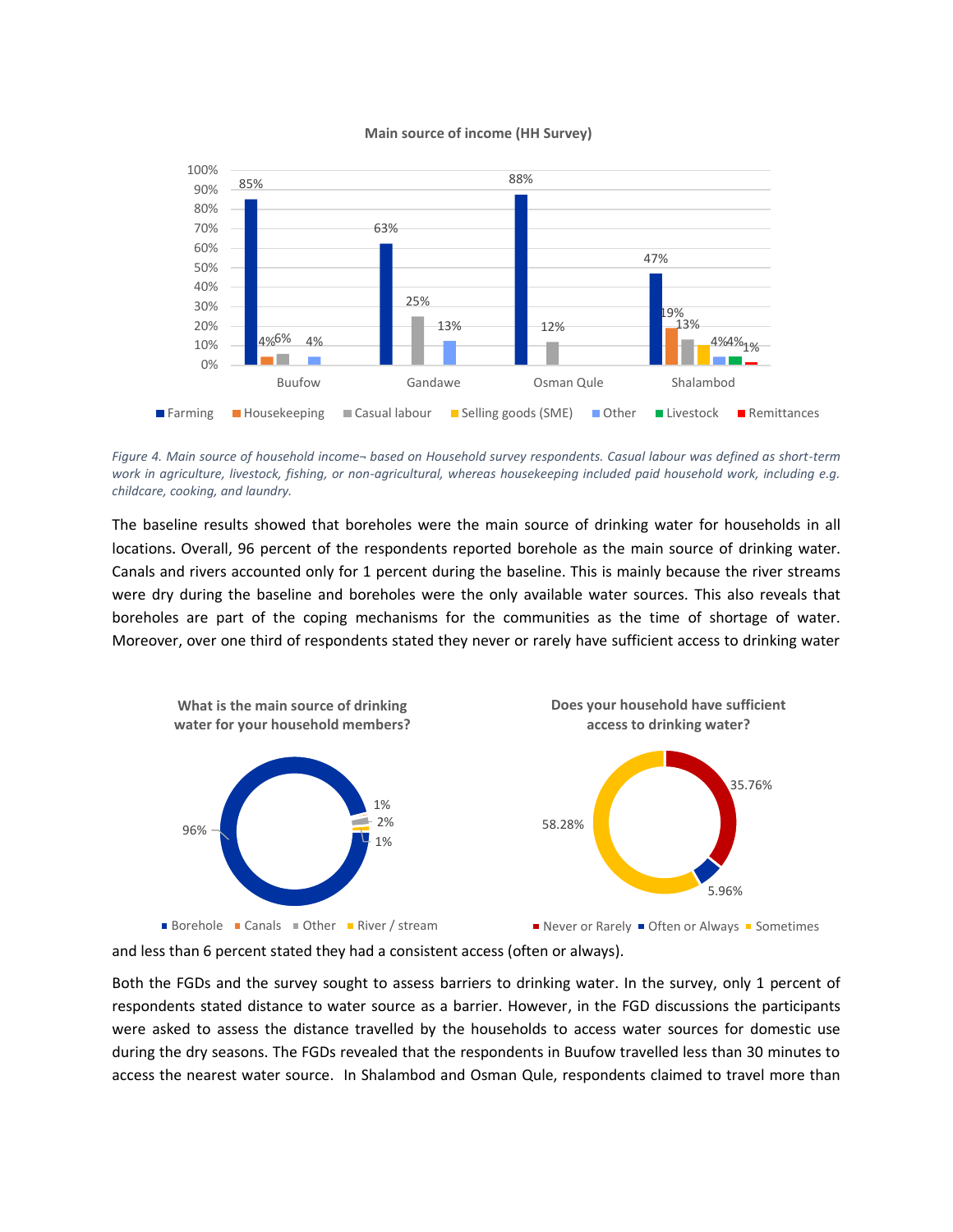

#### **Main source of income (HH Survey)**

*Figure 4. Main source of household income¬ based on Household survey respondents. Casual labour was defined as short-term work in agriculture, livestock, fishing, or non-agricultural, whereas housekeeping included paid household work, including e.g. childcare, cooking, and laundry.*

The baseline results showed that boreholes were the main source of drinking water for households in all locations. Overall, 96 percent of the respondents reported borehole as the main source of drinking water. Canals and rivers accounted only for 1 percent during the baseline. This is mainly because the river streams were dry during the baseline and boreholes were the only available water sources. This also reveals that boreholes are part of the coping mechanisms for the communities as the time of shortage of water. Moreover, over one third of respondents stated they never or rarely have sufficient access to drinking water



and less than 6 percent stated they had a consistent access (often or always).

Both the FGDs and the survey sought to assess barriers to drinking water. In the survey, only 1 percent of respondents stated distance to water source as a barrier. However, in the FGD discussions the participants were asked to assess the distance travelled by the households to access water sources for domestic use during the dry seasons. The FGDs revealed that the respondents in Buufow travelled less than 30 minutes to access the nearest water source. In Shalambod and Osman Qule, respondents claimed to travel more than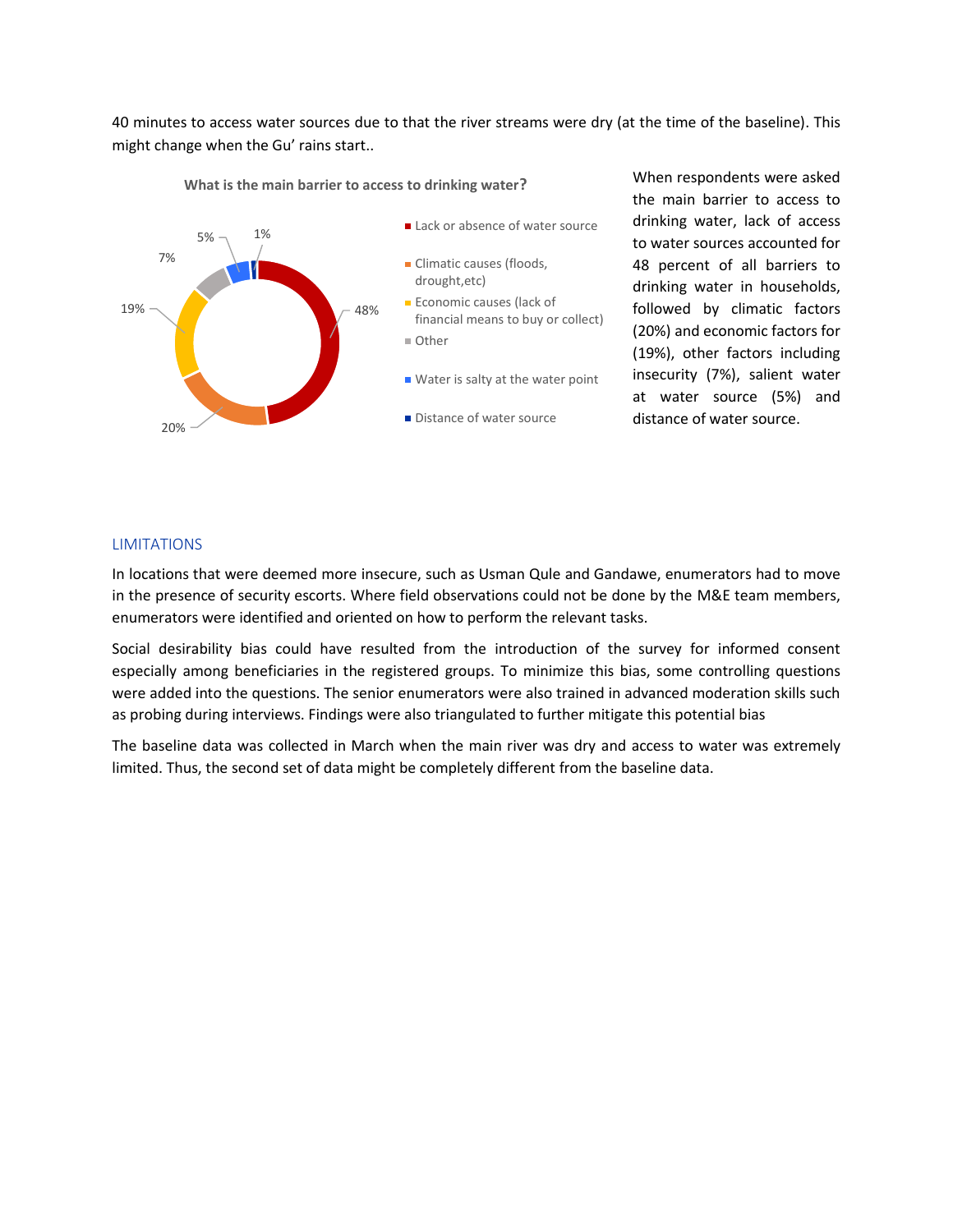40 minutes to access water sources due to that the river streams were dry (at the time of the baseline). This might change when the Gu' rains start..



**What is the main barrier to access to drinking water?**

When respondents were asked the main barrier to access to drinking water, lack of access to water sources accounted for 48 percent of all barriers to drinking water in households, followed by climatic factors (20%) and economic factors for (19%), other factors including insecurity (7%), salient water at water source (5%) and distance of water source.

# **LIMITATIONS**

In locations that were deemed more insecure, such as Usman Qule and Gandawe, enumerators had to move in the presence of security escorts. Where field observations could not be done by the M&E team members, enumerators were identified and oriented on how to perform the relevant tasks.

Social desirability bias could have resulted from the introduction of the survey for informed consent especially among beneficiaries in the registered groups. To minimize this bias, some controlling questions were added into the questions. The senior enumerators were also trained in advanced moderation skills such as probing during interviews. Findings were also triangulated to further mitigate this potential bias

The baseline data was collected in March when the main river was dry and access to water was extremely limited. Thus, the second set of data might be completely different from the baseline data.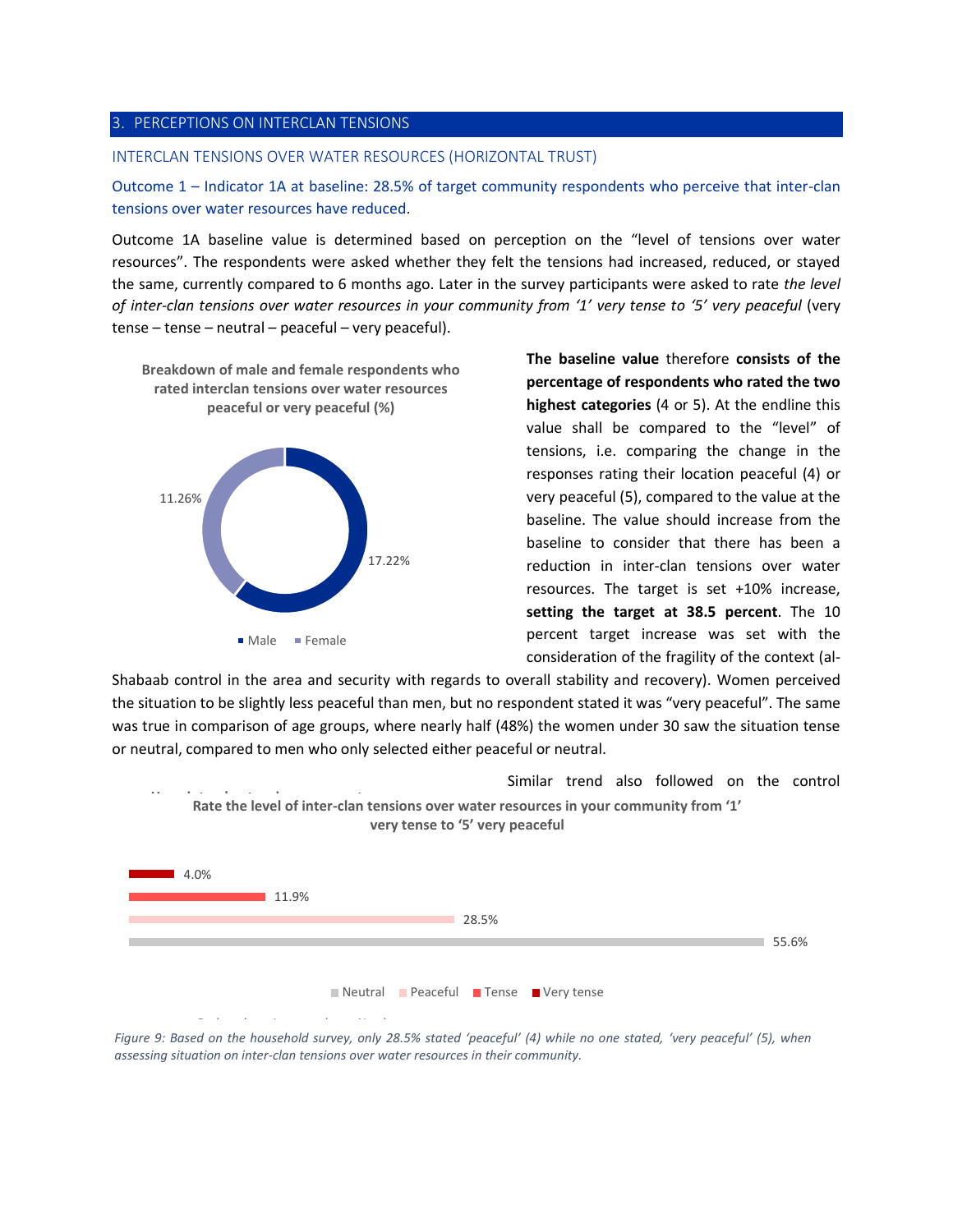#### 3. PERCEPTIONS ON INTERCLAN TENSIONS

### INTERCLAN TENSIONS OVER WATER RESOURCES (HORIZONTAL TRUST)

Outcome 1 – Indicator 1A at baseline: 28.5% of target community respondents who perceive that inter-clan tensions over water resources have reduced.

Outcome 1A baseline value is determined based on perception on the "level of tensions over water resources". The respondents were asked whether they felt the tensions had increased, reduced, or stayed the same, currently compared to 6 months ago. Later in the survey participants were asked to rate *the level of inter-clan tensions over water resources in your community from '1' very tense to '5' very peaceful* (very tense – tense – neutral – peaceful – very peaceful).



**The baseline value** therefore **consists of the percentage of respondents who rated the two highest categories** (4 or 5). At the endline this value shall be compared to the "level" of tensions, i.e. comparing the change in the responses rating their location peaceful (4) or very peaceful (5), compared to the value at the baseline. The value should increase from the baseline to consider that there has been a reduction in inter-clan tensions over water resources. The target is set +10% increase, **setting the target at 38.5 percent**. The 10 percent target increase was set with the consideration of the fragility of the context (al-

Shabaab control in the area and security with regards to overall stability and recovery). Women perceived the situation to be slightly less peaceful than men, but no respondent stated it was "very peaceful". The same was true in comparison of age groups, where nearly half (48%) the women under 30 saw the situation tense or neutral, compared to men who only selected either peaceful or neutral.

Similar trend also followed on the control **Have interclan tensions over water resources Rate the level of inter-clan tensions over water resources in your community from '1' Rate the level of inter-clan tensions over water resources in your community from '1'** Reduced Increased No change 55.6% 28.5%  $11.9%$ 4.0% **very tense to '5' very peaceful** Neutral Peaceful Tense Very tense

*Figure 9: Based on the household survey, only 28.5% stated 'peaceful' (4) while no one stated, 'very peaceful' (5), when assessing situation on inter-clan tensions over water resources in their community.*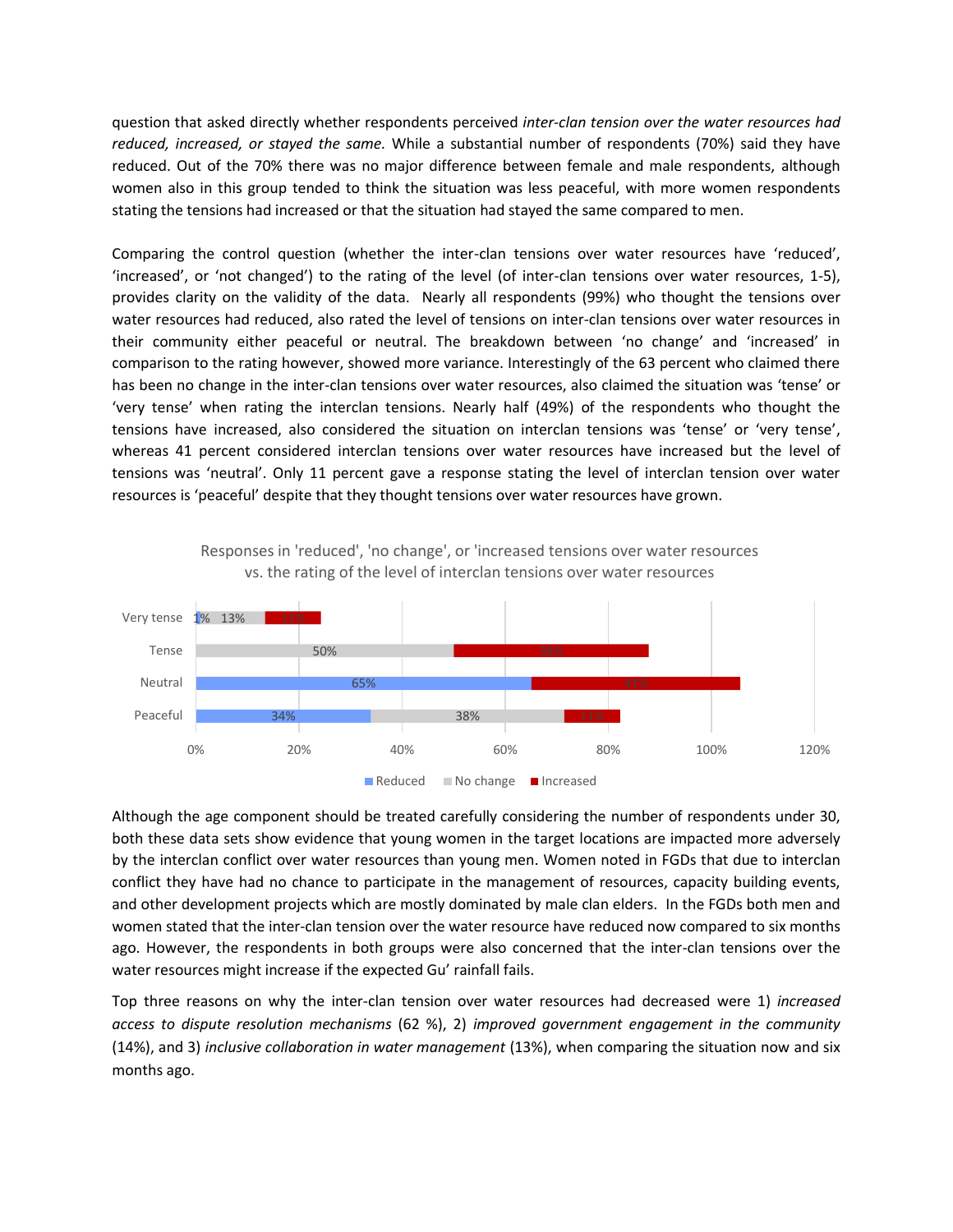question that asked directly whether respondents perceived *inter-clan tension over the water resources had reduced, increased, or stayed the same.* While a substantial number of respondents (70%) said they have reduced. Out of the 70% there was no major difference between female and male respondents, although women also in this group tended to think the situation was less peaceful, with more women respondents stating the tensions had increased or that the situation had stayed the same compared to men.

Comparing the control question (whether the inter-clan tensions over water resources have 'reduced', 'increased', or 'not changed') to the rating of the level (of inter-clan tensions over water resources, 1-5), provides clarity on the validity of the data. Nearly all respondents (99%) who thought the tensions over water resources had reduced, also rated the level of tensions on inter-clan tensions over water resources in their community either peaceful or neutral. The breakdown between 'no change' and 'increased' in comparison to the rating however, showed more variance. Interestingly of the 63 percent who claimed there has been no change in the inter-clan tensions over water resources, also claimed the situation was 'tense' or 'very tense' when rating the interclan tensions. Nearly half (49%) of the respondents who thought the tensions have increased, also considered the situation on interclan tensions was 'tense' or 'very tense', whereas 41 percent considered interclan tensions over water resources have increased but the level of tensions was 'neutral'. Only 11 percent gave a response stating the level of interclan tension over water resources is 'peaceful' despite that they thought tensions over water resources have grown.



Responses in 'reduced', 'no change', or 'increased tensions over water resources vs. the rating of the level of interclan tensions over water resources

Although the age component should be treated carefully considering the number of respondents under 30, both these data sets show evidence that young women in the target locations are impacted more adversely by the interclan conflict over water resources than young men. Women noted in FGDs that due to interclan conflict they have had no chance to participate in the management of resources, capacity building events, and other development projects which are mostly dominated by male clan elders. In the FGDs both men and women stated that the inter-clan tension over the water resource have reduced now compared to six months ago. However, the respondents in both groups were also concerned that the inter-clan tensions over the water resources might increase if the expected Gu' rainfall fails.

Top three reasons on why the inter-clan tension over water resources had decreased were 1) *increased access to dispute resolution mechanisms* (62 %), 2) *improved government engagement in the community*  (14%), and 3) *inclusive collaboration in water management* (13%), when comparing the situation now and six months ago.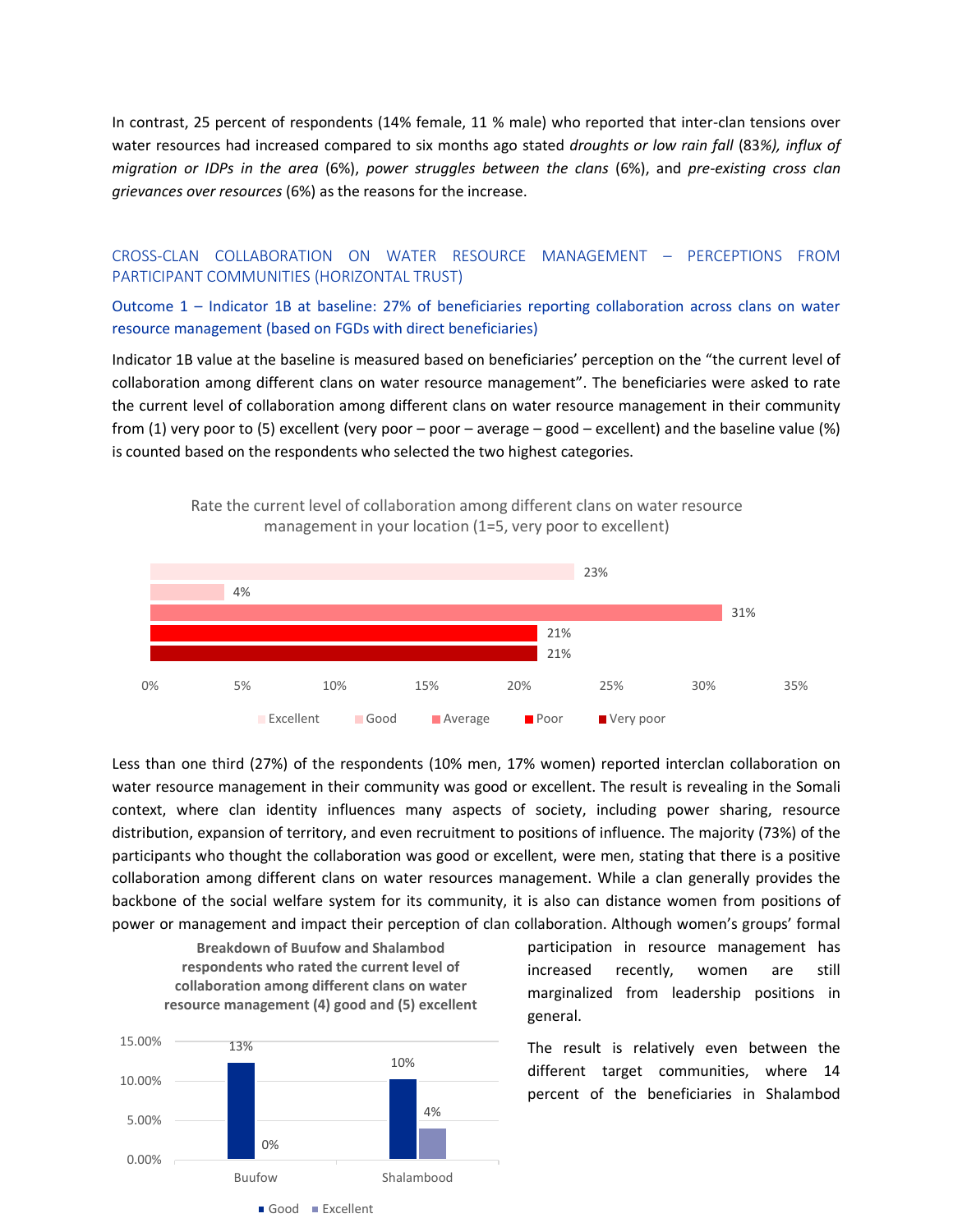In contrast, 25 percent of respondents (14% female, 11 % male) who reported that inter-clan tensions over water resources had increased compared to six months ago stated *droughts or low rain fall* (83*%), influx of migration or IDPs in the area* (6%), *power struggles between the clans* (6%), and *pre-existing cross clan grievances over resources* (6%) as the reasons for the increase.

# CROSS-CLAN COLLABORATION ON WATER RESOURCE MANAGEMENT – PERCEPTIONS FROM PARTICIPANT COMMUNITIES (HORIZONTAL TRUST)

Outcome 1 – Indicator 1B at baseline: 27% of beneficiaries reporting collaboration across clans on water resource management (based on FGDs with direct beneficiaries)

Indicator 1B value at the baseline is measured based on beneficiaries' perception on the "the current level of collaboration among different clans on water resource management". The beneficiaries were asked to rate the current level of collaboration among different clans on water resource management in their community from (1) very poor to (5) excellent (very poor – poor – average – good – excellent) and the baseline value (%) is counted based on the respondents who selected the two highest categories.



Rate the current level of collaboration among different clans on water resource management in your location (1=5, very poor to excellent)

Less than one third (27%) of the respondents (10% men, 17% women) reported interclan collaboration on water resource management in their community was good or excellent. The result is revealing in the Somali context, where clan identity influences many aspects of society, including power sharing, resource distribution, expansion of territory, and even recruitment to positions of influence. The majority (73%) of the participants who thought the collaboration was good or excellent, were men, stating that there is a positive collaboration among different clans on water resources management. While a clan generally provides the backbone of the social welfare system for its community, it is also can distance women from positions of power or management and impact their perception of clan collaboration. Although women's groups' formal



participation in resource management has increased recently, women are still marginalized from leadership positions in general.

The result is relatively even between the different target communities, where 14 percent of the beneficiaries in Shalambod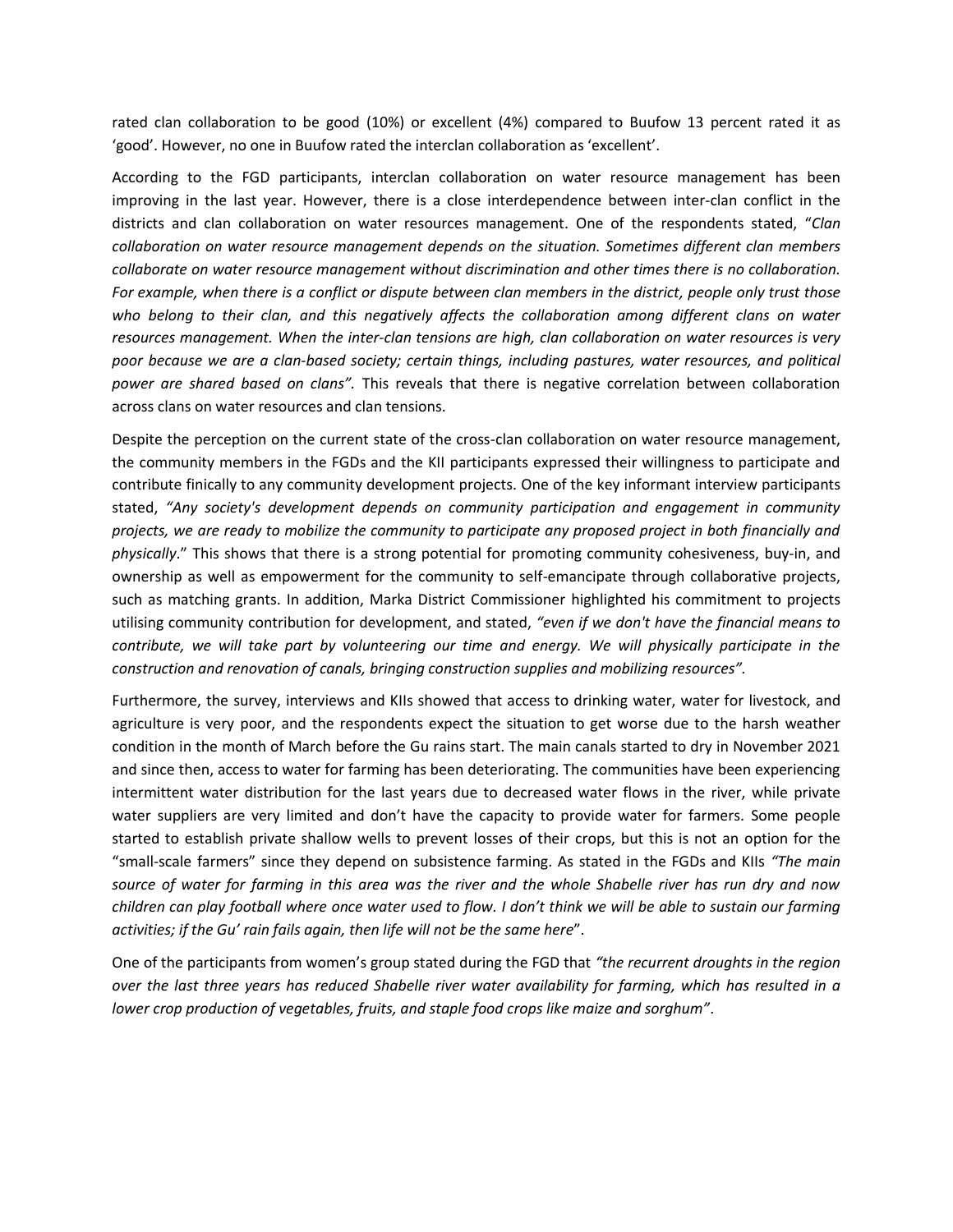rated clan collaboration to be good (10%) or excellent (4%) compared to Buufow 13 percent rated it as 'good'. However, no one in Buufow rated the interclan collaboration as 'excellent'.

According to the FGD participants, interclan collaboration on water resource management has been improving in the last year. However, there is a close interdependence between inter-clan conflict in the districts and clan collaboration on water resources management. One of the respondents stated, "*Clan collaboration on water resource management depends on the situation. Sometimes different clan members collaborate on water resource management without discrimination and other times there is no collaboration. For example, when there is a conflict or dispute between clan members in the district, people only trust those who belong to their clan, and this negatively affects the collaboration among different clans on water resources management. When the inter-clan tensions are high, clan collaboration on water resources is very poor because we are a clan-based society; certain things, including pastures, water resources, and political power are shared based on clans".* This reveals that there is negative correlation between collaboration across clans on water resources and clan tensions.

Despite the perception on the current state of the cross-clan collaboration on water resource management, the community members in the FGDs and the KII participants expressed their willingness to participate and contribute finically to any community development projects. One of the key informant interview participants stated, *"Any society's development depends on community participation and engagement in community projects, we are ready to mobilize the community to participate any proposed project in both financially and physically*." This shows that there is a strong potential for promoting community cohesiveness, buy-in, and ownership as well as empowerment for the community to self-emancipate through collaborative projects, such as matching grants. In addition, Marka District Commissioner highlighted his commitment to projects utilising community contribution for development, and stated, *"even if we don't have the financial means to contribute, we will take part by volunteering our time and energy. We will physically participate in the construction and renovation of canals, bringing construction supplies and mobilizing resources".*

Furthermore, the survey, interviews and KIIs showed that access to drinking water, water for livestock, and agriculture is very poor, and the respondents expect the situation to get worse due to the harsh weather condition in the month of March before the Gu rains start. The main canals started to dry in November 2021 and since then, access to water for farming has been deteriorating. The communities have been experiencing intermittent water distribution for the last years due to decreased water flows in the river, while private water suppliers are very limited and don't have the capacity to provide water for farmers. Some people started to establish private shallow wells to prevent losses of their crops, but this is not an option for the "small-scale farmers" since they depend on subsistence farming. As stated in the FGDs and KIIs *"The main source of water for farming in this area was the river and the whole Shabelle river has run dry and now children can play football where once water used to flow. I don't think we will be able to sustain our farming activities; if the Gu' rain fails again, then life will not be the same here*".

One of the participants from women's group stated during the FGD that *"the recurrent droughts in the region over the last three years has reduced Shabelle river water availability for farming, which has resulted in a lower crop production of vegetables, fruits, and staple food crops like maize and sorghum"*.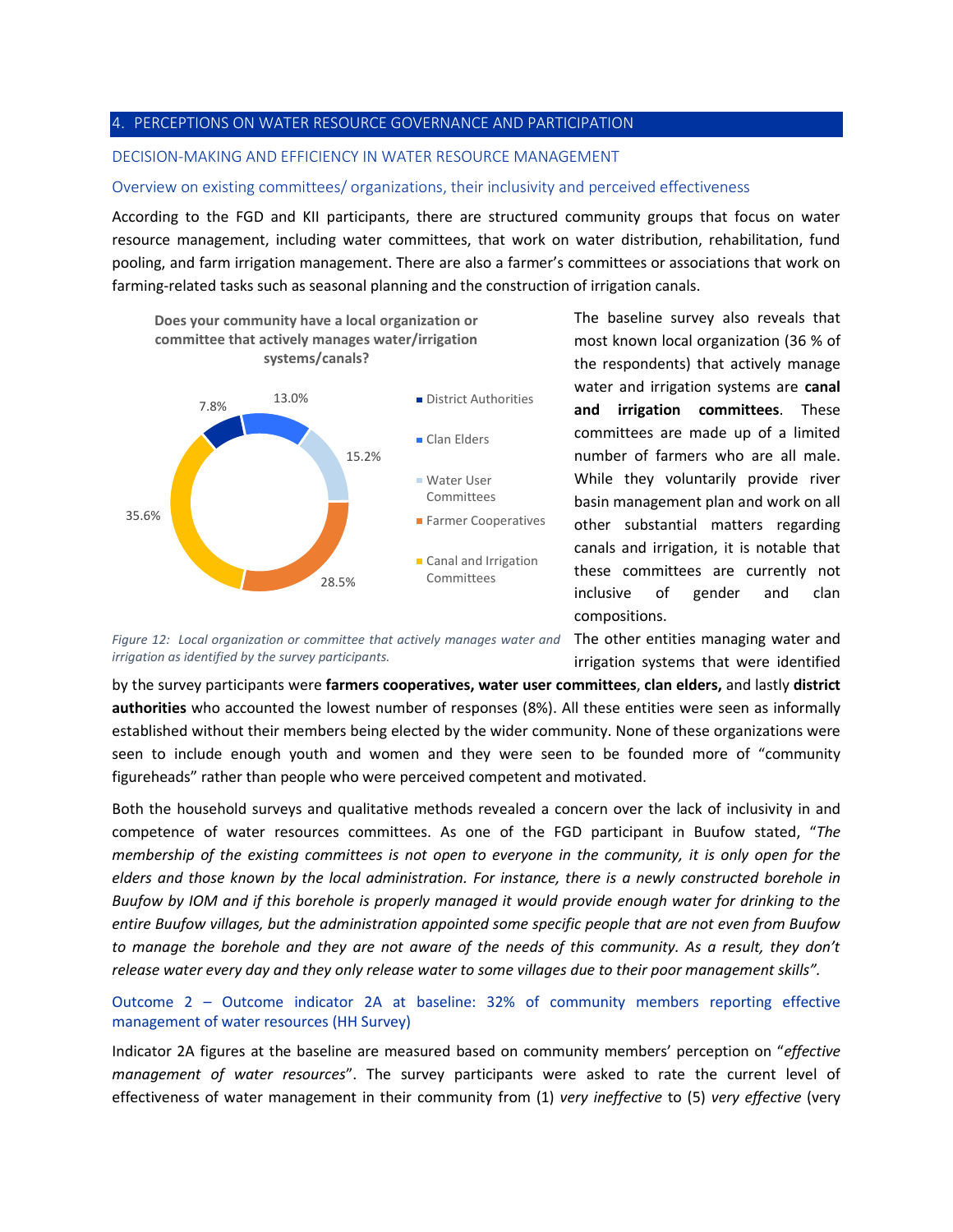#### 4. PERCEPTIONS ON WATER RESOURCE GOVERNANCE AND PARTICIPATION

### DECISION-MAKING AND EFFICIENCY IN WATER RESOURCE MANAGEMENT

#### Overview on existing committees/ organizations, their inclusivity and perceived effectiveness

According to the FGD and KII participants, there are structured community groups that focus on water resource management, including water committees, that work on water distribution, rehabilitation, fund pooling, and farm irrigation management. There are also a farmer's committees or associations that work on farming-related tasks such as seasonal planning and the construction of irrigation canals.



The baseline survey also reveals that most known local organization (36 % of the respondents) that actively manage water and irrigation systems are **canal and irrigation committees**. These committees are made up of a limited number of farmers who are all male. While they voluntarily provide river basin management plan and work on all other substantial matters regarding canals and irrigation, it is notable that these committees are currently not inclusive of gender and clan compositions.

Figure 12: Local organization or committee that actively manages water and The other entities managing water and *irrigation as identified by the survey participants.*

irrigation systems that were identified by the survey participants were **farmers cooperatives, water user committees**, **clan elders,** and lastly **district** 

**authorities** who accounted the lowest number of responses (8%). All these entities were seen as informally established without their members being elected by the wider community. None of these organizations were seen to include enough youth and women and they were seen to be founded more of "community figureheads" rather than people who were perceived competent and motivated.

Both the household surveys and qualitative methods revealed a concern over the lack of inclusivity in and competence of water resources committees. As one of the FGD participant in Buufow stated, "*The membership of the existing committees is not open to everyone in the community, it is only open for the elders and those known by the local administration. For instance, there is a newly constructed borehole in Buufow by IOM and if this borehole is properly managed it would provide enough water for drinking to the entire Buufow villages, but the administration appointed some specific people that are not even from Buufow to manage the borehole and they are not aware of the needs of this community. As a result, they don't release water every day and they only release water to some villages due to their poor management skills".*

# Outcome 2 – Outcome indicator 2A at baseline: 32% of community members reporting effective management of water resources (HH Survey)

Indicator 2A figures at the baseline are measured based on community members' perception on "*effective management of water resources*". The survey participants were asked to rate the current level of effectiveness of water management in their community from (1) *very ineffective* to (5) *very effective* (very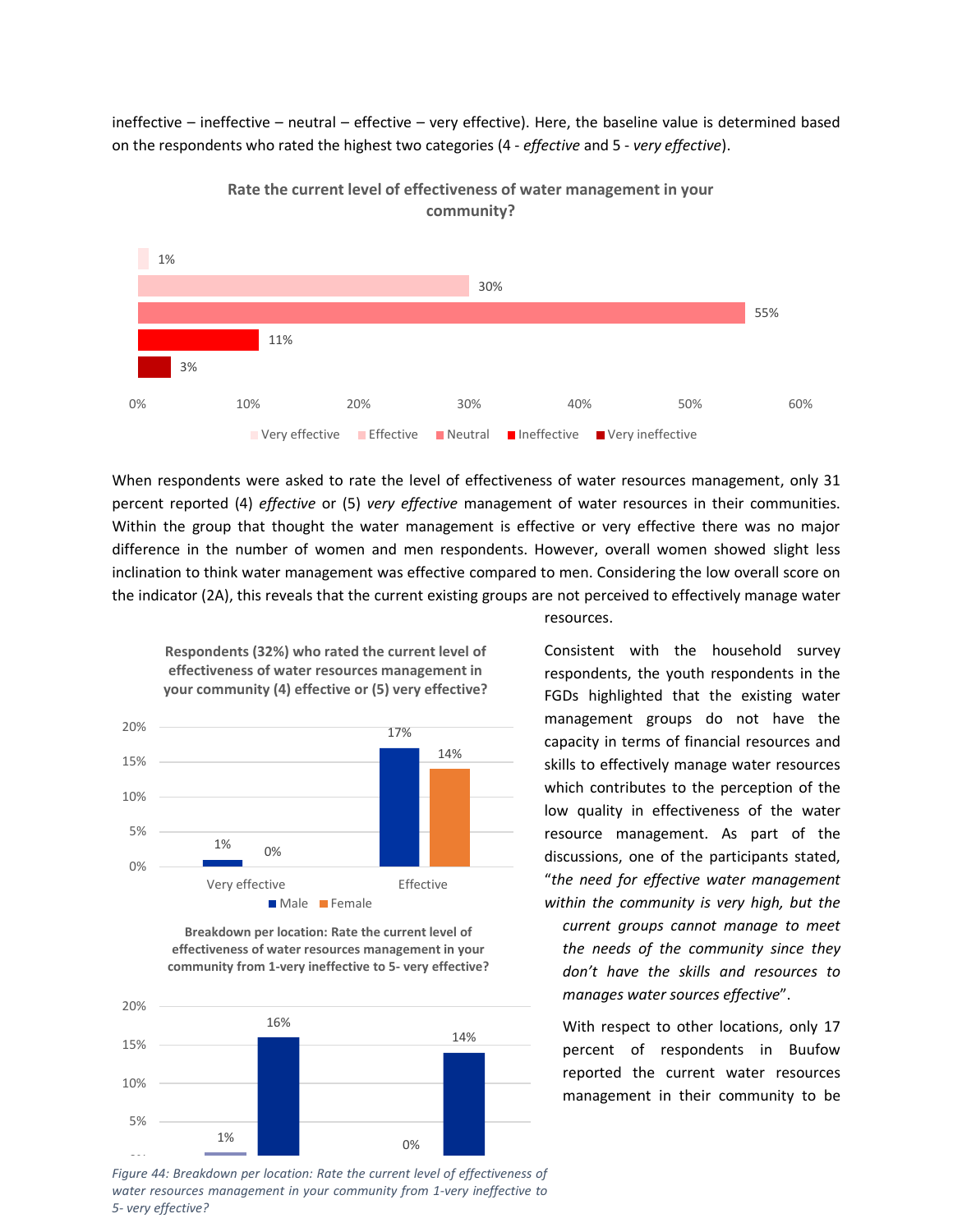ineffective – ineffective – neutral – effective – very effective). Here, the baseline value is determined based on the respondents who rated the highest two categories (4 - *effective* and 5 - *very effective*).



**Rate the current level of effectiveness of water management in your community?**

When respondents were asked to rate the level of effectiveness of water resources management, only 31 percent reported (4) *effective* or (5) *very effective* management of water resources in their communities. Within the group that thought the water management is effective or very effective there was no major difference in the number of women and men respondents. However, overall women showed slight less inclination to think water management was effective compared to men. Considering the low overall score on the indicator (2A), this reveals that the current existing groups are not perceived to effectively manage water

**effectiveness of water resources management in your community (4) effective or (5) very effective?**

**Respondents (32%) who rated the current level of** 



**Breakdown per location: Rate the current level of effectiveness of water resources management in your community from 1-very ineffective to 5- very effective?**



Figure 44: Breakdown per location: Rate the current level of effectiveness of *water resources management in your community from 1-very ineffective to 5- very effective?*

resources.

Consistent with the household survey respondents, the youth respondents in the FGDs highlighted that the existing water management groups do not have the capacity in terms of financial resources and skills to effectively manage water resources which contributes to the perception of the low quality in effectiveness of the water resource management. As part of the discussions, one of the participants stated, "*the need for effective water management within the community is very high, but the current groups cannot manage to meet the needs of the community since they don't have the skills and resources to manages water sources effective*".

With respect to other locations, only 17 percent of respondents in Buufow reported the current water resources management in their community to be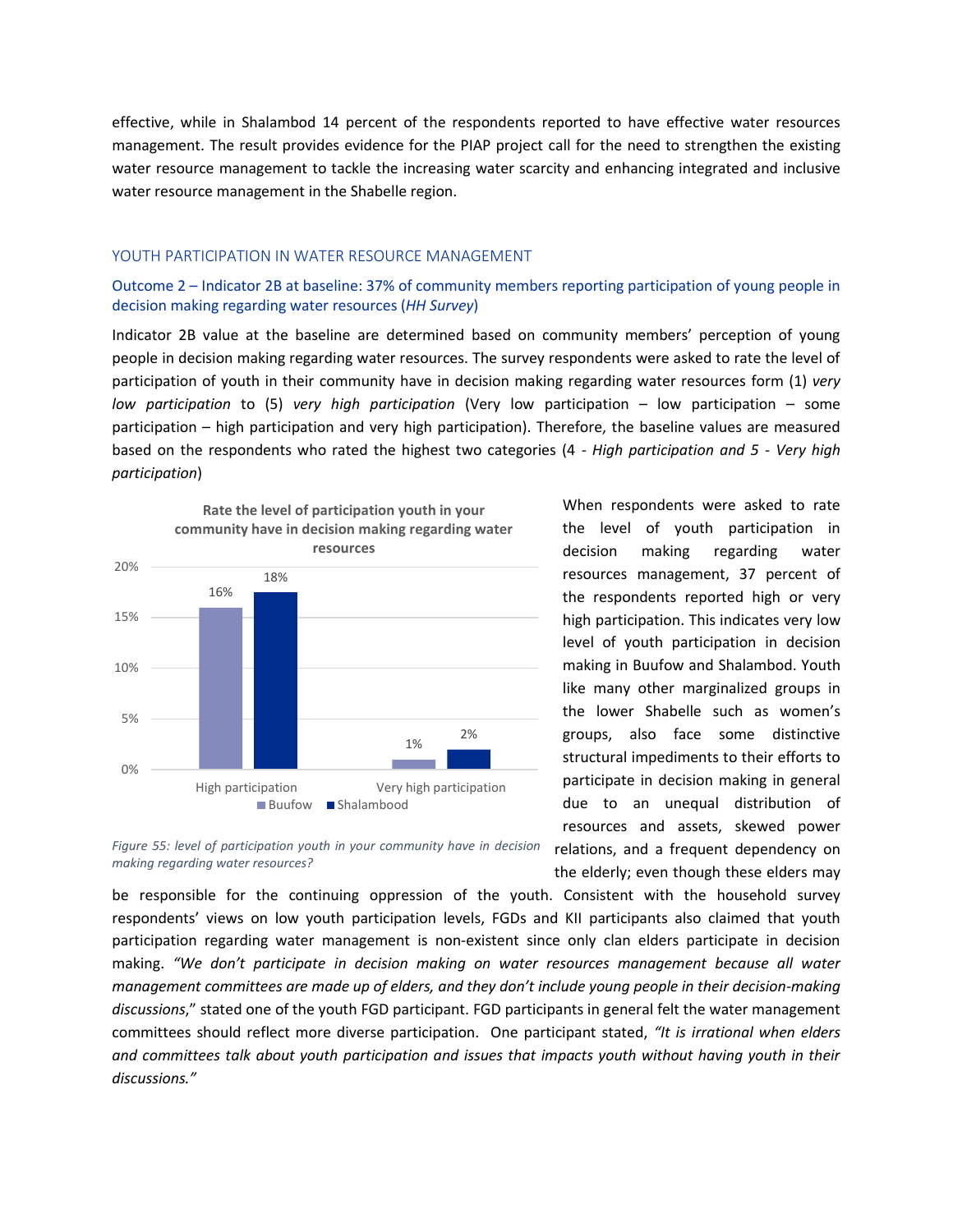effective, while in Shalambod 14 percent of the respondents reported to have effective water resources management. The result provides evidence for the PIAP project call for the need to strengthen the existing water resource management to tackle the increasing water scarcity and enhancing integrated and inclusive water resource management in the Shabelle region.

### YOUTH PARTICIPATION IN WATER RESOURCE MANAGEMENT

## Outcome 2 – Indicator 2B at baseline: 37% of community members reporting participation of young people in decision making regarding water resources (*HH Survey*)

Indicator 2B value at the baseline are determined based on community members' perception of young people in decision making regarding water resources. The survey respondents were asked to rate the level of participation of youth in their community have in decision making regarding water resources form (1) *very low participation* to (5) *very high participation* (Very low participation – low participation – some participation – high participation and very high participation). Therefore, the baseline values are measured based on the respondents who rated the highest two categories (4 *- High participation and 5 - Very high participation*)



When respondents were asked to rate the level of youth participation in decision making regarding water resources management, 37 percent of the respondents reported high or very high participation. This indicates very low level of youth participation in decision making in Buufow and Shalambod. Youth like many other marginalized groups in the lower Shabelle such as women's groups, also face some distinctive structural impediments to their efforts to participate in decision making in general due to an unequal distribution of resources and assets, skewed power relations, and a frequent dependency on the elderly; even though these elders may

*Figure 55: level of participation youth in your community have in decision making regarding water resources?*

be responsible for the continuing oppression of the youth. Consistent with the household survey respondents' views on low youth participation levels, FGDs and KII participants also claimed that youth participation regarding water management is non-existent since only clan elders participate in decision making. *"We don't participate in decision making on water resources management because all water management committees are made up of elders, and they don't include young people in their decision-making discussions*," stated one of the youth FGD participant. FGD participants in general felt the water management committees should reflect more diverse participation. One participant stated, *"It is irrational when elders and committees talk about youth participation and issues that impacts youth without having youth in their discussions."*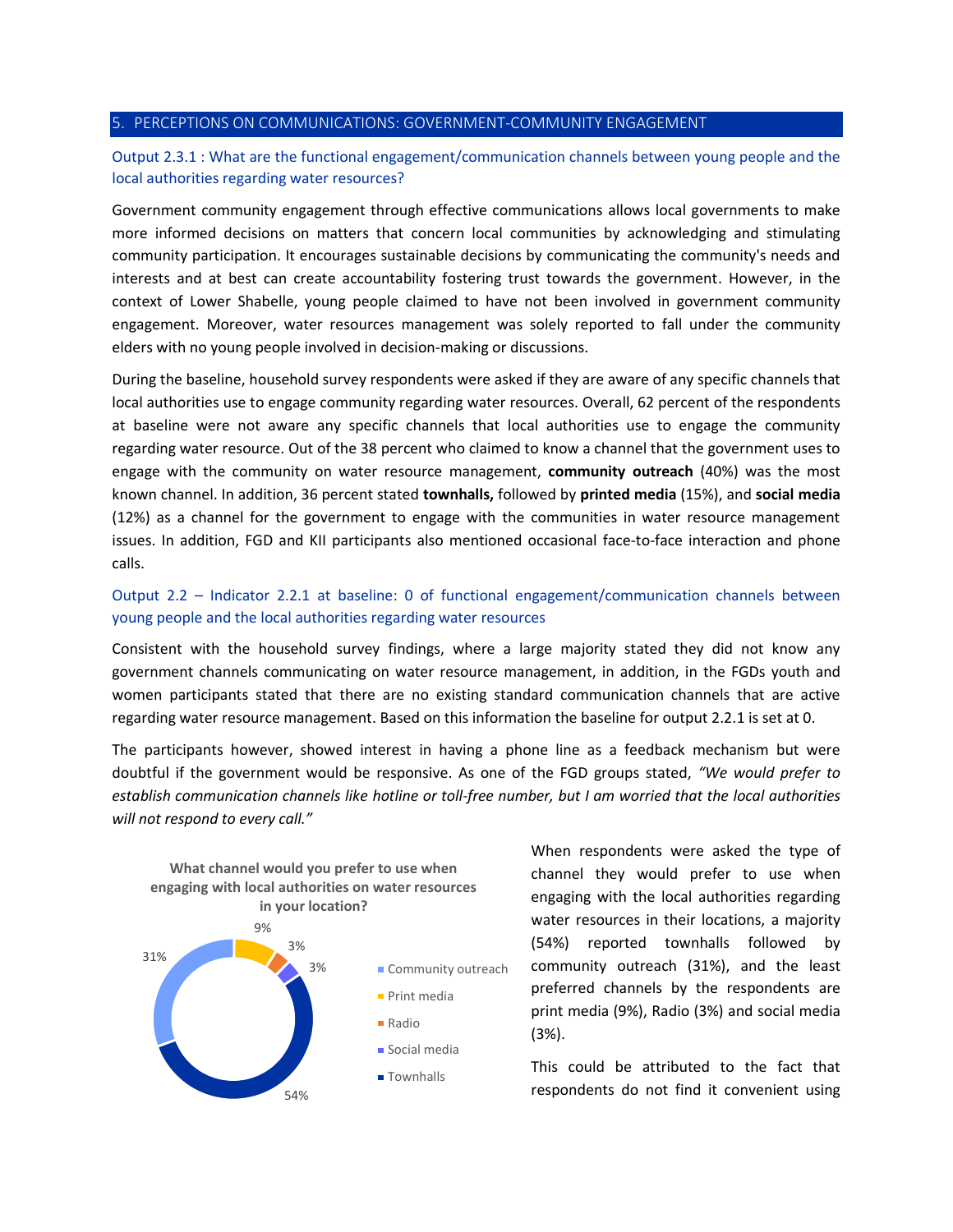### 5. PERCEPTIONS ON COMMUNICATIONS: GOVERNMENT-COMMUNITY ENGAGEMENT

# Output 2.3.1 : What are the functional engagement/communication channels between young people and the local authorities regarding water resources?

Government community engagement through effective communications allows local governments to make more informed decisions on matters that concern local communities by acknowledging and stimulating community participation. It encourages sustainable decisions by communicating the community's needs and interests and at best can create accountability fostering trust towards the government. However, in the context of Lower Shabelle, young people claimed to have not been involved in government community engagement. Moreover, water resources management was solely reported to fall under the community elders with no young people involved in decision-making or discussions.

During the baseline, household survey respondents were asked if they are aware of any specific channels that local authorities use to engage community regarding water resources. Overall, 62 percent of the respondents at baseline were not aware any specific channels that local authorities use to engage the community regarding water resource. Out of the 38 percent who claimed to know a channel that the government uses to engage with the community on water resource management, **community outreach** (40%) was the most known channel. In addition, 36 percent stated **townhalls,** followed by **printed media** (15%), and **social media** (12%) as a channel for the government to engage with the communities in water resource management issues. In addition, FGD and KII participants also mentioned occasional face-to-face interaction and phone calls.

# Output 2.2 – Indicator 2.2.1 at baseline: 0 of functional engagement/communication channels between young people and the local authorities regarding water resources

Consistent with the household survey findings, where a large majority stated they did not know any government channels communicating on water resource management, in addition, in the FGDs youth and women participants stated that there are no existing standard communication channels that are active regarding water resource management. Based on this information the baseline for output 2.2.1 is set at 0.

The participants however, showed interest in having a phone line as a feedback mechanism but were doubtful if the government would be responsive. As one of the FGD groups stated, *"We would prefer to establish communication channels like hotline or toll-free number, but I am worried that the local authorities will not respond to every call."*



When respondents were asked the type of channel they would prefer to use when engaging with the local authorities regarding water resources in their locations, a majority (54%) reported townhalls followed by community outreach (31%), and the least preferred channels by the respondents are print media (9%), Radio (3%) and social media (3%).

This could be attributed to the fact that respondents do not find it convenient using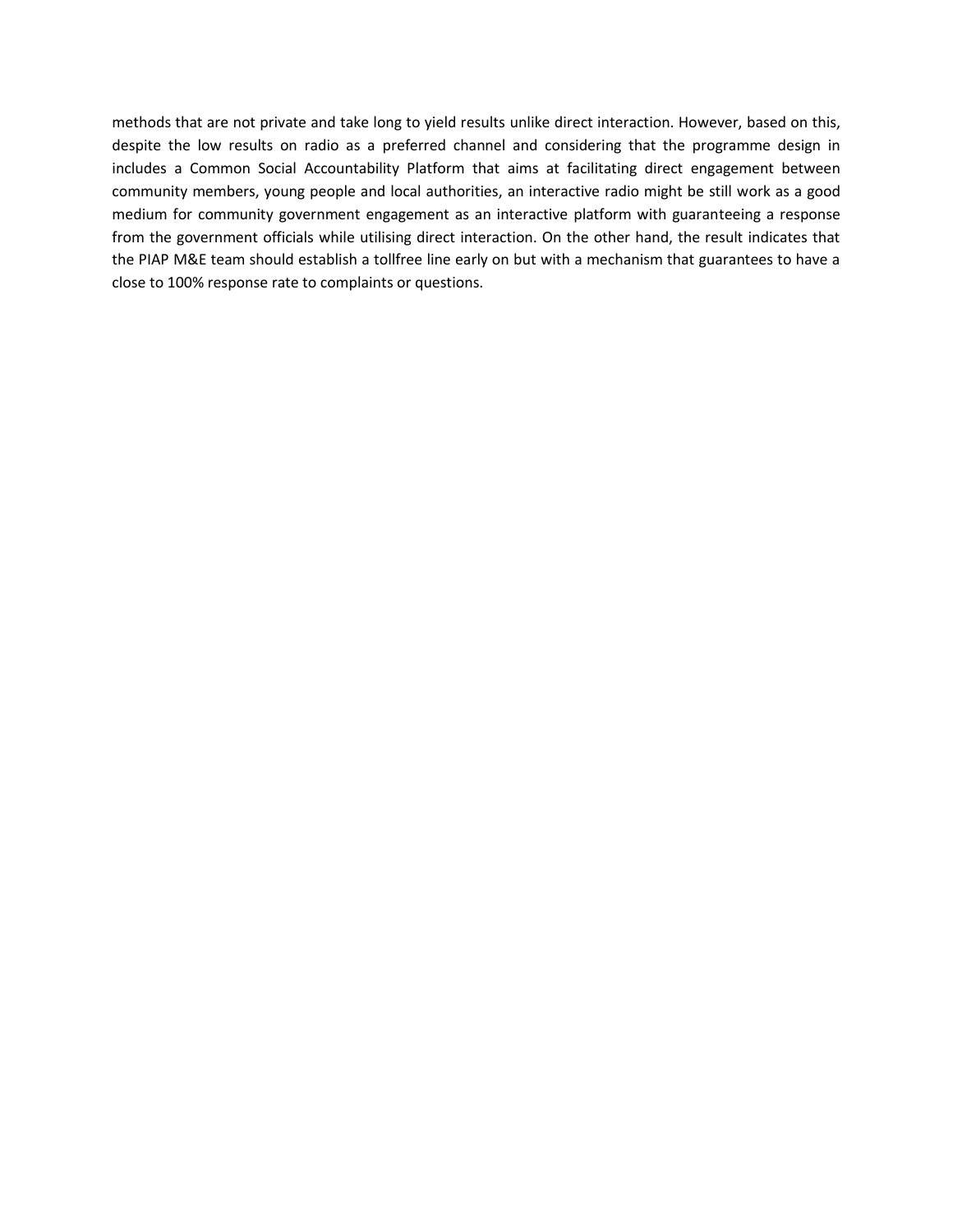methods that are not private and take long to yield results unlike direct interaction. However, based on this, despite the low results on radio as a preferred channel and considering that the programme design in includes a Common Social Accountability Platform that aims at facilitating direct engagement between community members, young people and local authorities, an interactive radio might be still work as a good medium for community government engagement as an interactive platform with guaranteeing a response from the government officials while utilising direct interaction. On the other hand, the result indicates that the PIAP M&E team should establish a tollfree line early on but with a mechanism that guarantees to have a close to 100% response rate to complaints or questions.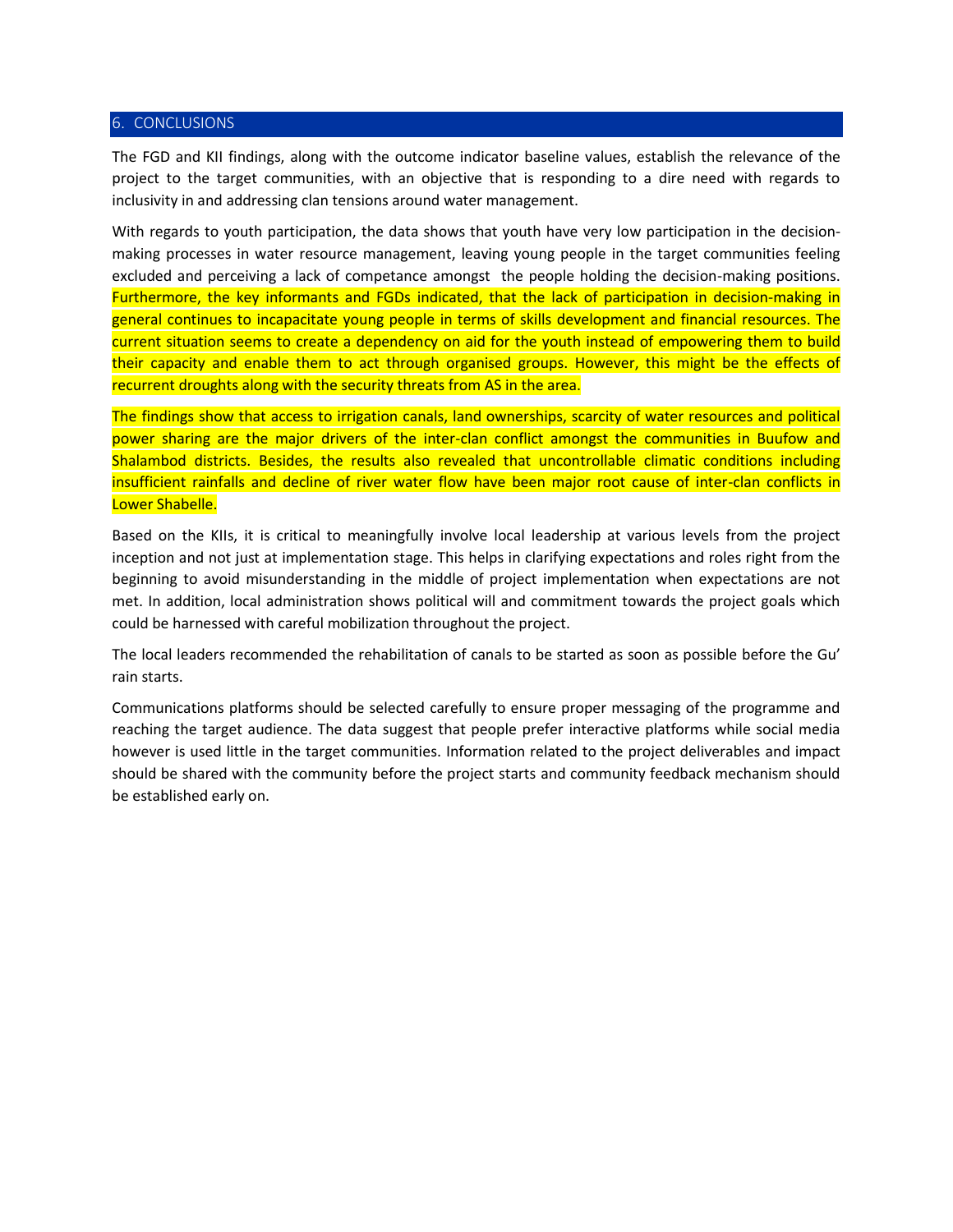### 6. CONCLUSIONS

The FGD and KII findings, along with the outcome indicator baseline values, establish the relevance of the project to the target communities, with an objective that is responding to a dire need with regards to inclusivity in and addressing clan tensions around water management.

With regards to youth participation, the data shows that youth have very low participation in the decisionmaking processes in water resource management, leaving young people in the target communities feeling excluded and perceiving a lack of competance amongst the people holding the decision-making positions. Furthermore, the key informants and FGDs indicated, that the lack of participation in decision-making in general continues to incapacitate young people in terms of skills development and financial resources. The current situation seems to create a dependency on aid for the youth instead of empowering them to build their capacity and enable them to act through organised groups. However, this might be the effects of recurrent droughts along with the security threats from AS in the area.

The findings show that access to irrigation canals, land ownerships, scarcity of water resources and political power sharing are the major drivers of the inter-clan conflict amongst the communities in Buufow and Shalambod districts. Besides, the results also revealed that uncontrollable climatic conditions including insufficient rainfalls and decline of river water flow have been major root cause of inter-clan conflicts in Lower Shabelle.

Based on the KIIs, it is critical to meaningfully involve local leadership at various levels from the project inception and not just at implementation stage. This helps in clarifying expectations and roles right from the beginning to avoid misunderstanding in the middle of project implementation when expectations are not met. In addition, local administration shows political will and commitment towards the project goals which could be harnessed with careful mobilization throughout the project.

The local leaders recommended the rehabilitation of canals to be started as soon as possible before the Gu' rain starts.

Communications platforms should be selected carefully to ensure proper messaging of the programme and reaching the target audience. The data suggest that people prefer interactive platforms while social media however is used little in the target communities. Information related to the project deliverables and impact should be shared with the community before the project starts and community feedback mechanism should be established early on.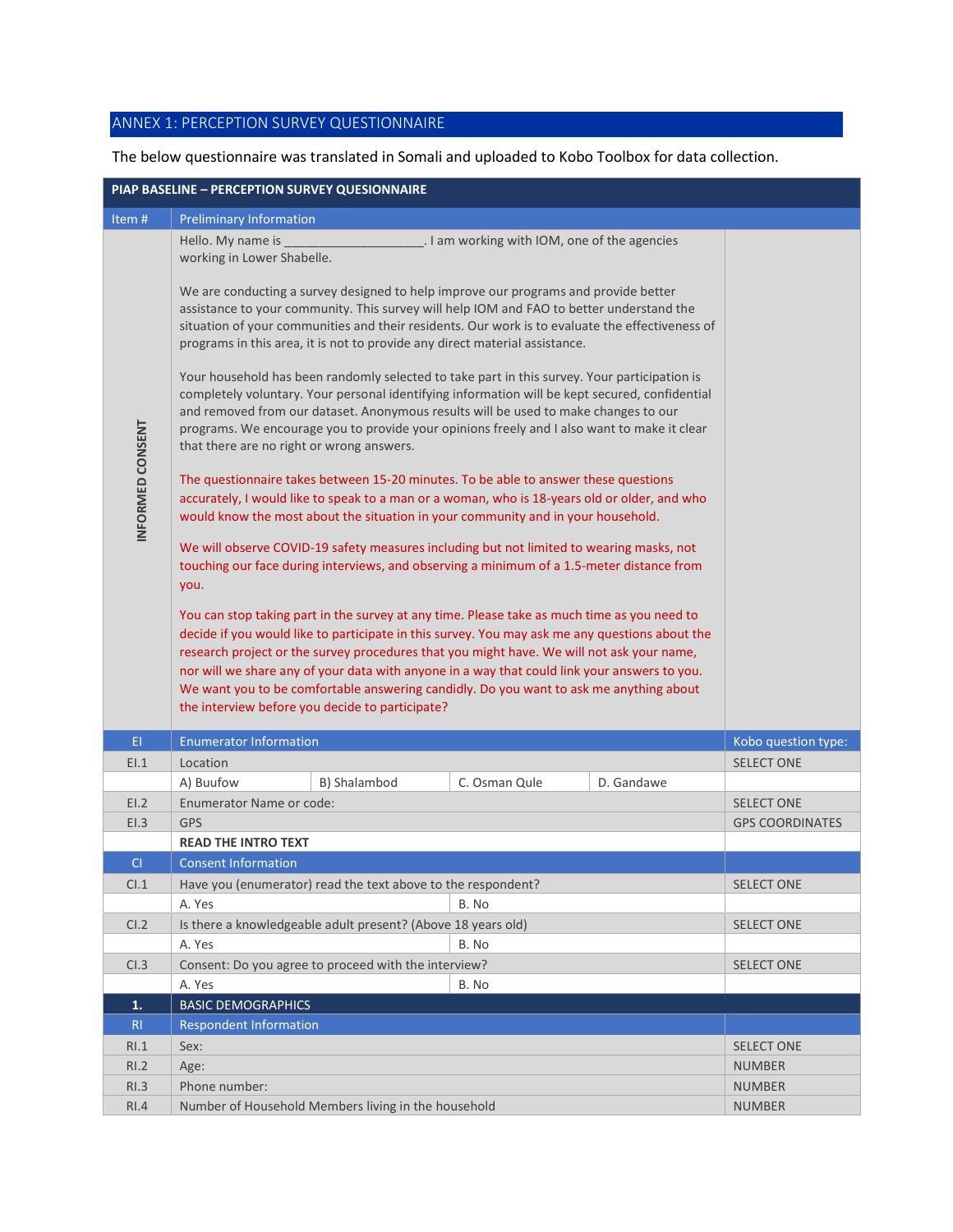# ANNEX 1: PERCEPTION SURVEY QUESTIONNAIRE

# The below questionnaire was translated in Somali and uploaded to Kobo Toolbox for data collection.

| PIAP BASELINE - PERCEPTION SURVEY QUESIONNAIRE |                                                                                                                                                                                                                                                                                                                                                                                                                                                                                                                                                                                                                                                                                                                                                                                                                                                                                                                                                                                                                                                                                                                                                                                                                                                                                                                                                                                                                                                                                                                                                                                                                                                                                                                                                                                                                                                                                  |               |               |            |                        |  |  |
|------------------------------------------------|----------------------------------------------------------------------------------------------------------------------------------------------------------------------------------------------------------------------------------------------------------------------------------------------------------------------------------------------------------------------------------------------------------------------------------------------------------------------------------------------------------------------------------------------------------------------------------------------------------------------------------------------------------------------------------------------------------------------------------------------------------------------------------------------------------------------------------------------------------------------------------------------------------------------------------------------------------------------------------------------------------------------------------------------------------------------------------------------------------------------------------------------------------------------------------------------------------------------------------------------------------------------------------------------------------------------------------------------------------------------------------------------------------------------------------------------------------------------------------------------------------------------------------------------------------------------------------------------------------------------------------------------------------------------------------------------------------------------------------------------------------------------------------------------------------------------------------------------------------------------------------|---------------|---------------|------------|------------------------|--|--|
| Item#                                          | <b>Preliminary Information</b>                                                                                                                                                                                                                                                                                                                                                                                                                                                                                                                                                                                                                                                                                                                                                                                                                                                                                                                                                                                                                                                                                                                                                                                                                                                                                                                                                                                                                                                                                                                                                                                                                                                                                                                                                                                                                                                   |               |               |            |                        |  |  |
| INFORMED CONSENT                               | Hello. My name is<br>working in Lower Shabelle.<br>We are conducting a survey designed to help improve our programs and provide better<br>assistance to your community. This survey will help IOM and FAO to better understand the<br>situation of your communities and their residents. Our work is to evaluate the effectiveness of<br>programs in this area, it is not to provide any direct material assistance.<br>Your household has been randomly selected to take part in this survey. Your participation is<br>completely voluntary. Your personal identifying information will be kept secured, confidential<br>and removed from our dataset. Anonymous results will be used to make changes to our<br>programs. We encourage you to provide your opinions freely and I also want to make it clear<br>that there are no right or wrong answers.<br>The questionnaire takes between 15-20 minutes. To be able to answer these questions<br>accurately, I would like to speak to a man or a woman, who is 18-years old or older, and who<br>would know the most about the situation in your community and in your household.<br>We will observe COVID-19 safety measures including but not limited to wearing masks, not<br>touching our face during interviews, and observing a minimum of a 1.5-meter distance from<br>you.<br>You can stop taking part in the survey at any time. Please take as much time as you need to<br>decide if you would like to participate in this survey. You may ask me any questions about the<br>research project or the survey procedures that you might have. We will not ask your name,<br>nor will we share any of your data with anyone in a way that could link your answers to you.<br>We want you to be comfortable answering candidly. Do you want to ask me anything about<br>the interview before you decide to participate? |               |               |            |                        |  |  |
| EI.                                            | <b>Enumerator Information</b>                                                                                                                                                                                                                                                                                                                                                                                                                                                                                                                                                                                                                                                                                                                                                                                                                                                                                                                                                                                                                                                                                                                                                                                                                                                                                                                                                                                                                                                                                                                                                                                                                                                                                                                                                                                                                                                    |               |               |            | Kobo question type:    |  |  |
| E1.1                                           | Location                                                                                                                                                                                                                                                                                                                                                                                                                                                                                                                                                                                                                                                                                                                                                                                                                                                                                                                                                                                                                                                                                                                                                                                                                                                                                                                                                                                                                                                                                                                                                                                                                                                                                                                                                                                                                                                                         |               |               |            | <b>SELECT ONE</b>      |  |  |
|                                                | A) Buufow                                                                                                                                                                                                                                                                                                                                                                                                                                                                                                                                                                                                                                                                                                                                                                                                                                                                                                                                                                                                                                                                                                                                                                                                                                                                                                                                                                                                                                                                                                                                                                                                                                                                                                                                                                                                                                                                        | B) Shalambod  | C. Osman Qule | D. Gandawe |                        |  |  |
| E1.2                                           | Enumerator Name or code:                                                                                                                                                                                                                                                                                                                                                                                                                                                                                                                                                                                                                                                                                                                                                                                                                                                                                                                                                                                                                                                                                                                                                                                                                                                                                                                                                                                                                                                                                                                                                                                                                                                                                                                                                                                                                                                         |               |               |            | <b>SELECT ONE</b>      |  |  |
| E1.3                                           | <b>GPS</b>                                                                                                                                                                                                                                                                                                                                                                                                                                                                                                                                                                                                                                                                                                                                                                                                                                                                                                                                                                                                                                                                                                                                                                                                                                                                                                                                                                                                                                                                                                                                                                                                                                                                                                                                                                                                                                                                       |               |               |            | <b>GPS COORDINATES</b> |  |  |
|                                                | <b>READ THE INTRO TEXT</b>                                                                                                                                                                                                                                                                                                                                                                                                                                                                                                                                                                                                                                                                                                                                                                                                                                                                                                                                                                                                                                                                                                                                                                                                                                                                                                                                                                                                                                                                                                                                                                                                                                                                                                                                                                                                                                                       |               |               |            |                        |  |  |
| CI.                                            | <b>Consent Information</b>                                                                                                                                                                                                                                                                                                                                                                                                                                                                                                                                                                                                                                                                                                                                                                                                                                                                                                                                                                                                                                                                                                                                                                                                                                                                                                                                                                                                                                                                                                                                                                                                                                                                                                                                                                                                                                                       |               |               |            |                        |  |  |
| Cl.1                                           | Have you (enumerator) read the text above to the respondent?                                                                                                                                                                                                                                                                                                                                                                                                                                                                                                                                                                                                                                                                                                                                                                                                                                                                                                                                                                                                                                                                                                                                                                                                                                                                                                                                                                                                                                                                                                                                                                                                                                                                                                                                                                                                                     |               |               |            | <b>SELECT ONE</b>      |  |  |
|                                                | A. Yes                                                                                                                                                                                                                                                                                                                                                                                                                                                                                                                                                                                                                                                                                                                                                                                                                                                                                                                                                                                                                                                                                                                                                                                                                                                                                                                                                                                                                                                                                                                                                                                                                                                                                                                                                                                                                                                                           |               | B. No         |            |                        |  |  |
| CI.2                                           | Is there a knowledgeable adult present? (Above 18 years old)                                                                                                                                                                                                                                                                                                                                                                                                                                                                                                                                                                                                                                                                                                                                                                                                                                                                                                                                                                                                                                                                                                                                                                                                                                                                                                                                                                                                                                                                                                                                                                                                                                                                                                                                                                                                                     |               |               |            | <b>SELECT ONE</b>      |  |  |
|                                                | A. Yes                                                                                                                                                                                                                                                                                                                                                                                                                                                                                                                                                                                                                                                                                                                                                                                                                                                                                                                                                                                                                                                                                                                                                                                                                                                                                                                                                                                                                                                                                                                                                                                                                                                                                                                                                                                                                                                                           |               |               |            |                        |  |  |
| CI.3                                           | B. No<br>Consent: Do you agree to proceed with the interview?                                                                                                                                                                                                                                                                                                                                                                                                                                                                                                                                                                                                                                                                                                                                                                                                                                                                                                                                                                                                                                                                                                                                                                                                                                                                                                                                                                                                                                                                                                                                                                                                                                                                                                                                                                                                                    |               |               |            | <b>SELECT ONE</b>      |  |  |
|                                                | A. Yes                                                                                                                                                                                                                                                                                                                                                                                                                                                                                                                                                                                                                                                                                                                                                                                                                                                                                                                                                                                                                                                                                                                                                                                                                                                                                                                                                                                                                                                                                                                                                                                                                                                                                                                                                                                                                                                                           |               | B. No         |            |                        |  |  |
| 1.                                             | <b>BASIC DEMOGRAPHICS</b>                                                                                                                                                                                                                                                                                                                                                                                                                                                                                                                                                                                                                                                                                                                                                                                                                                                                                                                                                                                                                                                                                                                                                                                                                                                                                                                                                                                                                                                                                                                                                                                                                                                                                                                                                                                                                                                        |               |               |            |                        |  |  |
| R <sub>1</sub>                                 | <b>Respondent Information</b>                                                                                                                                                                                                                                                                                                                                                                                                                                                                                                                                                                                                                                                                                                                                                                                                                                                                                                                                                                                                                                                                                                                                                                                                                                                                                                                                                                                                                                                                                                                                                                                                                                                                                                                                                                                                                                                    |               |               |            |                        |  |  |
| RI.1                                           | Sex:                                                                                                                                                                                                                                                                                                                                                                                                                                                                                                                                                                                                                                                                                                                                                                                                                                                                                                                                                                                                                                                                                                                                                                                                                                                                                                                                                                                                                                                                                                                                                                                                                                                                                                                                                                                                                                                                             |               |               |            | <b>SELECT ONE</b>      |  |  |
| RI.2                                           | Age:                                                                                                                                                                                                                                                                                                                                                                                                                                                                                                                                                                                                                                                                                                                                                                                                                                                                                                                                                                                                                                                                                                                                                                                                                                                                                                                                                                                                                                                                                                                                                                                                                                                                                                                                                                                                                                                                             |               |               |            | <b>NUMBER</b>          |  |  |
| R1.3                                           | Phone number:                                                                                                                                                                                                                                                                                                                                                                                                                                                                                                                                                                                                                                                                                                                                                                                                                                                                                                                                                                                                                                                                                                                                                                                                                                                                                                                                                                                                                                                                                                                                                                                                                                                                                                                                                                                                                                                                    |               |               |            | <b>NUMBER</b>          |  |  |
| RI.4                                           | Number of Household Members living in the household                                                                                                                                                                                                                                                                                                                                                                                                                                                                                                                                                                                                                                                                                                                                                                                                                                                                                                                                                                                                                                                                                                                                                                                                                                                                                                                                                                                                                                                                                                                                                                                                                                                                                                                                                                                                                              | <b>NUMBER</b> |               |            |                        |  |  |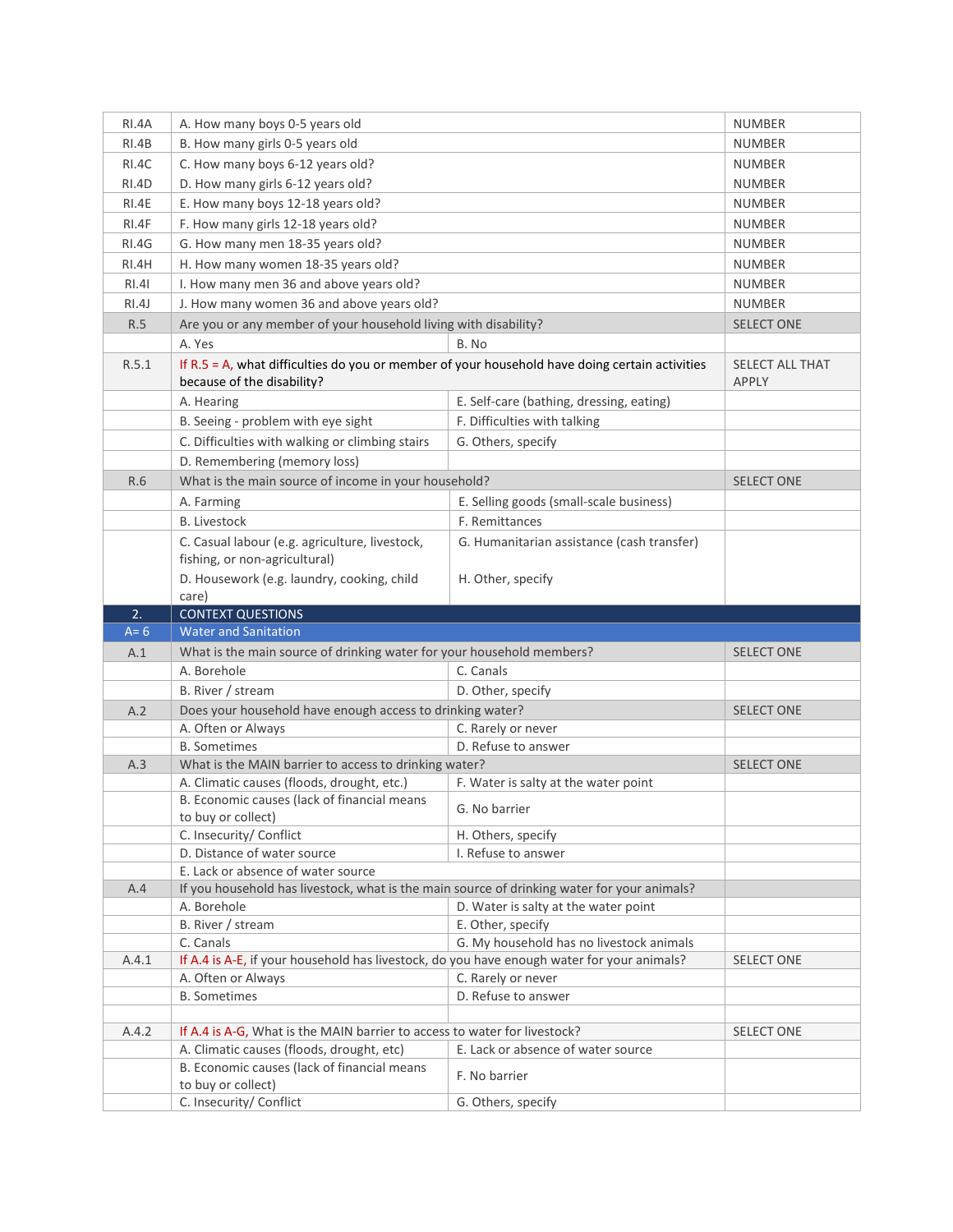| RI.4A   | A. How many boys 0-5 years old                                                                                               |                                            | <b>NUMBER</b>                   |
|---------|------------------------------------------------------------------------------------------------------------------------------|--------------------------------------------|---------------------------------|
| RI.4B   | B. How many girls 0-5 years old                                                                                              | <b>NUMBER</b>                              |                                 |
| RI.4C   | C. How many boys 6-12 years old?                                                                                             | <b>NUMBER</b>                              |                                 |
| RI.4D   | D. How many girls 6-12 years old?                                                                                            | <b>NUMBER</b>                              |                                 |
| RI.4E   | E. How many boys 12-18 years old?                                                                                            | <b>NUMBER</b>                              |                                 |
| RI.4F   | F. How many girls 12-18 years old?                                                                                           | <b>NUMBER</b>                              |                                 |
| RI.4G   |                                                                                                                              |                                            | <b>NUMBER</b>                   |
|         | G. How many men 18-35 years old?                                                                                             |                                            |                                 |
| RI.4H   | H. How many women 18-35 years old?                                                                                           |                                            | <b>NUMBER</b>                   |
| RI.4I   | I. How many men 36 and above years old?                                                                                      |                                            | <b>NUMBER</b>                   |
| RI.4J   | J. How many women 36 and above years old?                                                                                    |                                            | <b>NUMBER</b>                   |
| R.5     | Are you or any member of your household living with disability?                                                              |                                            | <b>SELECT ONE</b>               |
|         | A. Yes                                                                                                                       | B. No                                      |                                 |
| R.5.1   | If R.5 = A, what difficulties do you or member of your household have doing certain activities<br>because of the disability? |                                            | SELECT ALL THAT<br><b>APPLY</b> |
|         | A. Hearing                                                                                                                   | E. Self-care (bathing, dressing, eating)   |                                 |
|         | B. Seeing - problem with eye sight                                                                                           | F. Difficulties with talking               |                                 |
|         | C. Difficulties with walking or climbing stairs                                                                              | G. Others, specify                         |                                 |
|         | D. Remembering (memory loss)                                                                                                 |                                            |                                 |
| R.6     | What is the main source of income in your household?                                                                         |                                            | <b>SELECT ONE</b>               |
|         | A. Farming                                                                                                                   | E. Selling goods (small-scale business)    |                                 |
|         | <b>B.</b> Livestock                                                                                                          | F. Remittances                             |                                 |
|         | C. Casual labour (e.g. agriculture, livestock,                                                                               | G. Humanitarian assistance (cash transfer) |                                 |
|         | fishing, or non-agricultural)                                                                                                |                                            |                                 |
|         | D. Housework (e.g. laundry, cooking, child                                                                                   | H. Other, specify                          |                                 |
|         | care)                                                                                                                        |                                            |                                 |
|         |                                                                                                                              |                                            |                                 |
| 2.      | <b>CONTEXT QUESTIONS</b>                                                                                                     |                                            |                                 |
| $A = 6$ | <b>Water and Sanitation</b>                                                                                                  |                                            |                                 |
| A.1     | What is the main source of drinking water for your household members?                                                        |                                            | <b>SELECT ONE</b>               |
|         | A. Borehole                                                                                                                  | C. Canals                                  |                                 |
|         | B. River / stream                                                                                                            | D. Other, specify                          |                                 |
| A.2     | Does your household have enough access to drinking water?                                                                    |                                            | <b>SELECT ONE</b>               |
|         | A. Often or Always                                                                                                           | C. Rarely or never                         |                                 |
|         | <b>B.</b> Sometimes                                                                                                          | D. Refuse to answer                        |                                 |
| A.3     | What is the MAIN barrier to access to drinking water?                                                                        |                                            | <b>SELECT ONE</b>               |
|         | A. Climatic causes (floods, drought, etc.)                                                                                   | F. Water is salty at the water point       |                                 |
|         | B. Economic causes (lack of financial means<br>to buy or collect)                                                            | G. No barrier                              |                                 |
|         | C. Insecurity/ Conflict                                                                                                      | H. Others, specify                         |                                 |
|         | D. Distance of water source                                                                                                  | I. Refuse to answer                        |                                 |
|         | E. Lack or absence of water source                                                                                           |                                            |                                 |
| A.4     | If you household has livestock, what is the main source of drinking water for your animals?                                  |                                            |                                 |
|         | A. Borehole                                                                                                                  | D. Water is salty at the water point       |                                 |
|         | B. River / stream                                                                                                            | E. Other, specify                          |                                 |
|         | C. Canals                                                                                                                    | G. My household has no livestock animals   |                                 |
| A.4.1   | If A.4 is A-E, if your household has livestock, do you have enough water for your animals?                                   |                                            | <b>SELECT ONE</b>               |
|         | A. Often or Always                                                                                                           | C. Rarely or never                         |                                 |
|         | <b>B.</b> Sometimes                                                                                                          | D. Refuse to answer                        |                                 |
|         |                                                                                                                              |                                            |                                 |
| A.4.2   | If A.4 is A-G, What is the MAIN barrier to access to water for livestock?                                                    |                                            | SELECT ONE                      |
|         | A. Climatic causes (floods, drought, etc)                                                                                    | E. Lack or absence of water source         |                                 |
|         | B. Economic causes (lack of financial means<br>to buy or collect)                                                            | F. No barrier                              |                                 |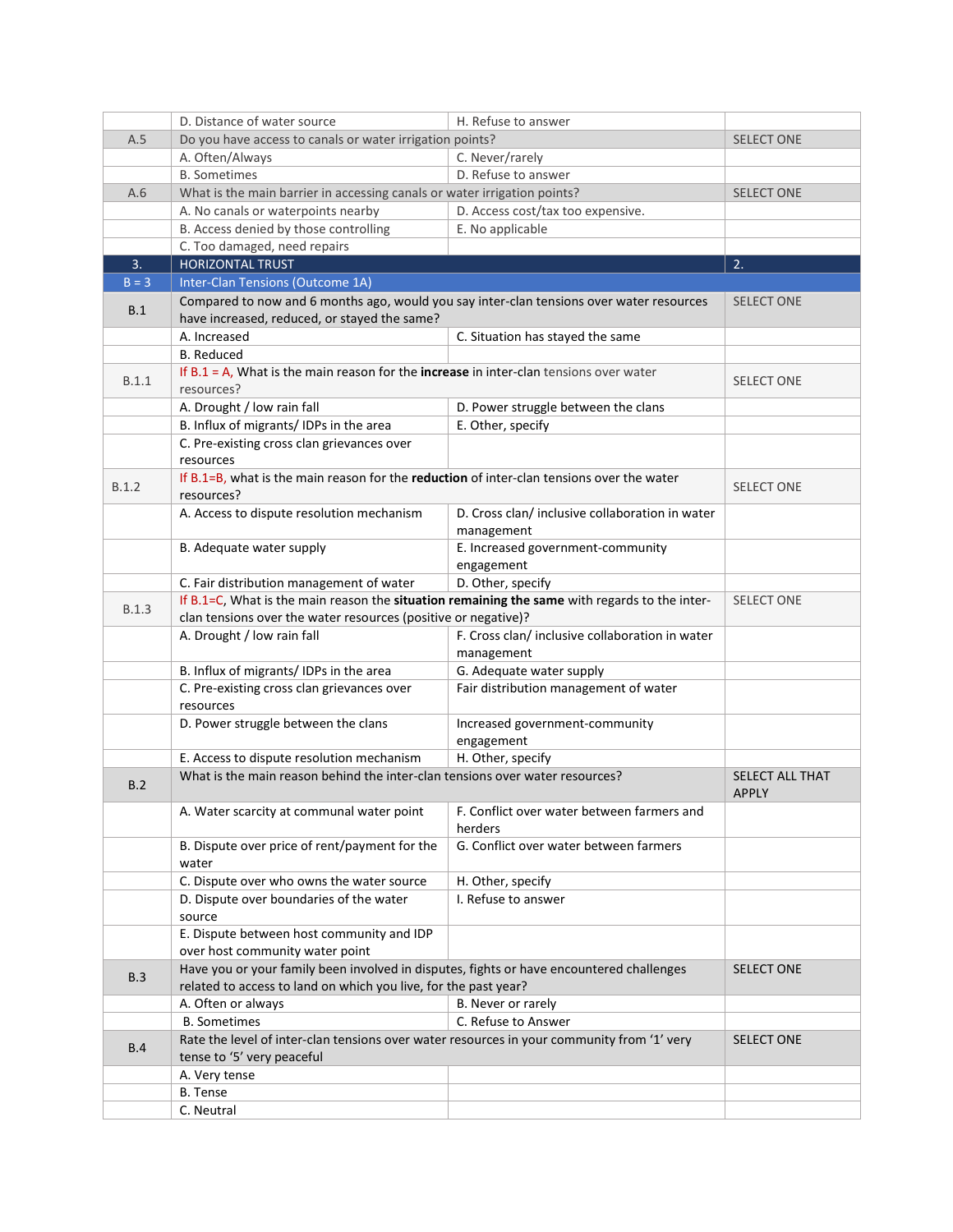|              | D. Distance of water source                                                                                                 | H. Refuse to answer                             |                                 |  |
|--------------|-----------------------------------------------------------------------------------------------------------------------------|-------------------------------------------------|---------------------------------|--|
| A.5          | Do you have access to canals or water irrigation points?                                                                    |                                                 | <b>SELECT ONE</b>               |  |
|              | A. Often/Always                                                                                                             | C. Never/rarely                                 |                                 |  |
|              | <b>B.</b> Sometimes                                                                                                         | D. Refuse to answer                             |                                 |  |
| A.6          | What is the main barrier in accessing canals or water irrigation points?                                                    |                                                 | <b>SELECT ONE</b>               |  |
|              | A. No canals or waterpoints nearby                                                                                          | D. Access cost/tax too expensive.               |                                 |  |
|              | B. Access denied by those controlling                                                                                       | E. No applicable                                |                                 |  |
|              | C. Too damaged, need repairs                                                                                                |                                                 |                                 |  |
| 3.           | <b>HORIZONTAL TRUST</b>                                                                                                     |                                                 | 2.                              |  |
| $B = 3$      | Inter-Clan Tensions (Outcome 1A)                                                                                            |                                                 |                                 |  |
|              | Compared to now and 6 months ago, would you say inter-clan tensions over water resources                                    |                                                 | <b>SELECT ONE</b>               |  |
| B.1          | have increased, reduced, or stayed the same?                                                                                |                                                 |                                 |  |
|              | A. Increased                                                                                                                | C. Situation has stayed the same                |                                 |  |
|              | <b>B.</b> Reduced                                                                                                           |                                                 |                                 |  |
|              | If $B.1 = A$ , What is the main reason for the increase in inter-clan tensions over water                                   |                                                 |                                 |  |
| B.1.1        | resources?                                                                                                                  |                                                 | <b>SELECT ONE</b>               |  |
|              | A. Drought / low rain fall                                                                                                  | D. Power struggle between the clans             |                                 |  |
|              | B. Influx of migrants/IDPs in the area                                                                                      | E. Other, specify                               |                                 |  |
|              | C. Pre-existing cross clan grievances over                                                                                  |                                                 |                                 |  |
|              | resources                                                                                                                   |                                                 |                                 |  |
| B.1.2        | If B.1=B, what is the main reason for the reduction of inter-clan tensions over the water<br>resources?                     |                                                 | <b>SELECT ONE</b>               |  |
|              | A. Access to dispute resolution mechanism                                                                                   | D. Cross clan/inclusive collaboration in water  |                                 |  |
|              |                                                                                                                             | management                                      |                                 |  |
|              | B. Adequate water supply                                                                                                    | E. Increased government-community               |                                 |  |
|              |                                                                                                                             | engagement                                      |                                 |  |
|              | C. Fair distribution management of water                                                                                    | D. Other, specify                               |                                 |  |
|              | If B.1=C, What is the main reason the situation remaining the same with regards to the inter-                               |                                                 | <b>SELECT ONE</b>               |  |
| <b>B.1.3</b> | clan tensions over the water resources (positive or negative)?                                                              |                                                 |                                 |  |
|              | A. Drought / low rain fall                                                                                                  | F. Cross clan/ inclusive collaboration in water |                                 |  |
|              |                                                                                                                             | management                                      |                                 |  |
|              | B. Influx of migrants/IDPs in the area                                                                                      | G. Adequate water supply                        |                                 |  |
|              | C. Pre-existing cross clan grievances over                                                                                  | Fair distribution management of water           |                                 |  |
|              | resources                                                                                                                   |                                                 |                                 |  |
|              | D. Power struggle between the clans                                                                                         | Increased government-community                  |                                 |  |
|              |                                                                                                                             | engagement                                      |                                 |  |
|              | E. Access to dispute resolution mechanism                                                                                   | H. Other, specify                               |                                 |  |
| B.2          | What is the main reason behind the inter-clan tensions over water resources?                                                |                                                 | SELECT ALL THAT<br><b>APPLY</b> |  |
|              | A. Water scarcity at communal water point                                                                                   | F. Conflict over water between farmers and      |                                 |  |
|              |                                                                                                                             | herders                                         |                                 |  |
|              | B. Dispute over price of rent/payment for the                                                                               | G. Conflict over water between farmers          |                                 |  |
|              | water                                                                                                                       |                                                 |                                 |  |
|              | C. Dispute over who owns the water source                                                                                   | H. Other, specify                               |                                 |  |
|              | D. Dispute over boundaries of the water                                                                                     | I. Refuse to answer                             |                                 |  |
|              | source                                                                                                                      |                                                 |                                 |  |
|              | E. Dispute between host community and IDP                                                                                   |                                                 |                                 |  |
|              | over host community water point<br>Have you or your family been involved in disputes, fights or have encountered challenges |                                                 |                                 |  |
| B.3          | related to access to land on which you live, for the past year?                                                             |                                                 | <b>SELECT ONE</b>               |  |
|              | A. Often or always                                                                                                          | B. Never or rarely                              |                                 |  |
|              | <b>B.</b> Sometimes                                                                                                         | C. Refuse to Answer                             |                                 |  |
|              | Rate the level of inter-clan tensions over water resources in your community from '1' very                                  |                                                 | <b>SELECT ONE</b>               |  |
| B.4          | tense to '5' very peaceful                                                                                                  |                                                 |                                 |  |
|              | A. Very tense                                                                                                               |                                                 |                                 |  |
|              | B. Tense                                                                                                                    |                                                 |                                 |  |
|              | C. Neutral                                                                                                                  |                                                 |                                 |  |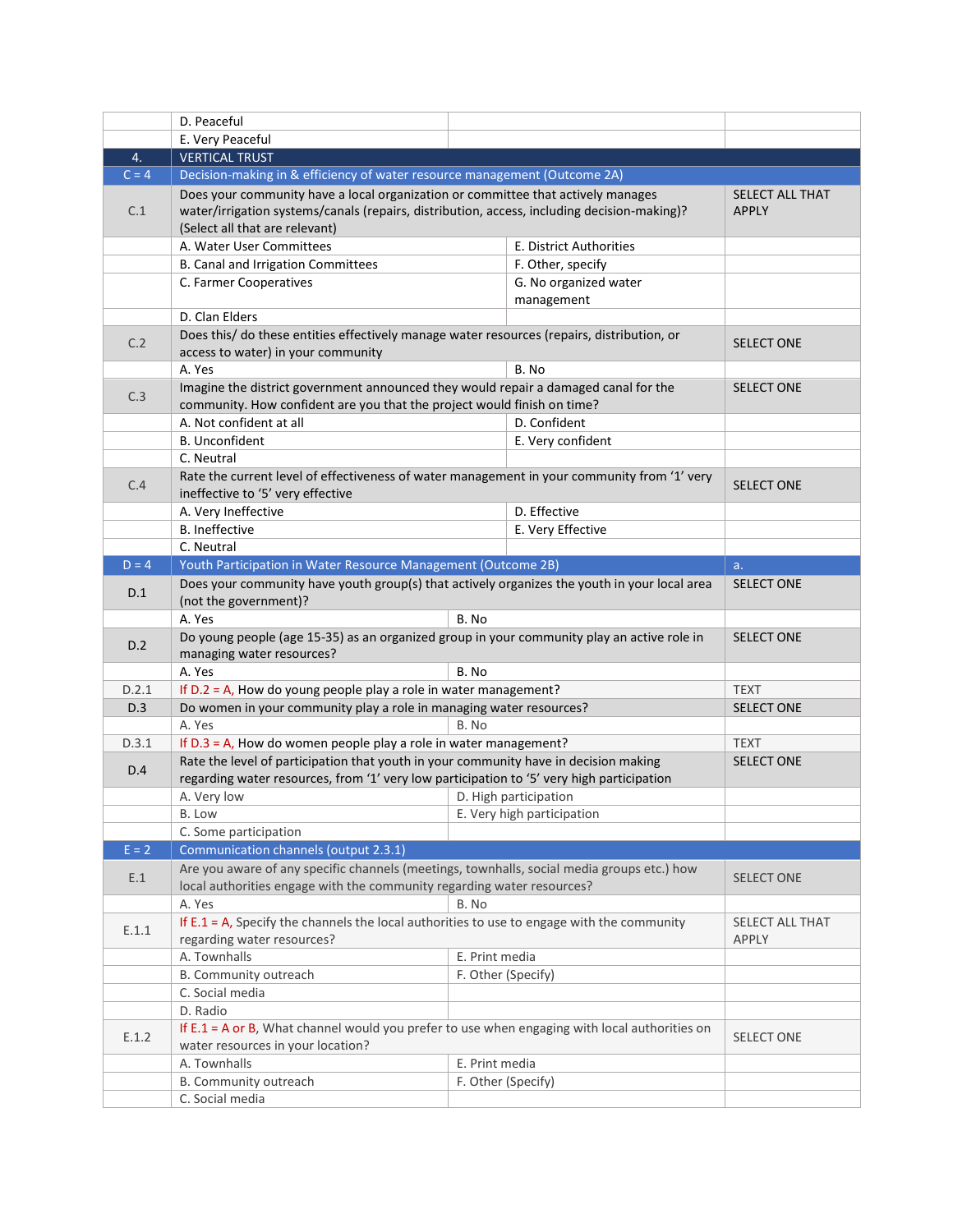|         | D. Peaceful                                                                                                                                                 |                    |                            |                   |
|---------|-------------------------------------------------------------------------------------------------------------------------------------------------------------|--------------------|----------------------------|-------------------|
|         | E. Very Peaceful                                                                                                                                            |                    |                            |                   |
| 4.      | <b>VERTICAL TRUST</b>                                                                                                                                       |                    |                            |                   |
| $C = 4$ | Decision-making in & efficiency of water resource management (Outcome 2A)                                                                                   |                    |                            |                   |
|         | Does your community have a local organization or committee that actively manages                                                                            |                    | <b>SELECT ALL THAT</b>     |                   |
| C.1     | water/irrigation systems/canals (repairs, distribution, access, including decision-making)?                                                                 | <b>APPLY</b>       |                            |                   |
|         | (Select all that are relevant)                                                                                                                              |                    |                            |                   |
|         | A. Water User Committees                                                                                                                                    |                    | E. District Authorities    |                   |
|         | B. Canal and Irrigation Committees                                                                                                                          |                    | F. Other, specify          |                   |
|         | C. Farmer Cooperatives                                                                                                                                      |                    | G. No organized water      |                   |
|         |                                                                                                                                                             |                    | management                 |                   |
|         | D. Clan Elders                                                                                                                                              |                    |                            |                   |
| C.2     | Does this/ do these entities effectively manage water resources (repairs, distribution, or                                                                  |                    |                            | <b>SELECT ONE</b> |
|         | access to water) in your community                                                                                                                          |                    |                            |                   |
|         | A. Yes                                                                                                                                                      |                    | B. No                      |                   |
| C.3     | Imagine the district government announced they would repair a damaged canal for the                                                                         |                    |                            | <b>SELECT ONE</b> |
|         | community. How confident are you that the project would finish on time?                                                                                     |                    |                            |                   |
|         | A. Not confident at all<br><b>B.</b> Unconfident                                                                                                            |                    | D. Confident               |                   |
|         |                                                                                                                                                             |                    | E. Very confident          |                   |
|         | C. Neutral                                                                                                                                                  |                    |                            |                   |
| C.4     | Rate the current level of effectiveness of water management in your community from '1' very<br>ineffective to '5' very effective                            |                    |                            | <b>SELECT ONE</b> |
|         | A. Very Ineffective                                                                                                                                         |                    | D. Effective               |                   |
|         | <b>B.</b> Ineffective                                                                                                                                       |                    | E. Very Effective          |                   |
|         | C. Neutral                                                                                                                                                  |                    |                            |                   |
| $D = 4$ | Youth Participation in Water Resource Management (Outcome 2B)                                                                                               |                    |                            | a.                |
| D.1     | Does your community have youth group(s) that actively organizes the youth in your local area                                                                |                    |                            | <b>SELECT ONE</b> |
|         | (not the government)?                                                                                                                                       |                    |                            |                   |
|         | A. Yes                                                                                                                                                      | B. No              |                            |                   |
| D.2     | Do young people (age 15-35) as an organized group in your community play an active role in                                                                  |                    |                            | <b>SELECT ONE</b> |
|         | managing water resources?                                                                                                                                   |                    |                            |                   |
|         | A. Yes                                                                                                                                                      | B. No              |                            |                   |
| D.2.1   | If $D.2 = A$ , How do young people play a role in water management?                                                                                         |                    |                            | <b>TEXT</b>       |
| D.3     | Do women in your community play a role in managing water resources?                                                                                         |                    |                            | <b>SELECT ONE</b> |
|         | A. Yes                                                                                                                                                      | B. No              |                            |                   |
| D.3.1   | If $D.3 = A$ , How do women people play a role in water management?<br>Rate the level of participation that youth in your community have in decision making |                    |                            | <b>TEXT</b>       |
| D.4     | regarding water resources, from '1' very low participation to '5' very high participation                                                                   |                    |                            | <b>SELECT ONE</b> |
|         | A. Very low                                                                                                                                                 |                    | D. High participation      |                   |
|         | B. Low                                                                                                                                                      |                    | E. Very high participation |                   |
|         | C. Some participation                                                                                                                                       |                    |                            |                   |
| $E = 2$ | Communication channels (output 2.3.1)                                                                                                                       |                    |                            |                   |
|         | Are you aware of any specific channels (meetings, townhalls, social media groups etc.) how                                                                  |                    |                            |                   |
| E.1     | local authorities engage with the community regarding water resources?                                                                                      |                    |                            | <b>SELECT ONE</b> |
|         | A. Yes                                                                                                                                                      | B. No              |                            |                   |
|         | If $E.1 = A$ , Specify the channels the local authorities to use to engage with the community                                                               |                    | <b>SELECT ALL THAT</b>     |                   |
| E.1.1   | regarding water resources?                                                                                                                                  |                    |                            | APPLY             |
|         | A. Townhalls                                                                                                                                                | E. Print media     |                            |                   |
|         | B. Community outreach                                                                                                                                       | F. Other (Specify) |                            |                   |
|         | C. Social media                                                                                                                                             |                    |                            |                   |
|         | D. Radio                                                                                                                                                    |                    |                            |                   |
| E.1.2   | If E.1 = A or B, What channel would you prefer to use when engaging with local authorities on                                                               |                    |                            | <b>SELECT ONE</b> |
|         | water resources in your location?                                                                                                                           |                    |                            |                   |
|         | A. Townhalls                                                                                                                                                | E. Print media     |                            |                   |
|         | B. Community outreach                                                                                                                                       | F. Other (Specify) |                            |                   |
|         | C. Social media                                                                                                                                             |                    |                            |                   |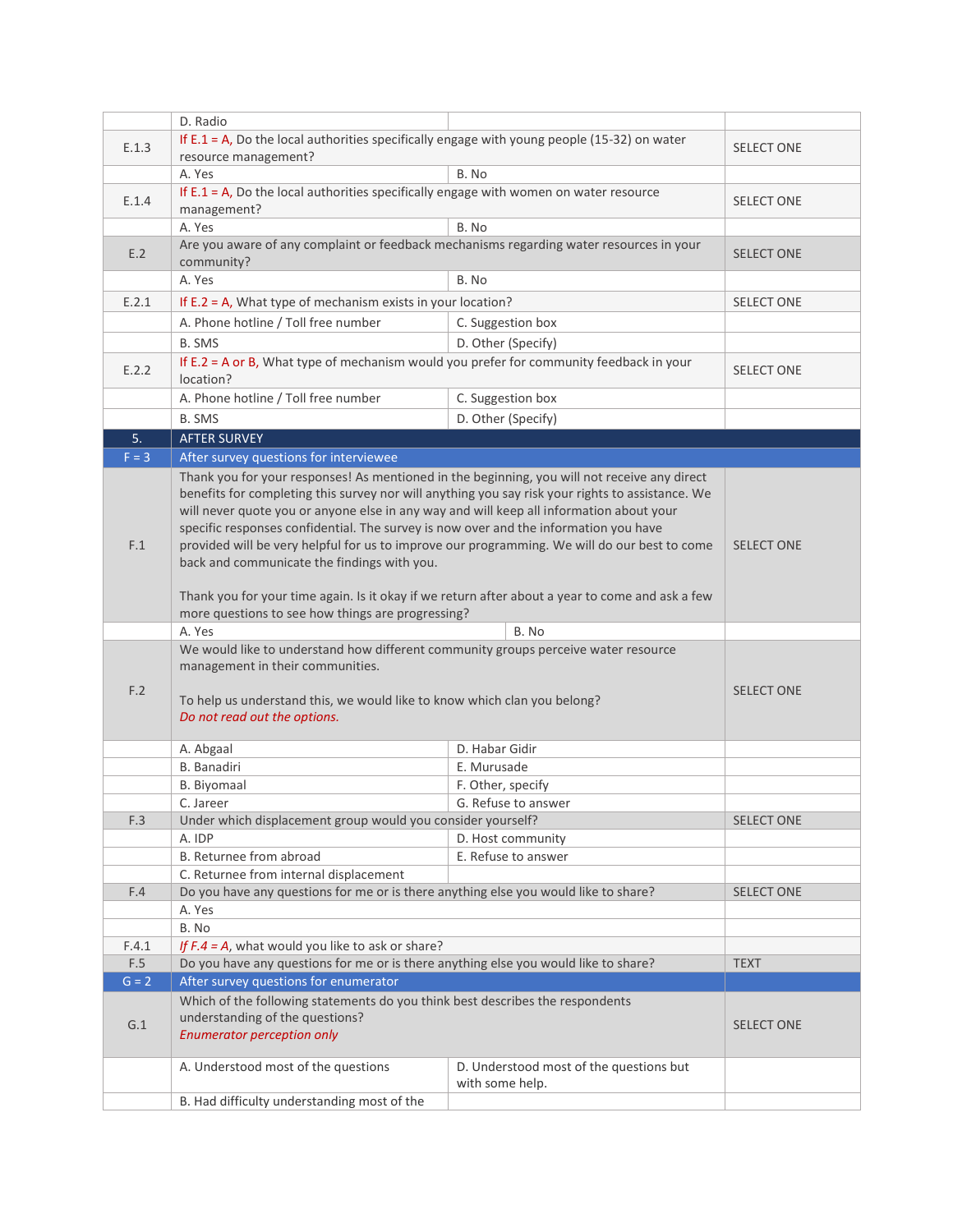|         | D. Radio                                                                                                                                                                                                                                                                                                                                                                                                                                                                                                                                                                                                                              |                                         |                   |
|---------|---------------------------------------------------------------------------------------------------------------------------------------------------------------------------------------------------------------------------------------------------------------------------------------------------------------------------------------------------------------------------------------------------------------------------------------------------------------------------------------------------------------------------------------------------------------------------------------------------------------------------------------|-----------------------------------------|-------------------|
| E.1.3   | If E.1 = A, Do the local authorities specifically engage with young people (15-32) on water                                                                                                                                                                                                                                                                                                                                                                                                                                                                                                                                           | <b>SELECT ONE</b>                       |                   |
|         | resource management?                                                                                                                                                                                                                                                                                                                                                                                                                                                                                                                                                                                                                  |                                         |                   |
|         | A. Yes                                                                                                                                                                                                                                                                                                                                                                                                                                                                                                                                                                                                                                | B. No                                   |                   |
| E.1.4   | If $E.1 = A$ , Do the local authorities specifically engage with women on water resource                                                                                                                                                                                                                                                                                                                                                                                                                                                                                                                                              |                                         | <b>SELECT ONE</b> |
|         | management?                                                                                                                                                                                                                                                                                                                                                                                                                                                                                                                                                                                                                           |                                         |                   |
|         | A. Yes                                                                                                                                                                                                                                                                                                                                                                                                                                                                                                                                                                                                                                | B. No                                   |                   |
| E.2     | Are you aware of any complaint or feedback mechanisms regarding water resources in your                                                                                                                                                                                                                                                                                                                                                                                                                                                                                                                                               |                                         | <b>SELECT ONE</b> |
|         | community?                                                                                                                                                                                                                                                                                                                                                                                                                                                                                                                                                                                                                            | B. No                                   |                   |
|         | A. Yes                                                                                                                                                                                                                                                                                                                                                                                                                                                                                                                                                                                                                                |                                         |                   |
| E.2.1   | If $E.2 = A$ , What type of mechanism exists in your location?                                                                                                                                                                                                                                                                                                                                                                                                                                                                                                                                                                        |                                         | <b>SELECT ONE</b> |
|         | A. Phone hotline / Toll free number                                                                                                                                                                                                                                                                                                                                                                                                                                                                                                                                                                                                   | C. Suggestion box                       |                   |
|         | <b>B. SMS</b>                                                                                                                                                                                                                                                                                                                                                                                                                                                                                                                                                                                                                         | D. Other (Specify)                      |                   |
| E.2.2   | If $E.2 = A$ or B, What type of mechanism would you prefer for community feedback in your<br>location?                                                                                                                                                                                                                                                                                                                                                                                                                                                                                                                                |                                         | <b>SELECT ONE</b> |
|         | A. Phone hotline / Toll free number                                                                                                                                                                                                                                                                                                                                                                                                                                                                                                                                                                                                   | C. Suggestion box                       |                   |
|         | <b>B. SMS</b>                                                                                                                                                                                                                                                                                                                                                                                                                                                                                                                                                                                                                         | D. Other (Specify)                      |                   |
| 5.      | <b>AFTER SURVEY</b>                                                                                                                                                                                                                                                                                                                                                                                                                                                                                                                                                                                                                   |                                         |                   |
| $F = 3$ | After survey questions for interviewee                                                                                                                                                                                                                                                                                                                                                                                                                                                                                                                                                                                                |                                         |                   |
| F.1     | Thank you for your responses! As mentioned in the beginning, you will not receive any direct<br>benefits for completing this survey nor will anything you say risk your rights to assistance. We<br>will never quote you or anyone else in any way and will keep all information about your<br>specific responses confidential. The survey is now over and the information you have<br>provided will be very helpful for us to improve our programming. We will do our best to come<br>back and communicate the findings with you.<br>Thank you for your time again. Is it okay if we return after about a year to come and ask a few | <b>SELECT ONE</b>                       |                   |
|         | more questions to see how things are progressing?                                                                                                                                                                                                                                                                                                                                                                                                                                                                                                                                                                                     |                                         |                   |
|         | A. Yes                                                                                                                                                                                                                                                                                                                                                                                                                                                                                                                                                                                                                                | B. No                                   |                   |
|         | We would like to understand how different community groups perceive water resource<br>management in their communities.                                                                                                                                                                                                                                                                                                                                                                                                                                                                                                                |                                         |                   |
| F.2     | To help us understand this, we would like to know which clan you belong?<br>Do not read out the options.                                                                                                                                                                                                                                                                                                                                                                                                                                                                                                                              |                                         | <b>SELECT ONE</b> |
|         | A. Abgaal                                                                                                                                                                                                                                                                                                                                                                                                                                                                                                                                                                                                                             | D. Habar Gidir                          |                   |
|         | <b>B.</b> Banadiri                                                                                                                                                                                                                                                                                                                                                                                                                                                                                                                                                                                                                    | E. Murusade                             |                   |
|         | B. Biyomaal                                                                                                                                                                                                                                                                                                                                                                                                                                                                                                                                                                                                                           | F. Other, specify                       |                   |
|         | C. Jareer                                                                                                                                                                                                                                                                                                                                                                                                                                                                                                                                                                                                                             | G. Refuse to answer                     |                   |
| F.3     | Under which displacement group would you consider yourself?                                                                                                                                                                                                                                                                                                                                                                                                                                                                                                                                                                           |                                         | <b>SELECT ONE</b> |
|         | A. IDP                                                                                                                                                                                                                                                                                                                                                                                                                                                                                                                                                                                                                                | D. Host community                       |                   |
|         | B. Returnee from abroad                                                                                                                                                                                                                                                                                                                                                                                                                                                                                                                                                                                                               | E. Refuse to answer                     |                   |
|         | C. Returnee from internal displacement                                                                                                                                                                                                                                                                                                                                                                                                                                                                                                                                                                                                |                                         |                   |
| F.4     | Do you have any questions for me or is there anything else you would like to share?                                                                                                                                                                                                                                                                                                                                                                                                                                                                                                                                                   |                                         | <b>SELECT ONE</b> |
|         | A. Yes<br>B. No                                                                                                                                                                                                                                                                                                                                                                                                                                                                                                                                                                                                                       |                                         |                   |
| F.4.1   | If $F.A = A$ , what would you like to ask or share?                                                                                                                                                                                                                                                                                                                                                                                                                                                                                                                                                                                   |                                         |                   |
| $F.5$   | Do you have any questions for me or is there anything else you would like to share?                                                                                                                                                                                                                                                                                                                                                                                                                                                                                                                                                   |                                         | <b>TEXT</b>       |
| $G = 2$ | After survey questions for enumerator                                                                                                                                                                                                                                                                                                                                                                                                                                                                                                                                                                                                 |                                         |                   |
| G.1     | Which of the following statements do you think best describes the respondents<br>understanding of the questions?<br><b>Enumerator perception only</b>                                                                                                                                                                                                                                                                                                                                                                                                                                                                                 |                                         | <b>SELECT ONE</b> |
|         | A. Understood most of the questions                                                                                                                                                                                                                                                                                                                                                                                                                                                                                                                                                                                                   | D. Understood most of the questions but |                   |
|         |                                                                                                                                                                                                                                                                                                                                                                                                                                                                                                                                                                                                                                       | with some help.                         |                   |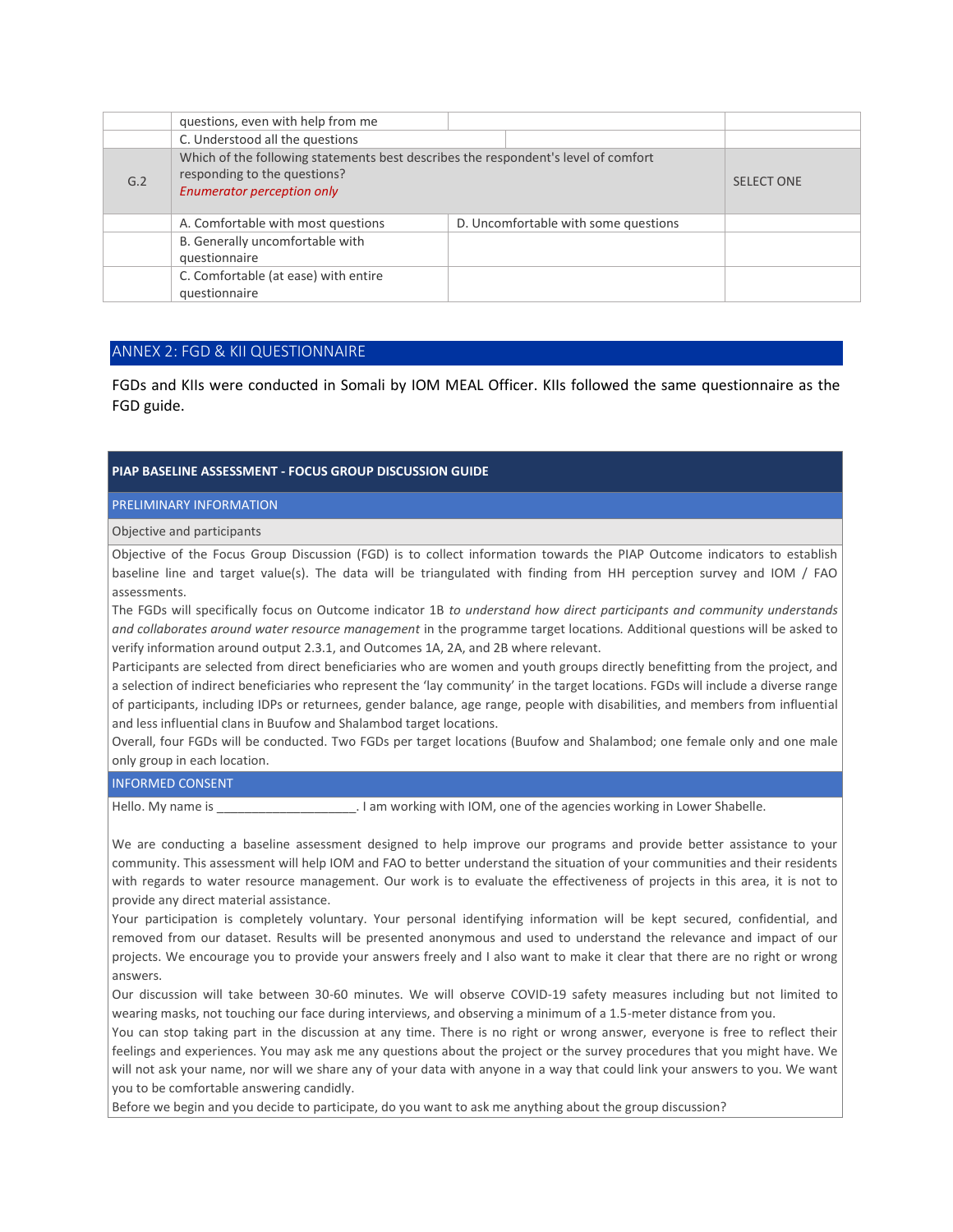|     | questions, even with help from me                                                                                                                       |  |                                      |                   |
|-----|---------------------------------------------------------------------------------------------------------------------------------------------------------|--|--------------------------------------|-------------------|
|     | C. Understood all the questions                                                                                                                         |  |                                      |                   |
| G.2 | Which of the following statements best describes the respondent's level of comfort<br>responding to the questions?<br><b>Enumerator perception only</b> |  |                                      | <b>SELECT ONE</b> |
|     | A. Comfortable with most questions                                                                                                                      |  | D. Uncomfortable with some questions |                   |
|     | B. Generally uncomfortable with<br>questionnaire                                                                                                        |  |                                      |                   |
|     | C. Comfortable (at ease) with entire<br>questionnaire                                                                                                   |  |                                      |                   |

### ANNEX 2: FGD & KII QUESTIONNAIRE

FGDs and KIIs were conducted in Somali by IOM MEAL Officer. KIIs followed the same questionnaire as the FGD guide.

#### **PIAP BASELINE ASSESSMENT - FOCUS GROUP DISCUSSION GUIDE**

PRELIMINARY INFORMATION

#### Objective and participants

Objective of the Focus Group Discussion (FGD) is to collect information towards the PIAP Outcome indicators to establish baseline line and target value(s). The data will be triangulated with finding from HH perception survey and IOM / FAO assessments.

The FGDs will specifically focus on Outcome indicator 1B *to understand how direct participants and community understands and collaborates around water resource management* in the programme target locations*.* Additional questions will be asked to verify information around output 2.3.1, and Outcomes 1A, 2A, and 2B where relevant.

Participants are selected from direct beneficiaries who are women and youth groups directly benefitting from the project, and a selection of indirect beneficiaries who represent the 'lay community' in the target locations. FGDs will include a diverse range of participants, including IDPs or returnees, gender balance, age range, people with disabilities, and members from influential and less influential clans in Buufow and Shalambod target locations.

Overall, four FGDs will be conducted. Two FGDs per target locations (Buufow and Shalambod; one female only and one male only group in each location.

#### INFORMED CONSENT

Hello. My name is \_\_\_\_\_\_\_\_\_\_\_\_\_\_\_\_\_\_\_\_\_\_\_\_. I am working with IOM, one of the agencies working in Lower Shabelle.

We are conducting a baseline assessment designed to help improve our programs and provide better assistance to your community. This assessment will help IOM and FAO to better understand the situation of your communities and their residents with regards to water resource management. Our work is to evaluate the effectiveness of projects in this area, it is not to provide any direct material assistance.

Your participation is completely voluntary. Your personal identifying information will be kept secured, confidential, and removed from our dataset. Results will be presented anonymous and used to understand the relevance and impact of our projects. We encourage you to provide your answers freely and I also want to make it clear that there are no right or wrong answers.

Our discussion will take between 30-60 minutes. We will observe COVID-19 safety measures including but not limited to wearing masks, not touching our face during interviews, and observing a minimum of a 1.5-meter distance from you.

You can stop taking part in the discussion at any time. There is no right or wrong answer, everyone is free to reflect their feelings and experiences. You may ask me any questions about the project or the survey procedures that you might have. We will not ask your name, nor will we share any of your data with anyone in a way that could link your answers to you. We want you to be comfortable answering candidly.

Before we begin and you decide to participate, do you want to ask me anything about the group discussion?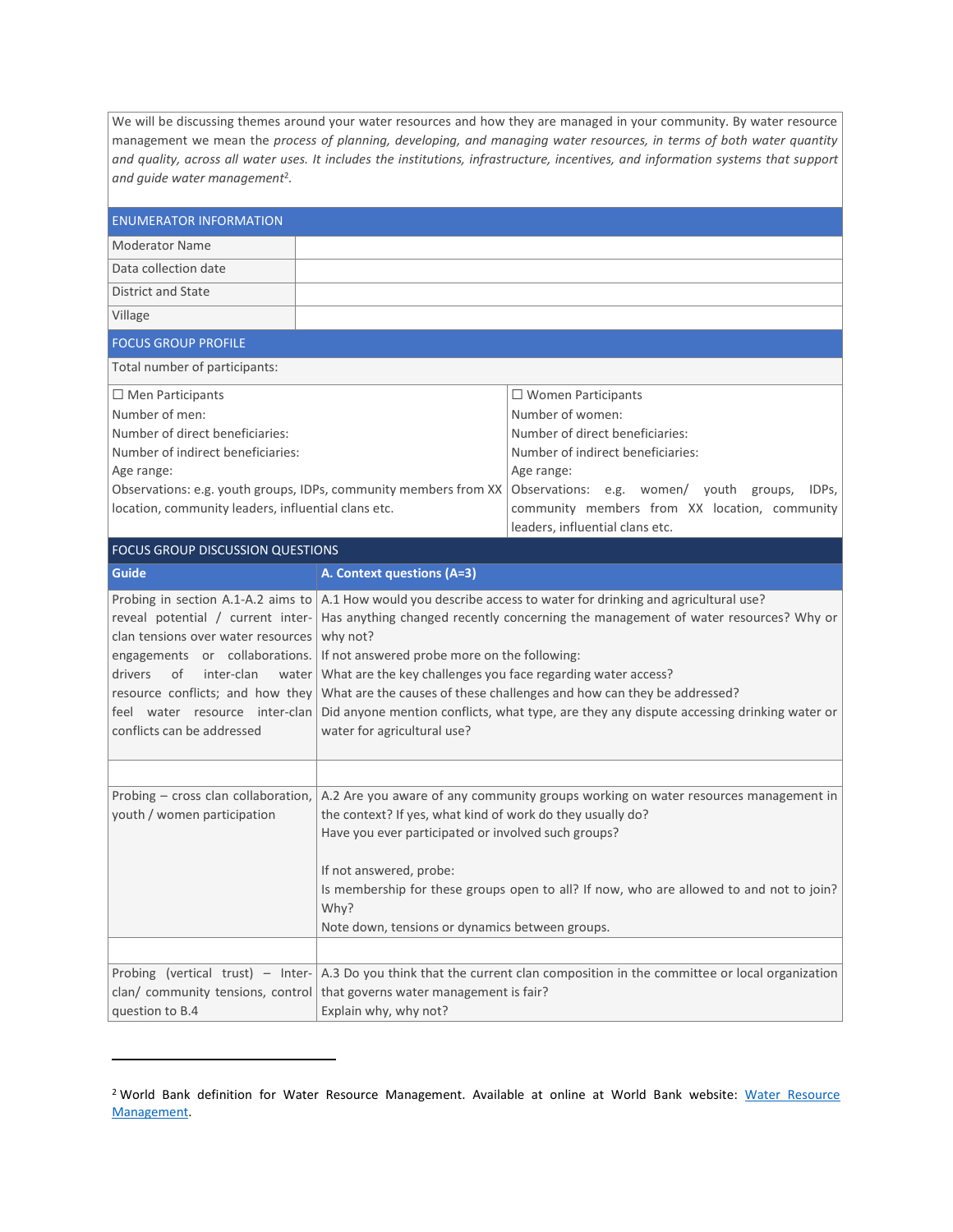We will be discussing themes around your water resources and how they are managed in your community. By water resource management we mean the *process of planning, developing, and managing water resources, in terms of both water quantity and quality, across all water uses. It includes the institutions, infrastructure, incentives, and information systems that support and guide water management*<sup>2</sup> *.*

| <b>ENUMERATOR INFORMATION</b>                                                                                                                                                                                                                                                             |                                                                                                                                                                                                                                                                                                                                                                                          |                                                                                                                                                                                                                                                                                                                                                                                  |  |
|-------------------------------------------------------------------------------------------------------------------------------------------------------------------------------------------------------------------------------------------------------------------------------------------|------------------------------------------------------------------------------------------------------------------------------------------------------------------------------------------------------------------------------------------------------------------------------------------------------------------------------------------------------------------------------------------|----------------------------------------------------------------------------------------------------------------------------------------------------------------------------------------------------------------------------------------------------------------------------------------------------------------------------------------------------------------------------------|--|
| <b>Moderator Name</b>                                                                                                                                                                                                                                                                     |                                                                                                                                                                                                                                                                                                                                                                                          |                                                                                                                                                                                                                                                                                                                                                                                  |  |
| Data collection date                                                                                                                                                                                                                                                                      |                                                                                                                                                                                                                                                                                                                                                                                          |                                                                                                                                                                                                                                                                                                                                                                                  |  |
| <b>District and State</b>                                                                                                                                                                                                                                                                 |                                                                                                                                                                                                                                                                                                                                                                                          |                                                                                                                                                                                                                                                                                                                                                                                  |  |
| Village                                                                                                                                                                                                                                                                                   |                                                                                                                                                                                                                                                                                                                                                                                          |                                                                                                                                                                                                                                                                                                                                                                                  |  |
| <b>FOCUS GROUP PROFILE</b>                                                                                                                                                                                                                                                                |                                                                                                                                                                                                                                                                                                                                                                                          |                                                                                                                                                                                                                                                                                                                                                                                  |  |
| Total number of participants:                                                                                                                                                                                                                                                             |                                                                                                                                                                                                                                                                                                                                                                                          |                                                                                                                                                                                                                                                                                                                                                                                  |  |
| $\Box$ Men Participants<br>Number of men:<br>Number of direct beneficiaries:<br>Number of indirect beneficiaries:<br>Age range:<br>Observations: e.g. youth groups, IDPs, community members from XX<br>location, community leaders, influential clans etc.                                |                                                                                                                                                                                                                                                                                                                                                                                          | $\Box$ Women Participants<br>Number of women:<br>Number of direct beneficiaries:<br>Number of indirect beneficiaries:<br>Age range:<br>Observations: e.g. women/ youth groups,<br>IDPs.<br>community members from XX location, community<br>leaders, influential clans etc.                                                                                                      |  |
| <b>FOCUS GROUP DISCUSSION QUESTIONS</b>                                                                                                                                                                                                                                                   |                                                                                                                                                                                                                                                                                                                                                                                          |                                                                                                                                                                                                                                                                                                                                                                                  |  |
| <b>Guide</b>                                                                                                                                                                                                                                                                              | A. Context questions (A=3)                                                                                                                                                                                                                                                                                                                                                               |                                                                                                                                                                                                                                                                                                                                                                                  |  |
| reveal potential / current inter-<br>clan tensions over water resources<br>engagements or collaborations. If not answered probe more on the following:<br>drivers<br>of<br>inter-clan<br>resource conflicts; and how they<br>feel water resource inter-clan<br>conflicts can be addressed | why not?<br>water   What are the key challenges you face regarding water access?<br>water for agricultural use?                                                                                                                                                                                                                                                                          | Probing in section A.1-A.2 aims to $ A.1$ How would you describe access to water for drinking and agricultural use?<br>Has anything changed recently concerning the management of water resources? Why or<br>What are the causes of these challenges and how can they be addressed?<br>Did anyone mention conflicts, what type, are they any dispute accessing drinking water or |  |
|                                                                                                                                                                                                                                                                                           |                                                                                                                                                                                                                                                                                                                                                                                          |                                                                                                                                                                                                                                                                                                                                                                                  |  |
| Probing - cross clan collaboration,<br>youth / women participation                                                                                                                                                                                                                        | A.2 Are you aware of any community groups working on water resources management in<br>the context? If yes, what kind of work do they usually do?<br>Have you ever participated or involved such groups?<br>If not answered, probe:<br>Is membership for these groups open to all? If now, who are allowed to and not to join?<br>Why?<br>Note down, tensions or dynamics between groups. |                                                                                                                                                                                                                                                                                                                                                                                  |  |
|                                                                                                                                                                                                                                                                                           |                                                                                                                                                                                                                                                                                                                                                                                          |                                                                                                                                                                                                                                                                                                                                                                                  |  |
| Probing (vertical trust) - Inter-<br>clan/ community tensions, control<br>question to B.4                                                                                                                                                                                                 | that governs water management is fair?<br>Explain why, why not?                                                                                                                                                                                                                                                                                                                          | A.3 Do you think that the current clan composition in the committee or local organization                                                                                                                                                                                                                                                                                        |  |

<sup>&</sup>lt;sup>2</sup> World Bank definition for [Water Resource](https://www.worldbank.org/en/topic/waterresourcesmanagement#:~:text=Water%20Resources%20Management%20(WRM)%20is,support%20and%20guide%20water%20management.) Management. Available at online at World Bank website: Water Resource [Management.](https://www.worldbank.org/en/topic/waterresourcesmanagement#:~:text=Water%20Resources%20Management%20(WRM)%20is,support%20and%20guide%20water%20management.)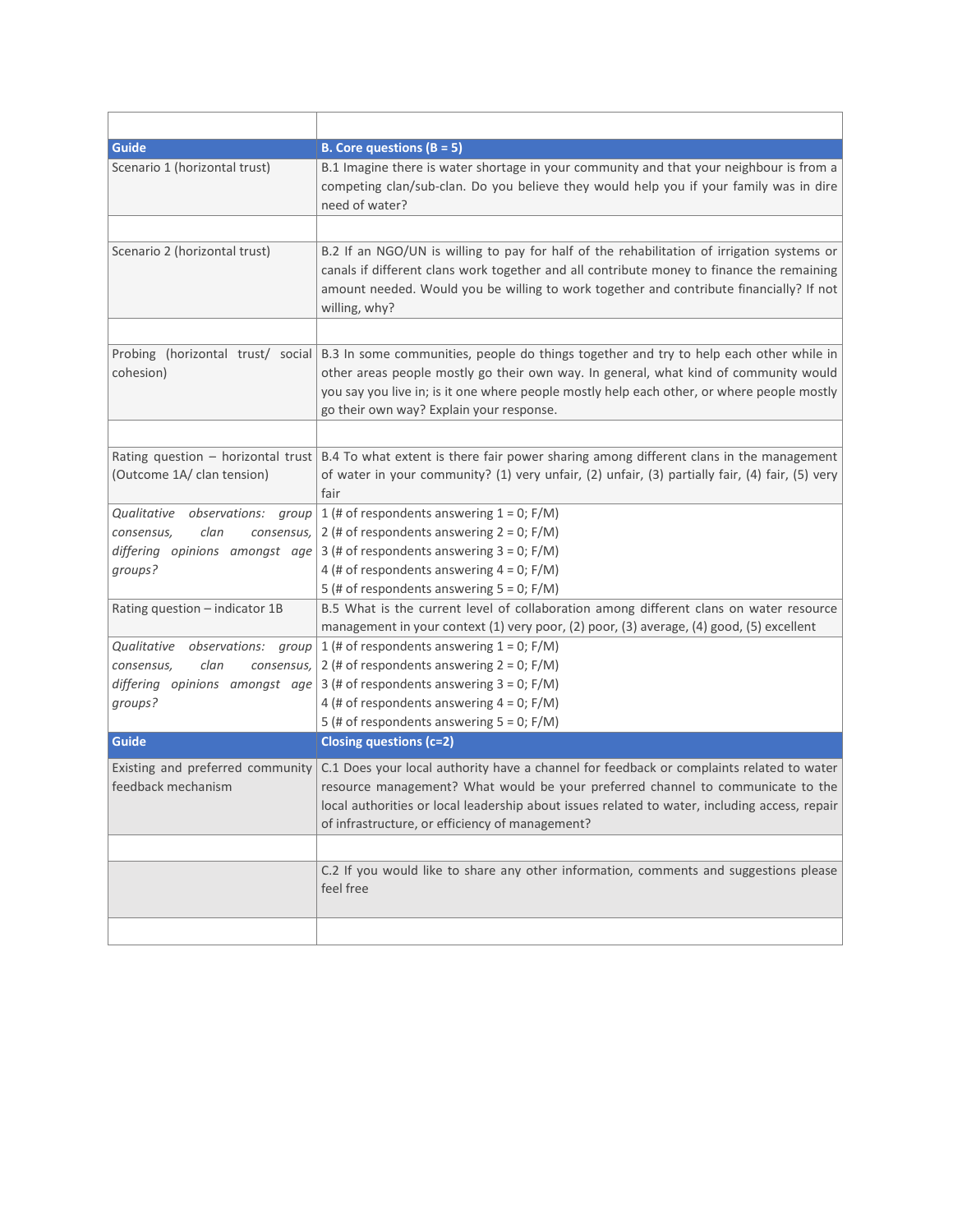| <b>Guide</b>                                                       | <b>B.</b> Core questions $(B = 5)$                                                                                                                                                                                                                                                                                                                         |
|--------------------------------------------------------------------|------------------------------------------------------------------------------------------------------------------------------------------------------------------------------------------------------------------------------------------------------------------------------------------------------------------------------------------------------------|
| Scenario 1 (horizontal trust)                                      | B.1 Imagine there is water shortage in your community and that your neighbour is from a<br>competing clan/sub-clan. Do you believe they would help you if your family was in dire<br>need of water?                                                                                                                                                        |
|                                                                    |                                                                                                                                                                                                                                                                                                                                                            |
| Scenario 2 (horizontal trust)                                      | B.2 If an NGO/UN is willing to pay for half of the rehabilitation of irrigation systems or<br>canals if different clans work together and all contribute money to finance the remaining<br>amount needed. Would you be willing to work together and contribute financially? If not<br>willing, why?                                                        |
|                                                                    |                                                                                                                                                                                                                                                                                                                                                            |
| cohesion)                                                          | Probing (horizontal trust/ social B.3 In some communities, people do things together and try to help each other while in<br>other areas people mostly go their own way. In general, what kind of community would<br>you say you live in; is it one where people mostly help each other, or where people mostly<br>go their own way? Explain your response. |
|                                                                    |                                                                                                                                                                                                                                                                                                                                                            |
| Rating question $-$ horizontal trust<br>(Outcome 1A/ clan tension) | B.4 To what extent is there fair power sharing among different clans in the management<br>of water in your community? (1) very unfair, (2) unfair, (3) partially fair, (4) fair, (5) very<br>fair                                                                                                                                                          |
| Qualitative<br>observations: group                                 | 1 (# of respondents answering $1 = 0$ ; F/M)                                                                                                                                                                                                                                                                                                               |
| clan<br>consensus,<br>consensus,                                   | 2 (# of respondents answering $2 = 0$ ; F/M)                                                                                                                                                                                                                                                                                                               |
| differing opinions amongst age                                     | 3 (# of respondents answering $3 = 0$ ; F/M)                                                                                                                                                                                                                                                                                                               |
| groups?                                                            | 4 (# of respondents answering $4 = 0$ ; F/M)                                                                                                                                                                                                                                                                                                               |
|                                                                    | 5 (# of respondents answering $5 = 0$ ; F/M)                                                                                                                                                                                                                                                                                                               |
| Rating question - indicator 1B                                     | B.5 What is the current level of collaboration among different clans on water resource<br>management in your context (1) very poor, (2) poor, (3) average, (4) good, (5) excellent                                                                                                                                                                         |
| Qualitative<br>observations: group                                 | 1 (# of respondents answering $1 = 0$ ; F/M)                                                                                                                                                                                                                                                                                                               |
| clan<br>consensus,<br>consensus,                                   | 2 (# of respondents answering $2 = 0$ ; F/M)                                                                                                                                                                                                                                                                                                               |
| differing opinions amongst age                                     | 3 (# of respondents answering $3 = 0$ ; F/M)                                                                                                                                                                                                                                                                                                               |
| groups?                                                            | 4 (# of respondents answering $4 = 0$ ; F/M)                                                                                                                                                                                                                                                                                                               |
|                                                                    | 5 (# of respondents answering $5 = 0$ ; F/M)                                                                                                                                                                                                                                                                                                               |
| <b>Guide</b>                                                       | <b>Closing questions (c=2)</b>                                                                                                                                                                                                                                                                                                                             |
| Existing and preferred community                                   | C.1 Does your local authority have a channel for feedback or complaints related to water                                                                                                                                                                                                                                                                   |
| feedback mechanism                                                 | resource management? What would be your preferred channel to communicate to the                                                                                                                                                                                                                                                                            |
|                                                                    | local authorities or local leadership about issues related to water, including access, repair                                                                                                                                                                                                                                                              |
|                                                                    | of infrastructure, or efficiency of management?                                                                                                                                                                                                                                                                                                            |
|                                                                    |                                                                                                                                                                                                                                                                                                                                                            |
|                                                                    | C.2 If you would like to share any other information, comments and suggestions please<br>feel free                                                                                                                                                                                                                                                         |
|                                                                    |                                                                                                                                                                                                                                                                                                                                                            |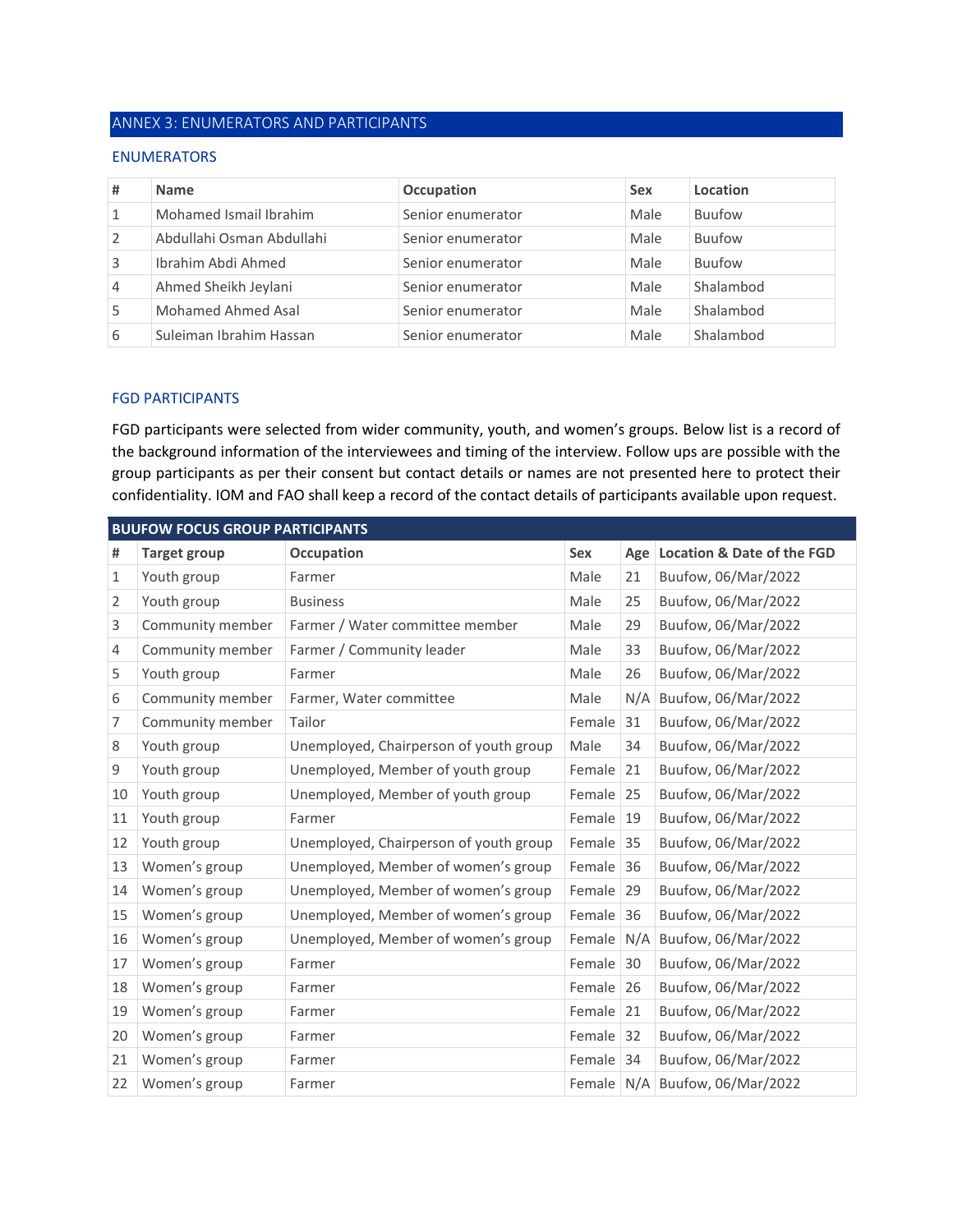# ANNEX 3: ENUMERATORS AND PARTICIPANTS

### ENUMERATORS

| #              | <b>Name</b>               | Occupation        | <b>Sex</b> | Location      |
|----------------|---------------------------|-------------------|------------|---------------|
| $\mathbf{1}$   | Mohamed Ismail Ibrahim    | Senior enumerator | Male       | Buufow        |
| 2              | Abdullahi Osman Abdullahi | Senior enumerator | Male       | Buufow        |
| 3              | Ibrahim Abdi Ahmed        | Senior enumerator | Male       | <b>Buufow</b> |
| $\overline{4}$ | Ahmed Sheikh Jeylani      | Senior enumerator | Male       | Shalambod     |
| 5              | Mohamed Ahmed Asal        | Senior enumerator | Male       | Shalambod     |
| 6              | Suleiman Ibrahim Hassan   | Senior enumerator | Male       | Shalambod     |

### FGD PARTICIPANTS

FGD participants were selected from wider community, youth, and women's groups. Below list is a record of the background information of the interviewees and timing of the interview. Follow ups are possible with the group participants as per their consent but contact details or names are not presented here to protect their confidentiality. IOM and FAO shall keep a record of the contact details of participants available upon request.

|    | <b>BUUFOW FOCUS GROUP PARTICIPANTS</b> |                                        |        |     |                                       |  |  |
|----|----------------------------------------|----------------------------------------|--------|-----|---------------------------------------|--|--|
| #  | <b>Target group</b>                    | Occupation                             | Sex    | Age | <b>Location &amp; Date of the FGD</b> |  |  |
| 1  | Youth group                            | Farmer                                 | Male   | 21  | Buufow, 06/Mar/2022                   |  |  |
| 2  | Youth group                            | <b>Business</b>                        | Male   | 25  | Buufow, 06/Mar/2022                   |  |  |
| 3  | Community member                       | Farmer / Water committee member        | Male   | 29  | Buufow, 06/Mar/2022                   |  |  |
| 4  | Community member                       | Farmer / Community leader              | Male   | 33  | Buufow, 06/Mar/2022                   |  |  |
| 5  | Youth group                            | Farmer                                 | Male   | 26  | Buufow, 06/Mar/2022                   |  |  |
| 6  | Community member                       | Farmer, Water committee                | Male   | N/A | Buufow, 06/Mar/2022                   |  |  |
| 7  | Community member                       | Tailor                                 | Female | 31  | Buufow, 06/Mar/2022                   |  |  |
| 8  | Youth group                            | Unemployed, Chairperson of youth group | Male   | 34  | Buufow, 06/Mar/2022                   |  |  |
| 9  | Youth group                            | Unemployed, Member of youth group      | Female | 21  | Buufow, 06/Mar/2022                   |  |  |
| 10 | Youth group                            | Unemployed, Member of youth group      | Female | 25  | Buufow, 06/Mar/2022                   |  |  |
| 11 | Youth group                            | Farmer                                 | Female | 19  | Buufow, 06/Mar/2022                   |  |  |
| 12 | Youth group                            | Unemployed, Chairperson of youth group | Female | 35  | Buufow, 06/Mar/2022                   |  |  |
| 13 | Women's group                          | Unemployed, Member of women's group    | Female | 36  | Buufow, 06/Mar/2022                   |  |  |
| 14 | Women's group                          | Unemployed, Member of women's group    | Female | 29  | Buufow, 06/Mar/2022                   |  |  |
| 15 | Women's group                          | Unemployed, Member of women's group    | Female | 36  | Buufow, 06/Mar/2022                   |  |  |
| 16 | Women's group                          | Unemployed, Member of women's group    | Female | N/A | Buufow, 06/Mar/2022                   |  |  |
| 17 | Women's group                          | Farmer                                 | Female | 30  | Buufow, 06/Mar/2022                   |  |  |
| 18 | Women's group                          | Farmer                                 | Female | 26  | Buufow, 06/Mar/2022                   |  |  |
| 19 | Women's group                          | Farmer                                 | Female | 21  | Buufow, 06/Mar/2022                   |  |  |
| 20 | Women's group                          | Farmer                                 | Female | 32  | Buufow, 06/Mar/2022                   |  |  |
| 21 | Women's group                          | Farmer                                 | Female | 34  | Buufow, 06/Mar/2022                   |  |  |
| 22 | Women's group                          | Farmer                                 |        |     | Female N/A Buufow, 06/Mar/2022        |  |  |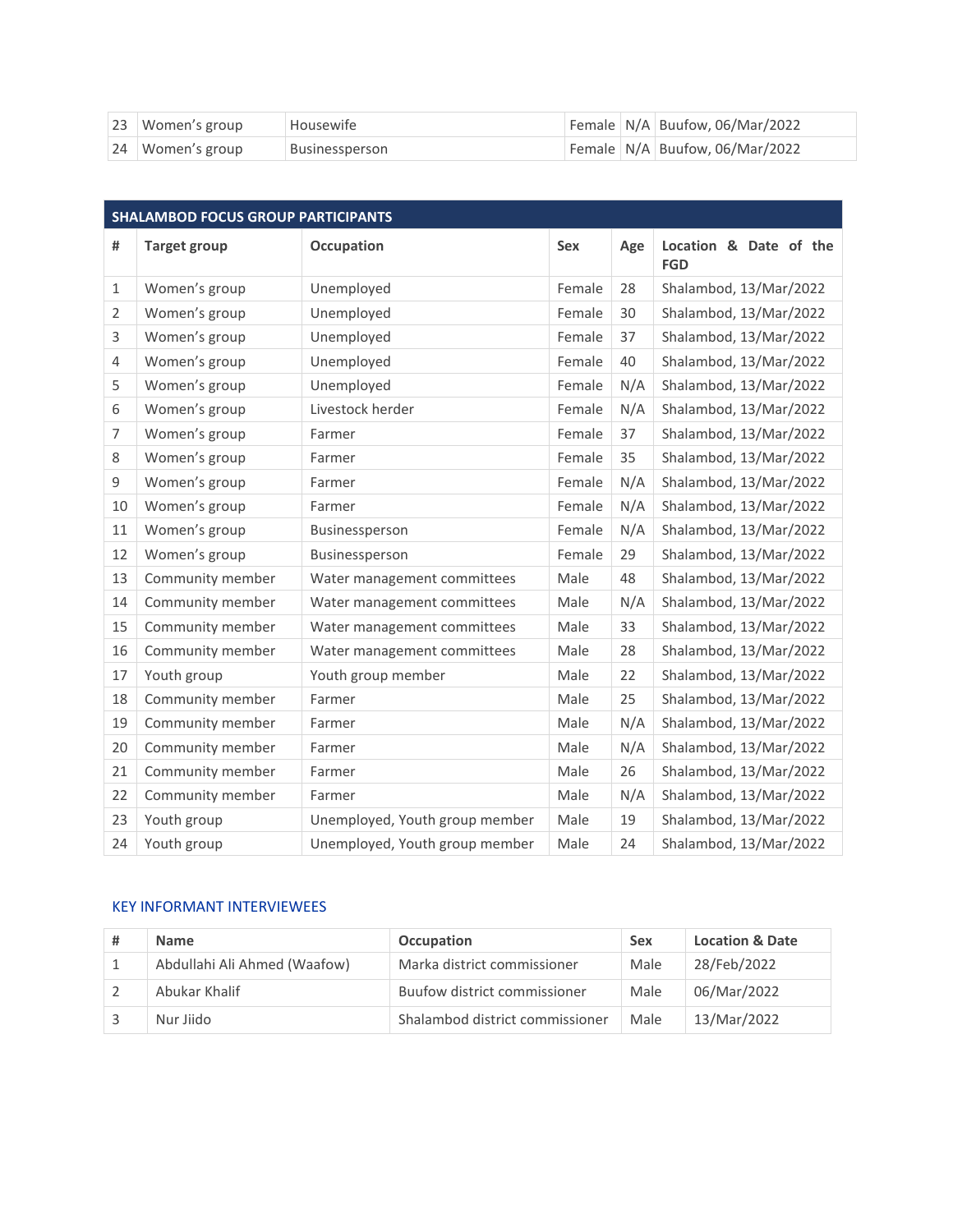| 23 Women's group | Housewife      |  | Female   N/A   Buufow, 06/Mar/2022 |
|------------------|----------------|--|------------------------------------|
| 24 Women's group | Businessperson |  | Female N/A Buufow, 06/Mar/2022     |

| <b>SHALAMBOD FOCUS GROUP PARTICIPANTS</b> |                     |                                |            |     |                                      |  |
|-------------------------------------------|---------------------|--------------------------------|------------|-----|--------------------------------------|--|
| #                                         | <b>Target group</b> | <b>Occupation</b>              | <b>Sex</b> | Age | Location & Date of the<br><b>FGD</b> |  |
| $\mathbf{1}$                              | Women's group       | Unemployed                     | Female     | 28  | Shalambod, 13/Mar/2022               |  |
| $\overline{2}$                            | Women's group       | Unemployed                     | Female     | 30  | Shalambod, 13/Mar/2022               |  |
| 3                                         | Women's group       | Unemployed                     | Female     | 37  | Shalambod, 13/Mar/2022               |  |
| 4                                         | Women's group       | Unemployed                     | Female     | 40  | Shalambod, 13/Mar/2022               |  |
| 5                                         | Women's group       | Unemployed                     | Female     | N/A | Shalambod, 13/Mar/2022               |  |
| 6                                         | Women's group       | Livestock herder               | Female     | N/A | Shalambod, 13/Mar/2022               |  |
| $\overline{7}$                            | Women's group       | Farmer                         | Female     | 37  | Shalambod, 13/Mar/2022               |  |
| 8                                         | Women's group       | Farmer                         | Female     | 35  | Shalambod, 13/Mar/2022               |  |
| 9                                         | Women's group       | Farmer                         | Female     | N/A | Shalambod, 13/Mar/2022               |  |
| 10                                        | Women's group       | Farmer                         | Female     | N/A | Shalambod, 13/Mar/2022               |  |
| 11                                        | Women's group       | Businessperson                 | Female     | N/A | Shalambod, 13/Mar/2022               |  |
| 12                                        | Women's group       | Businessperson                 | Female     | 29  | Shalambod, 13/Mar/2022               |  |
| 13                                        | Community member    | Water management committees    | Male       | 48  | Shalambod, 13/Mar/2022               |  |
| 14                                        | Community member    | Water management committees    | Male       | N/A | Shalambod, 13/Mar/2022               |  |
| 15                                        | Community member    | Water management committees    | Male       | 33  | Shalambod, 13/Mar/2022               |  |
| 16                                        | Community member    | Water management committees    | Male       | 28  | Shalambod, 13/Mar/2022               |  |
| 17                                        | Youth group         | Youth group member             | Male       | 22  | Shalambod, 13/Mar/2022               |  |
| 18                                        | Community member    | Farmer                         | Male       | 25  | Shalambod, 13/Mar/2022               |  |
| 19                                        | Community member    | Farmer                         | Male       | N/A | Shalambod, 13/Mar/2022               |  |
| 20                                        | Community member    | Farmer                         | Male       | N/A | Shalambod, 13/Mar/2022               |  |
| 21                                        | Community member    | Farmer                         | Male       | 26  | Shalambod, 13/Mar/2022               |  |
| 22                                        | Community member    | Farmer                         | Male       | N/A | Shalambod, 13/Mar/2022               |  |
| 23                                        | Youth group         | Unemployed, Youth group member | Male       | 19  | Shalambod, 13/Mar/2022               |  |
| 24                                        | Youth group         | Unemployed, Youth group member | Male       | 24  | Shalambod, 13/Mar/2022               |  |

# KEY INFORMANT INTERVIEWEES

| <b>Name</b>                  | Occupation                      | <b>Sex</b> | <b>Location &amp; Date</b> |
|------------------------------|---------------------------------|------------|----------------------------|
| Abdullahi Ali Ahmed (Waafow) | Marka district commissioner     | Male       | 28/Feb/2022                |
| Abukar Khalif                | Buufow district commissioner    | Male       | 06/Mar/2022                |
| Nur Jiido                    | Shalambod district commissioner | Male       | 13/Mar/2022                |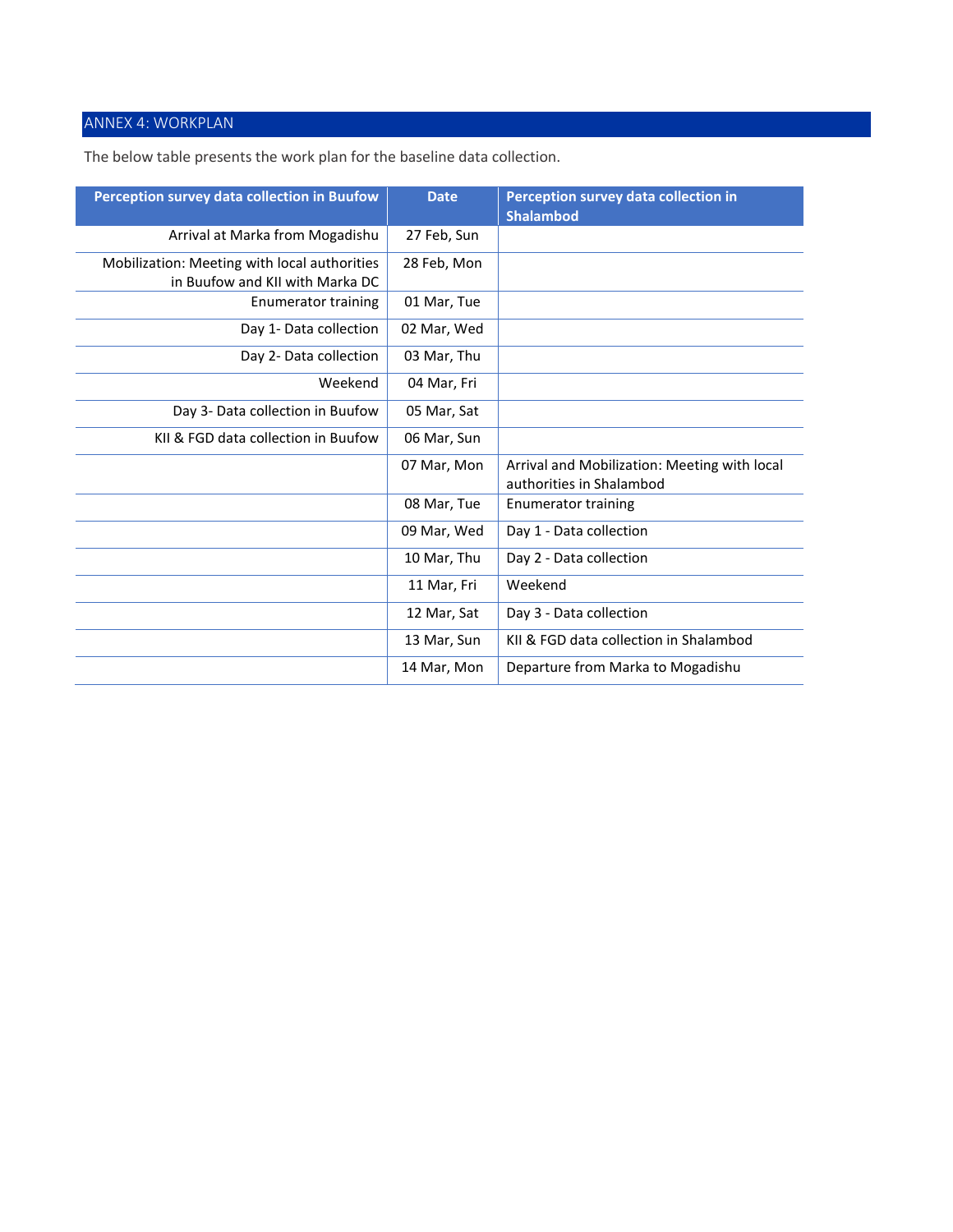# ANNEX 4: WORKPLAN

The below table presents the work plan for the baseline data collection.

| Perception survey data collection in Buufow  | <b>Date</b> | Perception survey data collection in<br><b>Shalambod</b>                 |
|----------------------------------------------|-------------|--------------------------------------------------------------------------|
| Arrival at Marka from Mogadishu              | 27 Feb, Sun |                                                                          |
| Mobilization: Meeting with local authorities | 28 Feb, Mon |                                                                          |
| in Buufow and KII with Marka DC              |             |                                                                          |
| Enumerator training                          | 01 Mar, Tue |                                                                          |
| Day 1- Data collection                       | 02 Mar, Wed |                                                                          |
| Day 2- Data collection                       | 03 Mar, Thu |                                                                          |
| Weekend                                      | 04 Mar, Fri |                                                                          |
| Day 3- Data collection in Buufow             | 05 Mar, Sat |                                                                          |
| KII & FGD data collection in Buufow          | 06 Mar, Sun |                                                                          |
|                                              | 07 Mar, Mon | Arrival and Mobilization: Meeting with local<br>authorities in Shalambod |
|                                              |             |                                                                          |
|                                              | 08 Mar, Tue | <b>Enumerator training</b>                                               |
|                                              | 09 Mar, Wed | Day 1 - Data collection                                                  |
|                                              | 10 Mar, Thu | Day 2 - Data collection                                                  |
|                                              | 11 Mar, Fri | Weekend                                                                  |
|                                              | 12 Mar, Sat | Day 3 - Data collection                                                  |
|                                              | 13 Mar, Sun | KII & FGD data collection in Shalambod                                   |
|                                              | 14 Mar, Mon | Departure from Marka to Mogadishu                                        |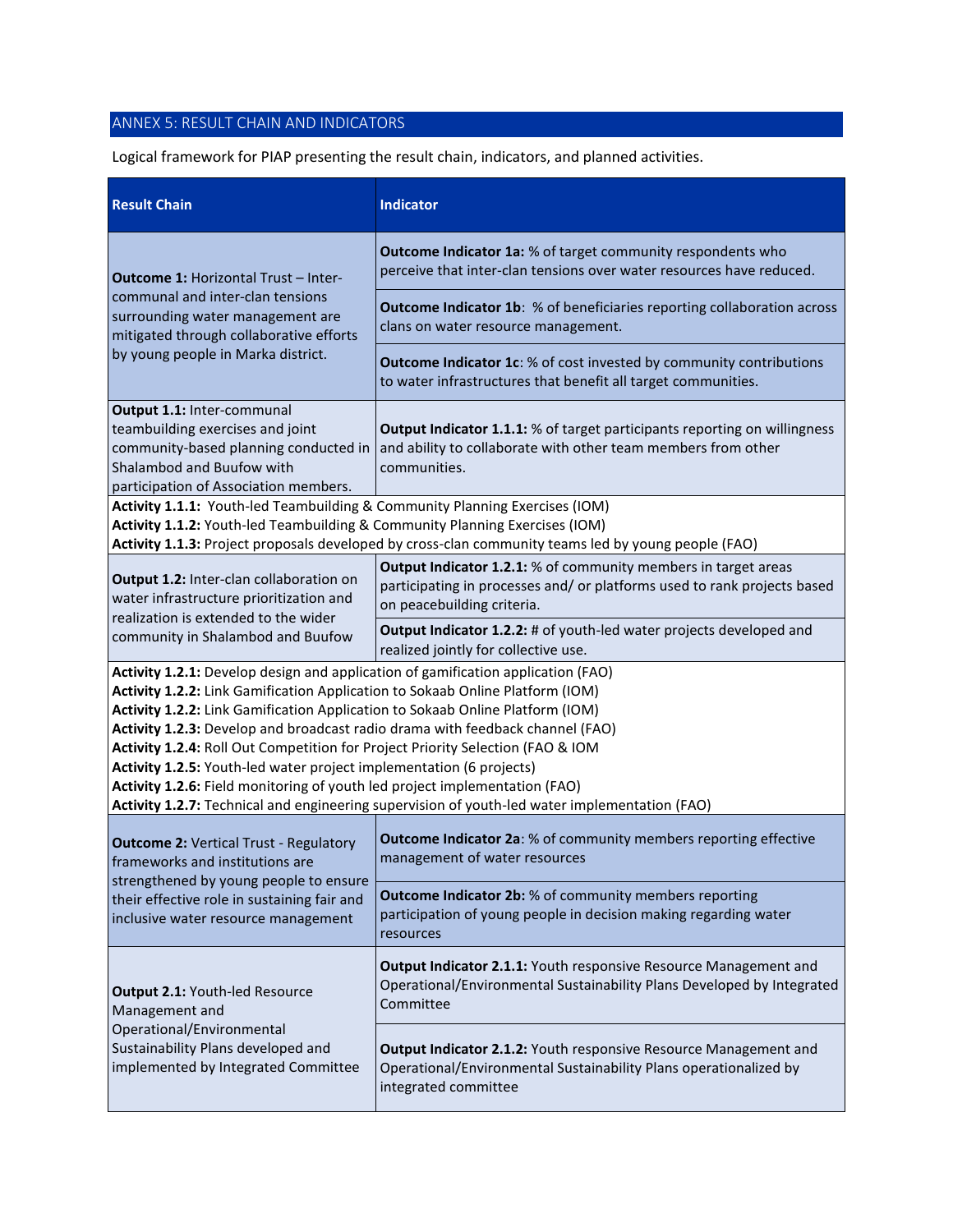# ANNEX 5: RESULT CHAIN AND INDICATORS

Logical framework for PIAP presenting the result chain, indicators, and planned activities.

| <b>Result Chain</b>                                                                                                                                                                                                                                                                                                                                                                                                                                                                                                                                                                                                                                                         | <b>Indicator</b>                                                                                                                                                         |  |  |  |  |
|-----------------------------------------------------------------------------------------------------------------------------------------------------------------------------------------------------------------------------------------------------------------------------------------------------------------------------------------------------------------------------------------------------------------------------------------------------------------------------------------------------------------------------------------------------------------------------------------------------------------------------------------------------------------------------|--------------------------------------------------------------------------------------------------------------------------------------------------------------------------|--|--|--|--|
| <b>Outcome 1: Horizontal Trust - Inter-</b>                                                                                                                                                                                                                                                                                                                                                                                                                                                                                                                                                                                                                                 | <b>Outcome Indicator 1a:</b> % of target community respondents who<br>perceive that inter-clan tensions over water resources have reduced.                               |  |  |  |  |
| communal and inter-clan tensions<br>surrounding water management are<br>mitigated through collaborative efforts                                                                                                                                                                                                                                                                                                                                                                                                                                                                                                                                                             | <b>Outcome Indicator 1b:</b> % of beneficiaries reporting collaboration across<br>clans on water resource management.                                                    |  |  |  |  |
| by young people in Marka district.                                                                                                                                                                                                                                                                                                                                                                                                                                                                                                                                                                                                                                          | <b>Outcome Indicator 1c:</b> % of cost invested by community contributions<br>to water infrastructures that benefit all target communities.                              |  |  |  |  |
| Output 1.1: Inter-communal<br>teambuilding exercises and joint<br>community-based planning conducted in<br>Shalambod and Buufow with<br>participation of Association members.                                                                                                                                                                                                                                                                                                                                                                                                                                                                                               | Output Indicator 1.1.1: % of target participants reporting on willingness<br>and ability to collaborate with other team members from other<br>communities.               |  |  |  |  |
| Activity 1.1.1: Youth-led Teambuilding & Community Planning Exercises (IOM)<br>Activity 1.1.2: Youth-led Teambuilding & Community Planning Exercises (IOM)<br>Activity 1.1.3: Project proposals developed by cross-clan community teams led by young people (FAO)                                                                                                                                                                                                                                                                                                                                                                                                           |                                                                                                                                                                          |  |  |  |  |
| Output 1.2: Inter-clan collaboration on<br>water infrastructure prioritization and<br>realization is extended to the wider                                                                                                                                                                                                                                                                                                                                                                                                                                                                                                                                                  | Output Indicator 1.2.1: % of community members in target areas<br>participating in processes and/ or platforms used to rank projects based<br>on peacebuilding criteria. |  |  |  |  |
| community in Shalambod and Buufow                                                                                                                                                                                                                                                                                                                                                                                                                                                                                                                                                                                                                                           | Output Indicator 1.2.2: # of youth-led water projects developed and<br>realized jointly for collective use.                                                              |  |  |  |  |
| Activity 1.2.1: Develop design and application of gamification application (FAO)<br>Activity 1.2.2: Link Gamification Application to Sokaab Online Platform (IOM)<br>Activity 1.2.2: Link Gamification Application to Sokaab Online Platform (IOM)<br>Activity 1.2.3: Develop and broadcast radio drama with feedback channel (FAO)<br>Activity 1.2.4: Roll Out Competition for Project Priority Selection (FAO & IOM<br>Activity 1.2.5: Youth-led water project implementation (6 projects)<br>Activity 1.2.6: Field monitoring of youth led project implementation (FAO)<br>Activity 1.2.7: Technical and engineering supervision of youth-led water implementation (FAO) |                                                                                                                                                                          |  |  |  |  |
| <b>Outcome 2: Vertical Trust - Regulatory</b><br>frameworks and institutions are                                                                                                                                                                                                                                                                                                                                                                                                                                                                                                                                                                                            | Outcome Indicator 2a: % of community members reporting effective<br>management of water resources                                                                        |  |  |  |  |
| strengthened by young people to ensure<br>their effective role in sustaining fair and<br>inclusive water resource management                                                                                                                                                                                                                                                                                                                                                                                                                                                                                                                                                | <b>Outcome Indicator 2b:</b> % of community members reporting<br>participation of young people in decision making regarding water<br>resources                           |  |  |  |  |
| Output 2.1: Youth-led Resource<br>Management and                                                                                                                                                                                                                                                                                                                                                                                                                                                                                                                                                                                                                            | Output Indicator 2.1.1: Youth responsive Resource Management and<br>Operational/Environmental Sustainability Plans Developed by Integrated<br>Committee                  |  |  |  |  |
| Operational/Environmental<br>Sustainability Plans developed and<br>implemented by Integrated Committee                                                                                                                                                                                                                                                                                                                                                                                                                                                                                                                                                                      | Output Indicator 2.1.2: Youth responsive Resource Management and<br>Operational/Environmental Sustainability Plans operationalized by<br>integrated committee            |  |  |  |  |